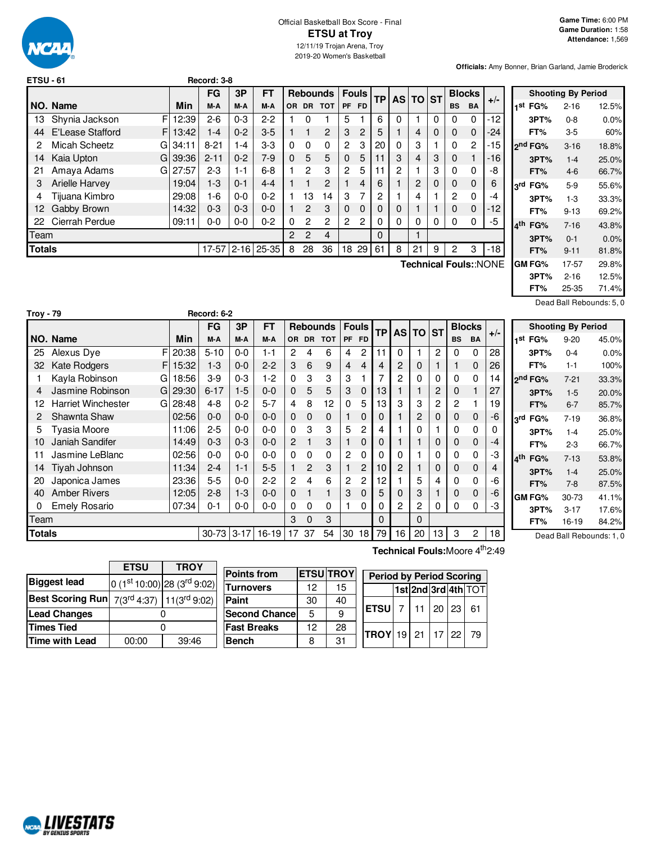

### Official Basketball Box Score - Final **ETSU at Troy** 12/11/19 Trojan Arena, Troy 2019-20 Women's Basketball

**Officials:** Amy Bonner, Brian Garland, Jamie Broderick

| ETSU - 61 |                        |       | Record: 3-8 |          |           |     |                |                 |                |                |           |   |          |   |                |               |                                                |
|-----------|------------------------|-------|-------------|----------|-----------|-----|----------------|-----------------|----------------|----------------|-----------|---|----------|---|----------------|---------------|------------------------------------------------|
|           |                        |       | FG          | 3P       | <b>FT</b> |     |                | <b>Rebounds</b> | Fouls          |                | <b>TP</b> |   | AS TO ST |   |                | <b>Blocks</b> | $+/-$                                          |
|           | NO. Name               | Min   | M-A         | M-A      | M-A       | OR. |                | DR TOT          | <b>PF</b>      | <b>FD</b>      |           |   |          |   | BS.            | <b>BA</b>     |                                                |
| 13.       | F<br>Shynia Jackson    | 12:39 | $2-6$       | $0 - 3$  | $2 - 2$   |     | 0              |                 | 5              |                | 6         | 0 |          | 0 | 0              | $\Omega$      | $-12$                                          |
| 44        | E'Lease Stafford<br>F. | 13:42 | $1 - 4$     | $0 - 2$  | $3-5$     |     | 1              | $\overline{2}$  | 3              | 2              | 5         |   | 4        | 0 | $\Omega$       | $\Omega$      | $-24$                                          |
| 2         | Micah Scheetz<br>GI    | 34:11 | $8 - 21$    | $-4$     | $3-3$     | 0   | $\Omega$       | 0               | $\overline{2}$ | 3              | 20        | 0 | 3        |   | $\Omega$       | 2             | $-15$                                          |
| 14        | Kaia Upton<br>G.       | 39:36 | $2 - 11$    | $0 - 2$  | $7-9$     | 0   | 5              | 5               | $\mathbf 0$    | 5              | 11        | 3 | 4        | 3 | $\mathbf 0$    |               | -16                                            |
| 21        | Amaya Adams<br>Gl      | 27:57 | $2 - 3$     | $1 - 1$  | $6 - 8$   |     | $\mathbf{2}$   | 3               | 2              | 5              | 11        | 2 |          | 3 | $\Omega$       | $\Omega$      | -8                                             |
| 3         | <b>Arielle Harvey</b>  | 19:04 | $1-3$       | $0 - 1$  | $4 - 4$   |     | 1              | 2               |                | 4              | 6         |   | 2        | 0 | $\mathbf 0$    | $\Omega$      | 6                                              |
| 4         | Tijuana Kimbro         | 29:08 | $1-6$       | $0 - 0$  | $0 - 2$   |     | 13             | 14              | 3              | 7              | 2         |   | 4        |   | $\overline{2}$ | $\Omega$      | $-4$                                           |
| 12.       | Gabby Brown            | 14:32 | $0 - 3$     | $0 - 3$  | $0 - 0$   |     | 2              | 3               | $\Omega$       | $\Omega$       | $\Omega$  | 0 |          |   | $\Omega$       | $\Omega$      | $-12$                                          |
|           | 22 Cierrah Perdue      | 09:11 | $0-0$       | $0 - 0$  | $0 - 2$   | 0   | 2              | $\overline{c}$  | $\overline{c}$ | $\overline{c}$ | $\Omega$  | 0 | 0        | 0 | $\Omega$       | $\Omega$      | -5                                             |
| Team      |                        |       |             |          |           | 2   | $\overline{2}$ | 4               |                |                | $\Omega$  |   |          |   |                |               |                                                |
| Totals    |                        |       | $17 - 57$   | $2 - 16$ | $25 - 35$ | 8   | 28             | 36              | 18             | 29             | 61        | 8 | 21       | 9 | 2              | 3             | -18                                            |
|           |                        |       |             |          |           |     |                |                 |                |                |           |   |          |   |                |               | $T$ aabniaal $T$ aulau $N$ $\cap$ $N$ $\Gamma$ |

**Technical Fouls:**:NONE

|                     | <b>Shooting By Period</b> |       |
|---------------------|---------------------------|-------|
| 1 <sup>st</sup> FG% | $2 - 16$                  | 12.5% |
| 3PT%                | 0-8                       | 0.0%  |
| FT%                 | 3-5                       | 60%   |
| ond FG%             | $3 - 16$                  | 18.8% |
| 3PT%                | $1 - 4$                   | 25.0% |
| FT%                 | $4-6$                     | 66.7% |
| 3rd FG%             | $5-9$                     | 55.6% |
| 3PT%                | $1 - 3$                   | 33.3% |
| FT%                 | $9 - 13$                  | 69.2% |
| 4 <sup>th</sup> FG% | $7 - 16$                  | 43.8% |
| 3PT%                | $0 - 1$                   | 0.0%  |
| FT%                 | $9 - 11$                  | 81.8% |
| GM FG%              | 17-57                     | 29.8% |
| 3PT%                | $2 - 16$                  | 12.5% |
| FT%                 | 25-35                     | 71.4% |

Dead Ball Rebounds: 5, 0

| <b>Troy - 79</b> |                           |    |       | Record: 6-2  |         |           |                |                |                 |                |              |              |                |         |                |           |               |       |                                 |                           |       |
|------------------|---------------------------|----|-------|--------------|---------|-----------|----------------|----------------|-----------------|----------------|--------------|--------------|----------------|---------|----------------|-----------|---------------|-------|---------------------------------|---------------------------|-------|
|                  |                           |    |       | <b>FG</b>    | 3P      | <b>FT</b> |                |                | <b>Rebounds</b> |                | <b>Fouls</b> | TP           | AS I           | $TO$ ST |                |           | <b>Blocks</b> |       |                                 | <b>Shooting By Period</b> |       |
|                  | NO. Name                  |    | Min   | M-A          | M-A     | M-A       |                |                | OR DR TOT       |                | PF FD        |              |                |         |                | <b>BS</b> | <b>BA</b>     | $+/-$ | 1st<br>FG%                      | $9 - 20$                  | 45.0% |
| 25               | Alexus Dye                | F  | 20:38 | $5 - 10$     | $0-0$   | $1 - 1$   | 2              | 4              | 6               | 4              | 2            | 11           | 0              |         | $\overline{2}$ | 0         | 0             | 28    | 3PT%                            | $0 - 4$                   | 0.0%  |
| 32               | <b>Kate Rodgers</b>       | F. | 15:32 | $1 - 3$      | $0 - 0$ | $2 - 2$   | 3              | 6              | 9               | 4              | 4            | 4            | $\overline{2}$ | 0       |                |           | 0             | 26    | FT%                             | $1 - 1$                   | 100%  |
|                  | Kayla Robinson            | G  | 18:56 | $3-9$        | $0 - 3$ | $1-2$     | 0              | 3              | 3               | 3              |              |              | $\overline{c}$ | 0       | 0              | 0         | 0             | 14    | 2 <sup>nd</sup> FG%             | $7 - 21$                  | 33.3% |
|                  | Jasmine Robinson          | G. | 29:30 | $6 - 17$     | $1-5$   | $0 - 0$   | 0              | 5              | 5               | 3              | 0            | 13           |                |         | 2              | 0         |               | 27    | 3PT%                            | $1-5$                     | 20.0% |
|                  | <b>Harriet Winchester</b> | G. | 28:48 | $4 - 8$      | $0 - 2$ | $5 - 7$   | 4              | 8              | 12              | 0              | 5            | 13           | 3              | 3       | 2              | 2         |               | 19    | FT%                             | $6 - 7$                   | 85.7% |
|                  | Shawnta Shaw              |    | 02:56 | $0 - 0$      | $0 - 0$ | $0 - 0$   | 0              | 0              | $\Omega$        |                | 0            | $\Omega$     |                | 2       | 0              | 0         | 0             | $-6$  | FG%<br>$3^{\text{rd}}$          | $7 - 19$                  | 36.8% |
| 5.               | Tyasia Moore              |    | 11:06 | $2 - 5$      | $0-0$   | $0 - 0$   | 0              | 3              | 3               | 5              | 2            | 4            |                | 0       |                | 0         | 0             |       | 3PT%                            | $1 - 4$                   | 25.0% |
|                  | Janiah Sandifer           |    | 14:49 | $0 - 3$      | $0 - 3$ | $0 - 0$   | $\overline{c}$ |                | 3               |                | 0            | 0            |                |         | $\mathbf 0$    | 0         | 0             | -4    | FT%                             | $2 - 3$                   | 66.7% |
|                  | Jasmine LeBlanc           |    | 02:56 | $0 - 0$      | $0-0$   | $0 - 0$   | 0              | 0              |                 | $\overline{2}$ | 0            | 0            | 0              |         | 0              | 0         | 0             | -3    | FG%<br>$\mathbf{A}^{\text{th}}$ | $7 - 13$                  | 53.8% |
| 14               | Tiyah Johnson             |    | 11:34 | $2 - 4$      | 1-1     | $5-5$     |                | $\overline{c}$ | 3               |                | 2            | 10           | $\overline{2}$ |         | 0              | 0         | 0             | 4     | 3PT%                            | $1 - 4$                   | 25.0% |
| 20               | Japonica James            |    | 23:36 | $5-5$        | $0-0$   | $2 - 2$   | $\overline{2}$ | 4              | 6               | $\overline{2}$ | 2            | 12           |                | 5       | 4              | 0         | 0             | -6    | FT%                             | $7-8$                     | 87.5% |
| 40               | <b>Amber Rivers</b>       |    | 12:05 | $2 - 8$      | $1 - 3$ | $0 - 0$   | 0              |                |                 | 3              | $\Omega$     | 5            | 0              | 3       |                | 0         | 0             | -6    | <b>GM FG%</b>                   | 30-73                     | 41.1% |
| 0                | <b>Emely Rosario</b>      |    | 07:34 | $0 - 1$      | $0-0$   | $0 - 0$   | 0              | $\Omega$       | 0               |                | 0            | 0            | 2              | 2       | 0              | 0         | 0             | -3    | 3PT%                            | $3 - 17$                  | 17.6% |
| Team             |                           |    |       |              |         |           | 3              | $\Omega$       | 3               |                |              | $\mathbf{0}$ |                | 0       |                |           |               |       | FT%                             | 16-19                     | 84.2% |
| <b>Totals</b>    |                           |    |       | $30-73$ 3-17 |         | 16-19     | 17             | 37             | 54              | 30             | 18           | 79           | 16             | 20      | 13             | 3         | 2             | 18    |                                 | Dead Ball Rebounds: 1, 0  |       |

**Technical Fouls:**Moore 4<sup>th</sup>2:49

|                                                           | <b>ETSU</b> | <b>TROY</b>                     |                    |
|-----------------------------------------------------------|-------------|---------------------------------|--------------------|
|                                                           |             |                                 | <b>Points from</b> |
| <b>Biggest lead</b>                                       |             | $ 0 (1st 10:00) 28 (3rd 9:02) $ | <b>Turnovers</b>   |
| Best Scoring Run $7(3^{rd}4:37)$ 11(3 <sup>rd</sup> 9:02) |             |                                 | Paint              |
| <b>Lead Changes</b>                                       |             |                                 | <b>Second Chan</b> |
| <b>Times Tied</b>                                         |             |                                 | <b>Fast Breaks</b> |
| <b>Time with Lead</b>                                     | 00:00       | 39:46                           | <b>Bench</b>       |

| <b>Points from</b> |    | <b>ETSU TROY</b> | <b>Period by Period Scoring</b> |            |  |                     |
|--------------------|----|------------------|---------------------------------|------------|--|---------------------|
| Turnovers          | 12 | 15               |                                 |            |  | 1st 2nd 3rd 4th TOT |
| Paint              | 30 | 40               |                                 |            |  |                     |
| Second Chancel     | 5  | 9                | <b>ETSU</b>                     | 7 11 20 23 |  | -61                 |
| <b>Fast Breaks</b> | 12 | 28               | $TROY$ 19 21 17 22              |            |  | - 79                |
| Bench              | 8  | 31               |                                 |            |  |                     |

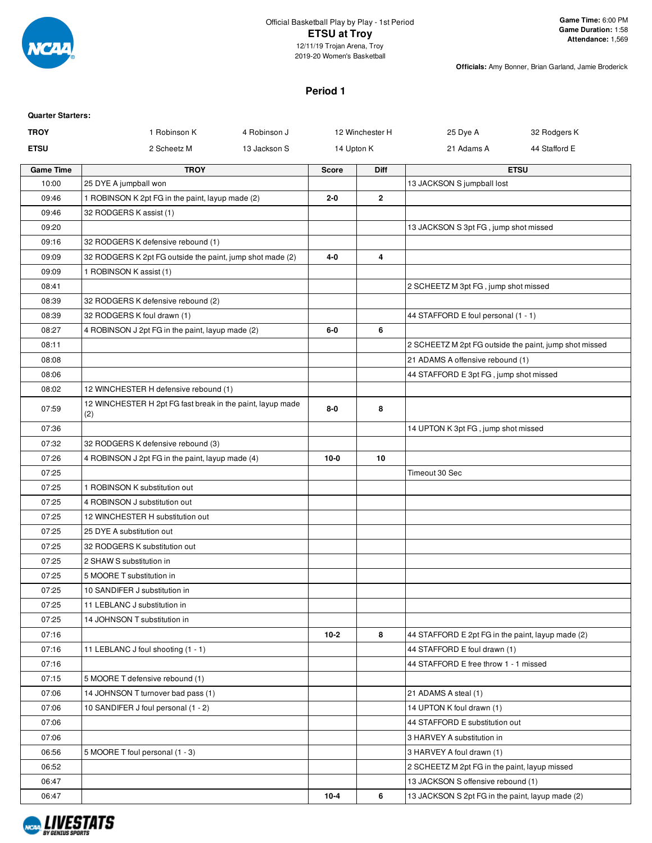

### Official Basketball Play by Play - 1st Period **ETSU at Troy** 12/11/19 Trojan Arena, Troy

2019-20 Women's Basketball

**Officials:** Amy Bonner, Brian Garland, Jamie Broderick

## **Period 1**

| <b>Quarter Starters:</b> |                                                                   |              |              |                 |                                                        |               |
|--------------------------|-------------------------------------------------------------------|--------------|--------------|-----------------|--------------------------------------------------------|---------------|
| <b>TROY</b>              | 1 Robinson K                                                      | 4 Robinson J |              | 12 Winchester H | 25 Dye A                                               | 32 Rodgers K  |
| <b>ETSU</b>              | 2 Scheetz M                                                       | 13 Jackson S | 14 Upton K   |                 | 21 Adams A                                             | 44 Stafford E |
| <b>Game Time</b>         | <b>TROY</b>                                                       |              | <b>Score</b> | Diff            |                                                        | <b>ETSU</b>   |
| 10:00                    | 25 DYE A jumpball won                                             |              |              |                 | 13 JACKSON S jumpball lost                             |               |
| 09:46                    | 1 ROBINSON K 2pt FG in the paint, layup made (2)                  |              | 2-0          | $\overline{2}$  |                                                        |               |
| 09:46                    | 32 RODGERS K assist (1)                                           |              |              |                 |                                                        |               |
| 09:20                    |                                                                   |              |              |                 | 13 JACKSON S 3pt FG, jump shot missed                  |               |
| 09:16                    | 32 RODGERS K defensive rebound (1)                                |              |              |                 |                                                        |               |
| 09:09                    | 32 RODGERS K 2pt FG outside the paint, jump shot made (2)         |              | $4 - 0$      | 4               |                                                        |               |
| 09:09                    | 1 ROBINSON K assist (1)                                           |              |              |                 |                                                        |               |
| 08:41                    |                                                                   |              |              |                 | 2 SCHEETZ M 3pt FG, jump shot missed                   |               |
| 08:39                    | 32 RODGERS K defensive rebound (2)                                |              |              |                 |                                                        |               |
| 08:39                    | 32 RODGERS K foul drawn (1)                                       |              |              |                 | 44 STAFFORD E foul personal (1 - 1)                    |               |
| 08:27                    | 4 ROBINSON J 2pt FG in the paint, layup made (2)                  |              | 6-0          | 6               |                                                        |               |
| 08:11                    |                                                                   |              |              |                 | 2 SCHEETZ M 2pt FG outside the paint, jump shot missed |               |
| 08:08                    |                                                                   |              |              |                 | 21 ADAMS A offensive rebound (1)                       |               |
| 08:06                    |                                                                   |              |              |                 | 44 STAFFORD E 3pt FG, jump shot missed                 |               |
| 08:02                    | 12 WINCHESTER H defensive rebound (1)                             |              |              |                 |                                                        |               |
| 07:59                    | 12 WINCHESTER H 2pt FG fast break in the paint, layup made<br>(2) |              | 8-0          | 8               |                                                        |               |
| 07:36                    |                                                                   |              |              |                 | 14 UPTON K 3pt FG, jump shot missed                    |               |
| 07:32                    | 32 RODGERS K defensive rebound (3)                                |              |              |                 |                                                        |               |
| 07:26                    | 4 ROBINSON J 2pt FG in the paint, layup made (4)                  |              | $10-0$       | 10              |                                                        |               |
| 07:25                    |                                                                   |              |              |                 | Timeout 30 Sec                                         |               |
| 07:25                    | 1 ROBINSON K substitution out                                     |              |              |                 |                                                        |               |
| 07:25                    | 4 ROBINSON J substitution out                                     |              |              |                 |                                                        |               |
| 07:25                    | 12 WINCHESTER H substitution out                                  |              |              |                 |                                                        |               |
| 07:25                    | 25 DYE A substitution out                                         |              |              |                 |                                                        |               |
| 07:25                    | 32 RODGERS K substitution out                                     |              |              |                 |                                                        |               |
| 07:25                    | 2 SHAW S substitution in                                          |              |              |                 |                                                        |               |
| 07:25                    | 5 MOORE T substitution in                                         |              |              |                 |                                                        |               |
| 07:25                    | 10 SANDIFER J substitution in                                     |              |              |                 |                                                        |               |
| 07:25                    | 11 LEBLANC J substitution in                                      |              |              |                 |                                                        |               |
| 07:25                    | 14 JOHNSON T substitution in                                      |              |              |                 |                                                        |               |
| 07:16                    |                                                                   |              | $10 - 2$     | 8               | 44 STAFFORD E 2pt FG in the paint, layup made (2)      |               |
| 07:16                    | 11 LEBLANC J foul shooting (1 - 1)                                |              |              |                 | 44 STAFFORD E foul drawn (1)                           |               |
| 07:16                    |                                                                   |              |              |                 | 44 STAFFORD E free throw 1 - 1 missed                  |               |
| 07:15                    | 5 MOORE T defensive rebound (1)                                   |              |              |                 |                                                        |               |
| 07:06                    | 14 JOHNSON T turnover bad pass (1)                                |              |              |                 | 21 ADAMS A steal (1)                                   |               |
| 07:06                    | 10 SANDIFER J foul personal (1 - 2)                               |              |              |                 | 14 UPTON K foul drawn (1)                              |               |
| 07:06                    |                                                                   |              |              |                 | 44 STAFFORD E substitution out                         |               |
| 07:06                    |                                                                   |              |              |                 | 3 HARVEY A substitution in                             |               |
| 06:56                    | 5 MOORE T foul personal (1 - 3)                                   |              |              |                 | 3 HARVEY A foul drawn (1)                              |               |
| 06:52                    |                                                                   |              |              |                 | 2 SCHEETZ M 2pt FG in the paint, layup missed          |               |
| 06:47                    |                                                                   |              |              |                 | 13 JACKSON S offensive rebound (1)                     |               |
| 06:47                    |                                                                   |              | $10 - 4$     | 6               | 13 JACKSON S 2pt FG in the paint, layup made (2)       |               |
|                          |                                                                   |              |              |                 |                                                        |               |

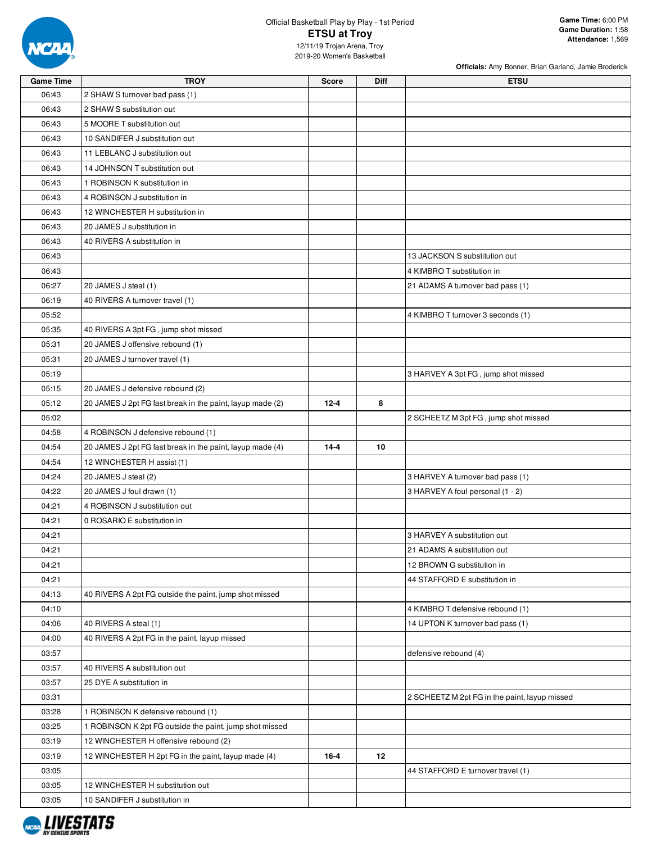

#### Official Basketball Play by Play - 1st Period **ETSU at Troy** 12/11/19 Trojan Arena, Troy 2019-20 Women's Basketball

| <b>Game Time</b> | TROY                                                      | Score    | Diff | <b>ETSU</b>                                   |
|------------------|-----------------------------------------------------------|----------|------|-----------------------------------------------|
| 06:43            | 2 SHAW S turnover bad pass (1)                            |          |      |                                               |
| 06:43            | 2 SHAW S substitution out                                 |          |      |                                               |
| 06:43            | 5 MOORE T substitution out                                |          |      |                                               |
| 06:43            | 10 SANDIFER J substitution out                            |          |      |                                               |
| 06:43            | 11 LEBLANC J substitution out                             |          |      |                                               |
| 06:43            | 14 JOHNSON T substitution out                             |          |      |                                               |
| 06:43            | 1 ROBINSON K substitution in                              |          |      |                                               |
| 06:43            | 4 ROBINSON J substitution in                              |          |      |                                               |
| 06:43            | 12 WINCHESTER H substitution in                           |          |      |                                               |
| 06:43            | 20 JAMES J substitution in                                |          |      |                                               |
| 06:43            | 40 RIVERS A substitution in                               |          |      |                                               |
| 06:43            |                                                           |          |      | 13 JACKSON S substitution out                 |
| 06:43            |                                                           |          |      | 4 KIMBRO T substitution in                    |
| 06:27            | 20 JAMES J steal (1)                                      |          |      | 21 ADAMS A turnover bad pass (1)              |
| 06:19            | 40 RIVERS A turnover travel (1)                           |          |      |                                               |
| 05:52            |                                                           |          |      | 4 KIMBRO T turnover 3 seconds (1)             |
| 05:35            | 40 RIVERS A 3pt FG, jump shot missed                      |          |      |                                               |
| 05:31            | 20 JAMES J offensive rebound (1)                          |          |      |                                               |
| 05:31            | 20 JAMES J turnover travel (1)                            |          |      |                                               |
| 05:19            |                                                           |          |      | 3 HARVEY A 3pt FG, jump shot missed           |
| 05:15            | 20 JAMES J defensive rebound (2)                          |          |      |                                               |
| 05:12            | 20 JAMES J 2pt FG fast break in the paint, layup made (2) | $12 - 4$ | 8    |                                               |
| 05:02            |                                                           |          |      | 2 SCHEETZ M 3pt FG, jump shot missed          |
| 04:58            | 4 ROBINSON J defensive rebound (1)                        |          |      |                                               |
| 04:54            | 20 JAMES J 2pt FG fast break in the paint, layup made (4) | $14 - 4$ | 10   |                                               |
| 04:54            | 12 WINCHESTER H assist (1)                                |          |      |                                               |
| 04:24            | 20 JAMES J steal (2)                                      |          |      | 3 HARVEY A turnover bad pass (1)              |
| 04:22            | 20 JAMES J foul drawn (1)                                 |          |      | 3 HARVEY A foul personal (1 - 2)              |
| 04:21            | 4 ROBINSON J substitution out                             |          |      |                                               |
| 04:21            | 0 ROSARIO E substitution in                               |          |      |                                               |
| 04:21            |                                                           |          |      | 3 HARVEY A substitution out                   |
| 04:21            |                                                           |          |      | 21 ADAMS A substitution out                   |
| 04:21            |                                                           |          |      | 12 BROWN G substitution in                    |
| 04:21            |                                                           |          |      | 44 STAFFORD E substitution in                 |
| 04:13            | 40 RIVERS A 2pt FG outside the paint, jump shot missed    |          |      |                                               |
| 04:10            |                                                           |          |      | 4 KIMBRO T defensive rebound (1)              |
| 04:06            | 40 RIVERS A steal (1)                                     |          |      | 14 UPTON K turnover bad pass (1)              |
| 04:00            | 40 RIVERS A 2pt FG in the paint, layup missed             |          |      |                                               |
| 03:57            |                                                           |          |      | defensive rebound (4)                         |
| 03:57            | 40 RIVERS A substitution out                              |          |      |                                               |
| 03:57            | 25 DYE A substitution in                                  |          |      |                                               |
| 03:31            |                                                           |          |      | 2 SCHEETZ M 2pt FG in the paint, layup missed |
| 03:28            | 1 ROBINSON K defensive rebound (1)                        |          |      |                                               |
| 03:25            | 1 ROBINSON K 2pt FG outside the paint, jump shot missed   |          |      |                                               |
| 03:19            | 12 WINCHESTER H offensive rebound (2)                     |          |      |                                               |
| 03:19            | 12 WINCHESTER H 2pt FG in the paint, layup made (4)       | $16 - 4$ | 12   |                                               |
| 03:05            |                                                           |          |      | 44 STAFFORD E turnover travel (1)             |
| 03:05            | 12 WINCHESTER H substitution out                          |          |      |                                               |
| 03:05            | 10 SANDIFER J substitution in                             |          |      |                                               |
|                  |                                                           |          |      |                                               |

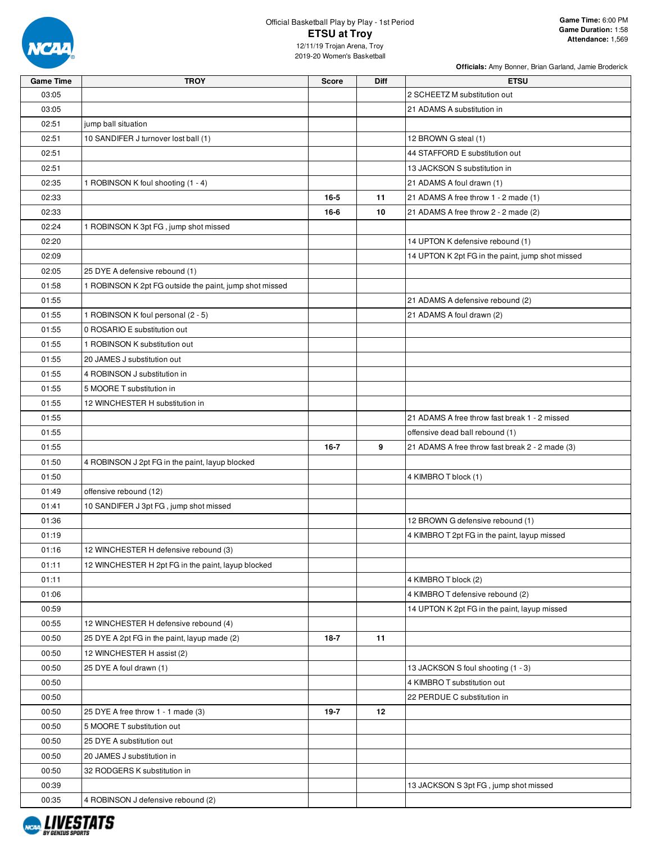

# Official Basketball Play by Play - 1st Period **ETSU at Troy**

| <b>Game Time</b> | <b>TROY</b>                                             | <b>Score</b> | Diff | <b>ETSU</b>                                      |
|------------------|---------------------------------------------------------|--------------|------|--------------------------------------------------|
| 03:05            |                                                         |              |      | 2 SCHEETZ M substitution out                     |
| 03:05            |                                                         |              |      | 21 ADAMS A substitution in                       |
| 02:51            | jump ball situation                                     |              |      |                                                  |
| 02:51            | 10 SANDIFER J turnover lost ball (1)                    |              |      | 12 BROWN G steal (1)                             |
| 02:51            |                                                         |              |      | 44 STAFFORD E substitution out                   |
| 02:51            |                                                         |              |      | 13 JACKSON S substitution in                     |
| 02:35            | 1 ROBINSON K foul shooting (1 - 4)                      |              |      | 21 ADAMS A foul drawn (1)                        |
| 02:33            |                                                         | 16-5         | 11   | 21 ADAMS A free throw 1 - 2 made (1)             |
| 02:33            |                                                         | 16-6         | 10   | 21 ADAMS A free throw 2 - 2 made (2)             |
| 02:24            | 1 ROBINSON K 3pt FG, jump shot missed                   |              |      |                                                  |
| 02:20            |                                                         |              |      | 14 UPTON K defensive rebound (1)                 |
| 02:09            |                                                         |              |      | 14 UPTON K 2pt FG in the paint, jump shot missed |
| 02:05            | 25 DYE A defensive rebound (1)                          |              |      |                                                  |
| 01:58            | 1 ROBINSON K 2pt FG outside the paint, jump shot missed |              |      |                                                  |
| 01:55            |                                                         |              |      | 21 ADAMS A defensive rebound (2)                 |
| 01:55            | 1 ROBINSON K foul personal (2 - 5)                      |              |      | 21 ADAMS A foul drawn (2)                        |
| 01:55            | 0 ROSARIO E substitution out                            |              |      |                                                  |
| 01:55            | 1 ROBINSON K substitution out                           |              |      |                                                  |
| 01:55            | 20 JAMES J substitution out                             |              |      |                                                  |
| 01:55            | 4 ROBINSON J substitution in                            |              |      |                                                  |
| 01:55            | 5 MOORE T substitution in                               |              |      |                                                  |
| 01:55            | 12 WINCHESTER H substitution in                         |              |      |                                                  |
| 01:55            |                                                         |              |      | 21 ADAMS A free throw fast break 1 - 2 missed    |
| 01:55            |                                                         |              |      | offensive dead ball rebound (1)                  |
| 01:55            |                                                         | $16 - 7$     | 9    | 21 ADAMS A free throw fast break 2 - 2 made (3)  |
| 01:50            | 4 ROBINSON J 2pt FG in the paint, layup blocked         |              |      |                                                  |
| 01:50            |                                                         |              |      | 4 KIMBRO T block (1)                             |
| 01:49            | offensive rebound (12)                                  |              |      |                                                  |
| 01:41            | 10 SANDIFER J 3pt FG, jump shot missed                  |              |      |                                                  |
| 01:36            |                                                         |              |      | 12 BROWN G defensive rebound (1)                 |
| 01:19            |                                                         |              |      | 4 KIMBRO T 2pt FG in the paint, layup missed     |
| 01:16            | 12 WINCHESTER H defensive rebound (3)                   |              |      |                                                  |
| 01:11            | 12 WINCHESTER H 2pt FG in the paint, layup blocked      |              |      |                                                  |
|                  |                                                         |              |      |                                                  |
| 01:11            |                                                         |              |      | 4 KIMBRO T block (2)                             |
| 01:06            |                                                         |              |      | 4 KIMBRO T defensive rebound (2)                 |
| 00:59            |                                                         |              |      | 14 UPTON K 2pt FG in the paint, layup missed     |
| 00:55            | 12 WINCHESTER H defensive rebound (4)                   |              |      |                                                  |
| 00:50            | 25 DYE A 2pt FG in the paint, layup made (2)            | 18-7         | 11   |                                                  |
| 00:50            | 12 WINCHESTER H assist (2)                              |              |      |                                                  |
| 00:50            | 25 DYE A foul drawn (1)                                 |              |      | 13 JACKSON S foul shooting (1 - 3)               |
| 00:50            |                                                         |              |      | 4 KIMBRO T substitution out                      |
| 00:50            |                                                         |              |      | 22 PERDUE C substitution in                      |
| 00:50            | 25 DYE A free throw 1 - 1 made (3)                      | $19-7$       | 12   |                                                  |
| 00:50            | 5 MOORE T substitution out                              |              |      |                                                  |
| 00:50            | 25 DYE A substitution out                               |              |      |                                                  |
| 00:50            | 20 JAMES J substitution in                              |              |      |                                                  |
| 00:50            | 32 RODGERS K substitution in                            |              |      |                                                  |
| 00:39            |                                                         |              |      | 13 JACKSON S 3pt FG, jump shot missed            |
| 00:35            | 4 ROBINSON J defensive rebound (2)                      |              |      |                                                  |

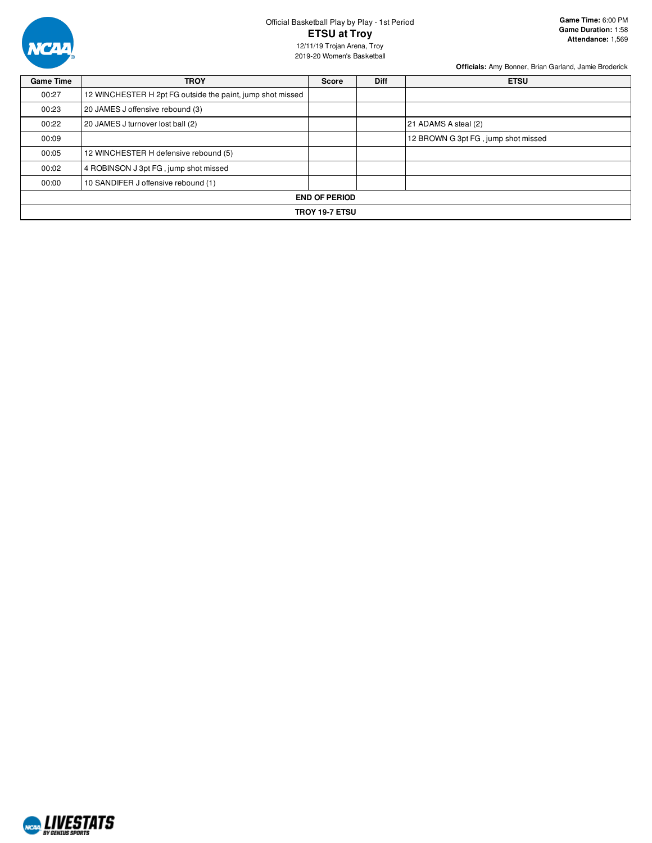

# Official Basketball Play by Play - 1st Period **ETSU at Troy**

**Game Time:** 6:00 PM **Game Duration:** 1:58 **Attendance:** 1,569

12/11/19 Trojan Arena, Troy 2019-20 Women's Basketball

| <b>Game Time</b> | <b>TROY</b>                                                | <b>Score</b>          | <b>Diff</b> | <b>ETSU</b>                         |
|------------------|------------------------------------------------------------|-----------------------|-------------|-------------------------------------|
| 00:27            | 12 WINCHESTER H 2pt FG outside the paint, jump shot missed |                       |             |                                     |
| 00:23            | 20 JAMES J offensive rebound (3)                           |                       |             |                                     |
| 00:22            | 20 JAMES J turnover lost ball (2)                          |                       |             | 21 ADAMS A steal (2)                |
| 00:09            |                                                            |                       |             | 12 BROWN G 3pt FG, jump shot missed |
| 00:05            | 12 WINCHESTER H defensive rebound (5)                      |                       |             |                                     |
| 00:02            | 4 ROBINSON J 3pt FG, jump shot missed                      |                       |             |                                     |
| 00:00            | 10 SANDIFER J offensive rebound (1)                        |                       |             |                                     |
|                  |                                                            | <b>END OF PERIOD</b>  |             |                                     |
|                  |                                                            | <b>TROY 19-7 ETSU</b> |             |                                     |

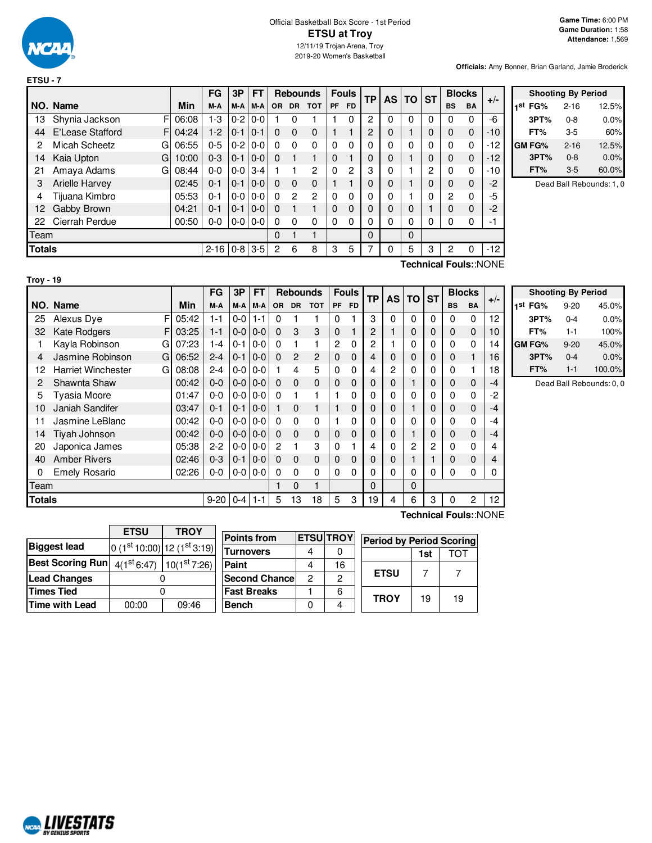

|               |                     |         | <b>FG</b> | 3P          | FT            |                |                | <b>Rebounds</b> |           | <b>Fouls</b> | ТP       | AS | <b>TO</b> | <b>ST</b> | <b>Blocks</b>  |           | $+/-$                                          |
|---------------|---------------------|---------|-----------|-------------|---------------|----------------|----------------|-----------------|-----------|--------------|----------|----|-----------|-----------|----------------|-----------|------------------------------------------------|
|               | NO. Name            | Min     | M-A       | M-A         | M-A           | <b>OR</b>      | DR.            | <b>TOT</b>      | <b>PF</b> | <b>FD</b>    |          |    |           |           | <b>BS</b>      | <b>BA</b> |                                                |
| 13            | F<br>Shynia Jackson | 06:08   | $1-3$     | $0 - 2$     | $0-0$         |                | 0              |                 |           | $\Omega$     | 2        | 0  | $\Omega$  | 0         | $\Omega$       | 0         | -6                                             |
| 44            | E'Lease Stafford    | F104:24 | $1-2$     | $0 - 1$     | $10-1$        | $\Omega$       | $\Omega$       | $\Omega$        |           |              | 2        | 0  |           | 0         | $\Omega$       | 0         | $-10$                                          |
| 2             | Micah Scheetz<br>G  | 06:55   | $0 - 5$   | $0 - 2$     | $0-0$         | 0              | $\Omega$       | $\Omega$        | $\Omega$  | $\Omega$     | 0        | 0  | 0         | 0         | $\Omega$       | 0         | $-12$                                          |
| 14            | Kaia Upton<br>G     | 10:00   | $0 - 3$   | $0 - 1$     | $ 0-0 $       | $\Omega$       |                |                 | $\Omega$  |              | 0        | 0  |           | $\Omega$  | 0              | 0         | $-12$                                          |
| 21            | Amaya Adams<br>G    | 08:44   | $0 - 0$   | $0 - 0$ 3-4 |               |                |                | 2               | $\Omega$  | 2            | 3        | 0  |           | 2         | $\Omega$       | 0         | $-10$                                          |
| 3             | Arielle Harvey      | 02:45   | $0 - 1$   | $0 - 1$     | $ 0-0 $       | $\Omega$       | $\Omega$       | $\Omega$        |           |              | 0        | 0  |           | 0         | $\Omega$       | 0         | $-2$                                           |
| 4             | Tijuana Kimbro      | 05:53   | $0 - 1$   | $0 - 0$     | $0 - 0$       | $\Omega$       | $\overline{c}$ | $\overline{2}$  | $\Omega$  | 0            | $\Omega$ | 0  |           | $\Omega$  | $\overline{2}$ | 0         | $-5$                                           |
| 12            | Gabby Brown         | 04:21   | $0 - 1$   | $0 - 1$     | $ 0-0 $       | $\Omega$       | 1              |                 | $\Omega$  | $\Omega$     | 0        | 0  | 0         |           | $\Omega$       | 0         | $-2$                                           |
| 22            | Cierrah Perdue      | 00:50   | $0-0$     |             | $0 - 0 0 - 0$ | $\Omega$       | $\Omega$       | $\Omega$        | $\Omega$  | $\Omega$     | 0        | 0  | 0         | 0         | $\Omega$       | 0         | -1                                             |
| Team          |                     |         |           |             |               | 0              |                | 1               |           |              | 0        |    | $\Omega$  |           |                |           |                                                |
| <b>Totals</b> |                     |         | $2 - 16$  |             | $0-8$ 3-5     | $\overline{c}$ | 6              | 8               | 3         | 5            | 7        | 0  | 5         | 3         | 2              | 0         | $-12$                                          |
|               |                     |         |           |             |               |                |                |                 |           |              |          |    |           |           |                |           | $T$ aahniaal $T$ aulau $N$ $\cap$ $N$ $\Gamma$ |

|     | <b>Shooting By Period</b> |          |       |  |  |  |  |  |  |  |  |  |
|-----|---------------------------|----------|-------|--|--|--|--|--|--|--|--|--|
| 1st | FG%                       | $2 - 16$ | 12.5% |  |  |  |  |  |  |  |  |  |
|     | 3PT%                      | $0 - 8$  | 0.0%  |  |  |  |  |  |  |  |  |  |
|     | FT%                       | 3-5      | 60%   |  |  |  |  |  |  |  |  |  |
|     | GM FG%                    | $2 - 16$ | 12.5% |  |  |  |  |  |  |  |  |  |
|     | 3PT%                      | $0 - 8$  | 0.0%  |  |  |  |  |  |  |  |  |  |
|     | FT%                       | $3-5$    | 60.0% |  |  |  |  |  |  |  |  |  |

Dead Ball Rebounds: 1, 0

**Technical Fouls:**:NONE

|               |                                |       | FG      | 3P      | FT      |          | <b>Rebounds</b> |                |              | <b>Fouls</b> | <b>TP</b> | <b>AS</b> | ΤO | <b>ST</b>      |           | <b>Blocks</b> | $+/-$ |  |
|---------------|--------------------------------|-------|---------|---------|---------|----------|-----------------|----------------|--------------|--------------|-----------|-----------|----|----------------|-----------|---------------|-------|--|
|               | NO. Name                       | Min   | M-A     | M-A     | M-A     | OR.      | <b>DR</b>       | <b>TOT</b>     | PF           | <b>FD</b>    |           |           |    |                | <b>BS</b> | <b>BA</b>     |       |  |
| 25            | F<br>Alexus Dye                | 05:42 | $1 - 1$ | $0 - 0$ | $1 - 1$ | 0        |                 | 1              | 0            |              | 3         | 0         | 0  | $\Omega$       | 0         | 0             | 12    |  |
| 32            | F<br><b>Kate Rodgers</b>       | 03:25 | $1 - 1$ | $0-0$   | $0 - 0$ | $\Omega$ | 3               | 3              | 0            |              | 2         |           | 0  | 0              | 0         | 0             | 10    |  |
|               | Kayla Robinson<br>G            | 07:23 | $1 - 4$ | $0 - 1$ | $0-0$   | $\Omega$ |                 | 1              | 2            | 0            | 2         |           | 0  | 0              | 0         | 0             | 14    |  |
| 4             | Jasmine Robinson<br>G          | 06:52 | $2 - 4$ | $0 - 1$ | $0 - 0$ | $\Omega$ | 2               | $\overline{c}$ | 0            | 0            | 4         | 0         | 0  | 0              | 0         | 1             | 16    |  |
| 12            | <b>Harriet Winchester</b><br>G | 08:08 | $2 - 4$ | $0-0$   | $0-0$   |          | 4               | 5              | 0            | 0            | 4         | 2         | 0  | 0              | 0         | 1             | 18    |  |
| 2             | Shawnta Shaw                   | 00:42 | $0 - 0$ | $0 - 0$ | $0 - 0$ | $\Omega$ | 0               | $\mathbf 0$    | $\Omega$     | 0            | 0         | 0         |    | 0              | 0         | $\mathbf 0$   | $-4$  |  |
| 5             | <b>Tyasia Moore</b>            | 01:47 | $0 - 0$ | $0-0$   | $0 - 0$ | $\Omega$ |                 | 1              |              | 0            | 0         | 0         | 0  | $\Omega$       | 0         | 0             | $-2$  |  |
| 10            | Janiah Sandifer                | 03:47 | $0 - 1$ | $0 - 1$ | $0 - 0$ | 1        | 0               | $\mathbf{1}$   |              | 0            | 0         | 0         |    | 0              | 0         | $\mathbf 0$   | $-4$  |  |
| 11            | Jasmine LeBlanc                | 00:42 | $0 - 0$ | $0-0$   | $0-0$   | $\Omega$ | 0               | 0              |              | 0            | 0         | 0         | 0  | 0              | 0         | $\mathbf 0$   | $-4$  |  |
| 14            | Tiyah Johnson                  | 00:42 | $0 - 0$ | $0-0$   | $0 - 0$ | $\Omega$ | 0               | $\mathbf 0$    | $\Omega$     | $\mathbf 0$  | 0         | 0         |    | 0              | 0         | 0             | $-4$  |  |
| 20            | Japonica James                 | 05:38 | $2 - 2$ | $0-0$   | $0-0$   | 2        |                 | 3              | $\Omega$     |              | 4         | 0         | 2  | $\overline{2}$ | 0         | 0             | 4     |  |
| 40            | <b>Amber Rivers</b>            | 02:46 | $0 - 3$ | $0 - 1$ | $0 - 0$ | $\Omega$ | 0               | $\mathbf 0$    | 0            | 0            | 0         | 0         |    |                | 0         | 0             | 4     |  |
| 0             | <b>Emely Rosario</b>           | 02:26 | $0 - 0$ | $0-0$   | $0 - 0$ | $\Omega$ | 0               | $\mathbf{0}$   | $\mathbf{0}$ | 0            | 0         | $\Omega$  | 0  | 0              | 0         | $\mathbf 0$   | 0     |  |
| Team          |                                |       |         |         |         |          | 0               | 1              |              |              | 0         |           | 0  |                |           |               |       |  |
| <b>Totals</b> |                                |       | 9-20    | $0 - 4$ | $1 - 1$ | 5        | 13              | 18             | 5            | 3            | ۱9        | 4         | 6  | 3              | 0         | 2             | 12    |  |

|         | <b>Shooting By Period</b> |        |
|---------|---------------------------|--------|
| 1st FG% | $9 - 20$                  | 45.0%  |
| 3PT%    | $0 - 4$                   | 0.0%   |
| FT%     | 1-1                       | 100%   |
| GM FG%  | $9 - 20$                  | 45.0%  |
| 3PT%    | $0 - 4$                   | 0.0%   |
| FT%     | $1 - 1$                   | 100.0% |

Dead Ball Rebounds: 0, 0

|                         | <b>ETSU</b> | <b>TROY</b>                            |  |
|-------------------------|-------------|----------------------------------------|--|
| <b>Biggest lead</b>     |             | $0(1st10:00) 12(1st3:19) $             |  |
| <b>Best Scoring Run</b> |             | $4(1st 6:47)$ 10(1 <sup>st</sup> 7:26) |  |
| <b>Lead Changes</b>     |             |                                        |  |
| <b>Times Tied</b>       |             |                                        |  |
| Time with Lead          | 00:00       | 09:46                                  |  |

| <b>Points from</b>    |   | <b>ETSU TROY</b> | Perio |
|-----------------------|---|------------------|-------|
| <b>Turnovers</b>      | 4 |                  |       |
| Paint                 |   | 16               |       |
| <b>Second Chancel</b> | 2 | 2                | F٦    |
| <b>Fast Breaks</b>    |   | 6                |       |
| <b>Bench</b>          | 0 |                  | Έ     |
|                       |   |                  |       |

**Technical Fouls:**:NONE

| <b>ROY</b>     |             | <b>Period by Period Scoring</b> |     |  |  |  |  |  |  |  |  |  |  |  |  |  |
|----------------|-------------|---------------------------------|-----|--|--|--|--|--|--|--|--|--|--|--|--|--|
|                |             | 1st                             | TOT |  |  |  |  |  |  |  |  |  |  |  |  |  |
| 16             | <b>ETSU</b> |                                 |     |  |  |  |  |  |  |  |  |  |  |  |  |  |
| $\overline{c}$ |             |                                 |     |  |  |  |  |  |  |  |  |  |  |  |  |  |
| 6              | <b>TROY</b> | 19                              | 19  |  |  |  |  |  |  |  |  |  |  |  |  |  |
|                |             |                                 |     |  |  |  |  |  |  |  |  |  |  |  |  |  |

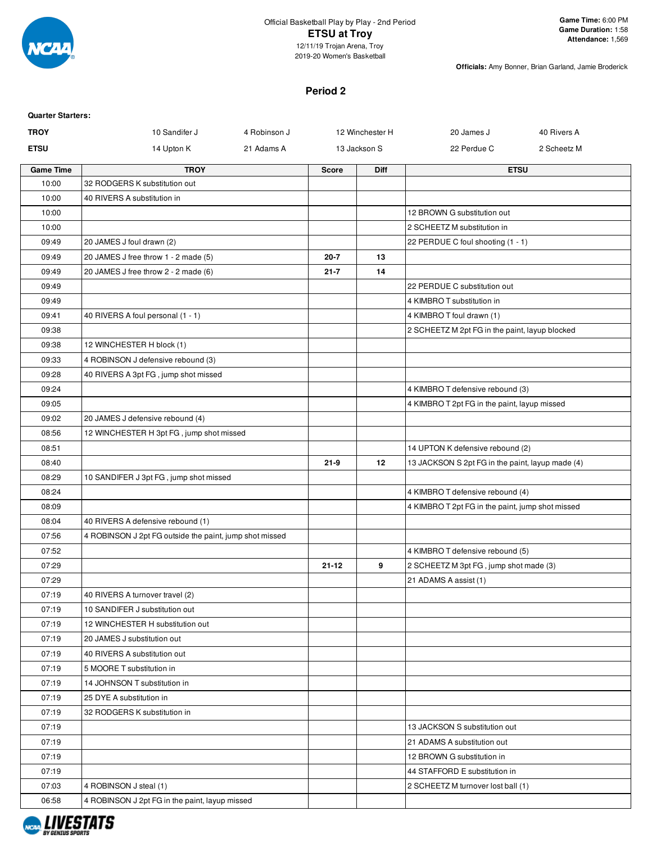

## Official Basketball Play by Play - 2nd Period **ETSU at Troy** 12/11/19 Trojan Arena, Troy

2019-20 Women's Basketball

**Officials:** Amy Bonner, Brian Garland, Jamie Broderick

## **Period 2**

| <b>Quarter Starters:</b> |                                                         |              |              |                 |                                                  |             |
|--------------------------|---------------------------------------------------------|--------------|--------------|-----------------|--------------------------------------------------|-------------|
| <b>TROY</b>              | 10 Sandifer J                                           | 4 Robinson J |              | 12 Winchester H | 20 James J                                       | 40 Rivers A |
| <b>ETSU</b>              | 14 Upton K                                              | 21 Adams A   |              | 13 Jackson S    | 22 Perdue C                                      | 2 Scheetz M |
| <b>Game Time</b>         | <b>TROY</b>                                             |              | <b>Score</b> | <b>Diff</b>     |                                                  | <b>ETSU</b> |
| 10:00                    | 32 RODGERS K substitution out                           |              |              |                 |                                                  |             |
| 10:00                    | 40 RIVERS A substitution in                             |              |              |                 |                                                  |             |
| 10:00                    |                                                         |              |              |                 | 12 BROWN G substitution out                      |             |
| 10:00                    |                                                         |              |              |                 | 2 SCHEETZ M substitution in                      |             |
| 09:49                    | 20 JAMES J foul drawn (2)                               |              |              |                 | 22 PERDUE C foul shooting (1 - 1)                |             |
| 09:49                    | 20 JAMES J free throw 1 - 2 made (5)                    |              | $20 - 7$     | 13              |                                                  |             |
| 09:49                    | 20 JAMES J free throw 2 - 2 made (6)                    |              | $21 - 7$     | 14              |                                                  |             |
| 09:49                    |                                                         |              |              |                 | 22 PERDUE C substitution out                     |             |
| 09:49                    |                                                         |              |              |                 | 4 KIMBRO T substitution in                       |             |
| 09:41                    | 40 RIVERS A foul personal (1 - 1)                       |              |              |                 | 4 KIMBRO T foul drawn (1)                        |             |
| 09:38                    |                                                         |              |              |                 | 2 SCHEETZ M 2pt FG in the paint, layup blocked   |             |
| 09:38                    | 12 WINCHESTER H block (1)                               |              |              |                 |                                                  |             |
| 09:33                    | 4 ROBINSON J defensive rebound (3)                      |              |              |                 |                                                  |             |
| 09:28                    | 40 RIVERS A 3pt FG, jump shot missed                    |              |              |                 |                                                  |             |
| 09:24                    |                                                         |              |              |                 | 4 KIMBRO T defensive rebound (3)                 |             |
| 09:05                    |                                                         |              |              |                 | 4 KIMBRO T 2pt FG in the paint, layup missed     |             |
| 09:02                    | 20 JAMES J defensive rebound (4)                        |              |              |                 |                                                  |             |
| 08:56                    | 12 WINCHESTER H 3pt FG, jump shot missed                |              |              |                 |                                                  |             |
| 08:51                    |                                                         |              |              |                 | 14 UPTON K defensive rebound (2)                 |             |
| 08:40                    |                                                         |              | $21 - 9$     | 12              | 13 JACKSON S 2pt FG in the paint, layup made (4) |             |
| 08:29                    | 10 SANDIFER J 3pt FG, jump shot missed                  |              |              |                 |                                                  |             |
| 08:24                    |                                                         |              |              |                 | 4 KIMBRO T defensive rebound (4)                 |             |
| 08:09                    |                                                         |              |              |                 | 4 KIMBRO T 2pt FG in the paint, jump shot missed |             |
| 08:04                    | 40 RIVERS A defensive rebound (1)                       |              |              |                 |                                                  |             |
| 07:56                    | 4 ROBINSON J 2pt FG outside the paint, jump shot missed |              |              |                 |                                                  |             |
| 07:52                    |                                                         |              |              |                 | 4 KIMBRO T defensive rebound (5)                 |             |
| 07:29                    |                                                         |              | $21 - 12$    | 9               | 2 SCHEETZ M 3pt FG, jump shot made (3)           |             |
| 07:29                    |                                                         |              |              |                 | 21 ADAMS A assist (1)                            |             |
| 07:19                    | 40 RIVERS A turnover travel (2)                         |              |              |                 |                                                  |             |
| 07:19                    | 10 SANDIFER J substitution out                          |              |              |                 |                                                  |             |
| 07:19                    | 12 WINCHESTER H substitution out                        |              |              |                 |                                                  |             |
| 07:19                    | 20 JAMES J substitution out                             |              |              |                 |                                                  |             |
| 07:19                    | 40 RIVERS A substitution out                            |              |              |                 |                                                  |             |
| 07:19                    | 5 MOORE T substitution in                               |              |              |                 |                                                  |             |
| 07:19                    | 14 JOHNSON T substitution in                            |              |              |                 |                                                  |             |
| 07:19                    | 25 DYE A substitution in                                |              |              |                 |                                                  |             |
| 07:19                    | 32 RODGERS K substitution in                            |              |              |                 |                                                  |             |
| 07:19                    |                                                         |              |              |                 | 13 JACKSON S substitution out                    |             |
| 07:19                    |                                                         |              |              |                 | 21 ADAMS A substitution out                      |             |
| 07:19                    |                                                         |              |              |                 | 12 BROWN G substitution in                       |             |
| 07:19                    |                                                         |              |              |                 | 44 STAFFORD E substitution in                    |             |
| 07:03                    | 4 ROBINSON J steal (1)                                  |              |              |                 | 2 SCHEETZ M turnover lost ball (1)               |             |
| 06:58                    | 4 ROBINSON J 2pt FG in the paint, layup missed          |              |              |                 |                                                  |             |
|                          |                                                         |              |              |                 |                                                  |             |

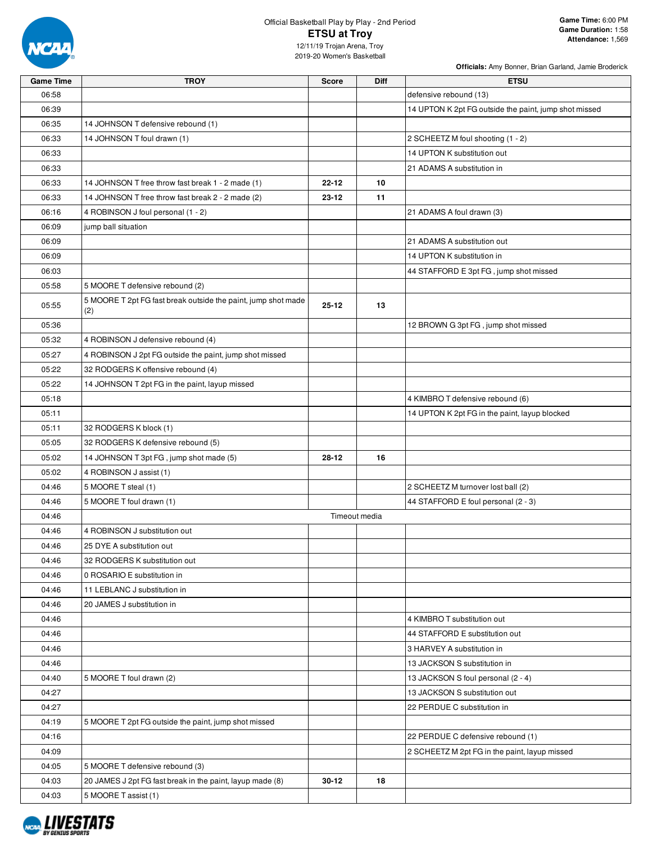

# Official Basketball Play by Play - 2nd Period **ETSU at Troy**

12/11/19 Trojan Arena, Troy 2019-20 Women's Basketball

| <b>Game Time</b> | <b>TROY</b>                                                          | <b>Score</b> | <b>Diff</b>   | <b>ETSU</b>                                           |
|------------------|----------------------------------------------------------------------|--------------|---------------|-------------------------------------------------------|
| 06:58            |                                                                      |              |               | defensive rebound (13)                                |
| 06:39            |                                                                      |              |               | 14 UPTON K 2pt FG outside the paint, jump shot missed |
| 06:35            | 14 JOHNSON T defensive rebound (1)                                   |              |               |                                                       |
| 06:33            | 14 JOHNSON T foul drawn (1)                                          |              |               | 2 SCHEETZ M foul shooting (1 - 2)                     |
| 06:33            |                                                                      |              |               | 14 UPTON K substitution out                           |
| 06:33            |                                                                      |              |               | 21 ADAMS A substitution in                            |
| 06:33            | 14 JOHNSON T free throw fast break 1 - 2 made (1)                    | $22 - 12$    | 10            |                                                       |
| 06:33            | 14 JOHNSON T free throw fast break 2 - 2 made (2)                    | $23 - 12$    | 11            |                                                       |
| 06:16            | 4 ROBINSON J foul personal (1 - 2)                                   |              |               | 21 ADAMS A foul drawn (3)                             |
| 06:09            | jump ball situation                                                  |              |               |                                                       |
| 06:09            |                                                                      |              |               | 21 ADAMS A substitution out                           |
| 06:09            |                                                                      |              |               | 14 UPTON K substitution in                            |
| 06:03            |                                                                      |              |               | 44 STAFFORD E 3pt FG, jump shot missed                |
| 05:58            | 5 MOORE T defensive rebound (2)                                      |              |               |                                                       |
| 05:55            | 5 MOORE T 2pt FG fast break outside the paint, jump shot made<br>(2) | $25 - 12$    | 13            |                                                       |
| 05:36            |                                                                      |              |               | 12 BROWN G 3pt FG, jump shot missed                   |
| 05:32            | 4 ROBINSON J defensive rebound (4)                                   |              |               |                                                       |
| 05:27            | 4 ROBINSON J 2pt FG outside the paint, jump shot missed              |              |               |                                                       |
| 05:22            | 32 RODGERS K offensive rebound (4)                                   |              |               |                                                       |
| 05:22            | 14 JOHNSON T 2pt FG in the paint, layup missed                       |              |               |                                                       |
| 05:18            |                                                                      |              |               | 4 KIMBRO T defensive rebound (6)                      |
| 05:11            |                                                                      |              |               | 14 UPTON K 2pt FG in the paint, layup blocked         |
| 05:11            | 32 RODGERS K block (1)                                               |              |               |                                                       |
| 05:05            | 32 RODGERS K defensive rebound (5)                                   |              |               |                                                       |
| 05:02            | 14 JOHNSON T 3pt FG, jump shot made (5)                              | $28 - 12$    | 16            |                                                       |
| 05:02            | 4 ROBINSON J assist (1)                                              |              |               |                                                       |
| 04:46            | 5 MOORE T steal (1)                                                  |              |               | 2 SCHEETZ M turnover lost ball (2)                    |
| 04:46            | 5 MOORE T foul drawn (1)                                             |              |               | 44 STAFFORD E foul personal (2 - 3)                   |
| 04:46            |                                                                      |              | Timeout media |                                                       |
| 04:46            | 4 ROBINSON J substitution out                                        |              |               |                                                       |
| 04:46            | 25 DYE A substitution out                                            |              |               |                                                       |
| 04:46            | 32 RODGERS K substitution out                                        |              |               |                                                       |
| 04:46            | 0 ROSARIO E substitution in                                          |              |               |                                                       |
| 04:46            | 11 LEBLANC J substitution in                                         |              |               |                                                       |
| 04:46            | 20 JAMES J substitution in                                           |              |               |                                                       |
| 04:46            |                                                                      |              |               | 4 KIMBRO T substitution out                           |
| 04:46            |                                                                      |              |               | 44 STAFFORD E substitution out                        |
| 04:46            |                                                                      |              |               | 3 HARVEY A substitution in                            |
| 04:46            |                                                                      |              |               | 13 JACKSON S substitution in                          |
| 04:40            | 5 MOORE T foul drawn (2)                                             |              |               | 13 JACKSON S foul personal (2 - 4)                    |
| 04:27            |                                                                      |              |               | 13 JACKSON S substitution out                         |
| 04:27            |                                                                      |              |               | 22 PERDUE C substitution in                           |
| 04:19            | 5 MOORE T 2pt FG outside the paint, jump shot missed                 |              |               |                                                       |
| 04:16            |                                                                      |              |               | 22 PERDUE C defensive rebound (1)                     |
| 04:09            |                                                                      |              |               | 2 SCHEETZ M 2pt FG in the paint, layup missed         |
| 04:05            | 5 MOORE T defensive rebound (3)                                      |              |               |                                                       |
| 04:03            | 20 JAMES J 2pt FG fast break in the paint, layup made (8)            | $30 - 12$    | 18            |                                                       |
| 04:03            | 5 MOORE T assist (1)                                                 |              |               |                                                       |

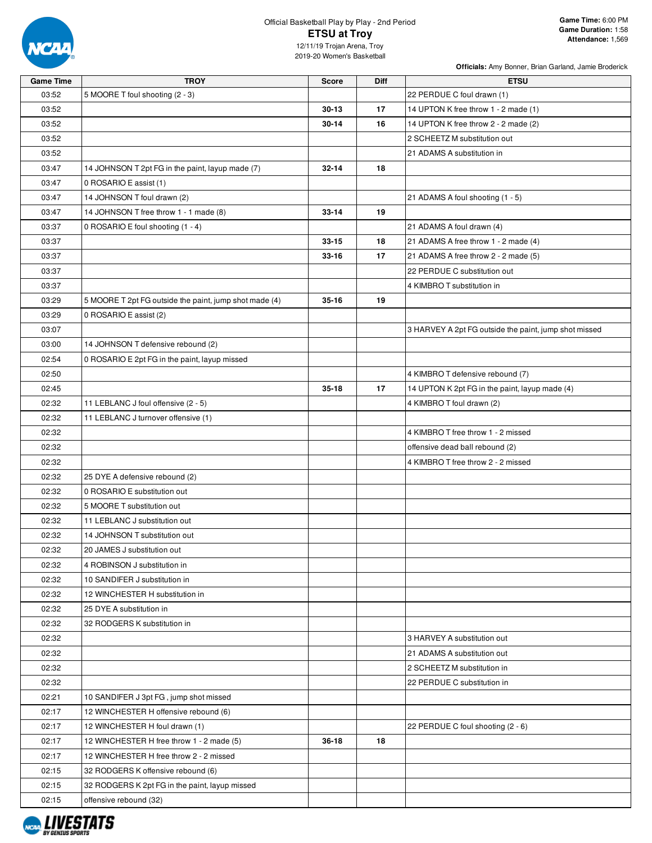

## Official Basketball Play by Play - 2nd Period **ETSU at Troy**

12/11/19 Trojan Arena, Troy 2019-20 Women's Basketball

| <b>Game Time</b> | <b>TROY</b>                                            | <b>Score</b> | <b>Diff</b> | <b>ETSU</b>                                           |
|------------------|--------------------------------------------------------|--------------|-------------|-------------------------------------------------------|
| 03:52            | 5 MOORE T foul shooting (2 - 3)                        |              |             | 22 PERDUE C foul drawn (1)                            |
| 03:52            |                                                        | $30 - 13$    | 17          | 14 UPTON K free throw 1 - 2 made (1)                  |
| 03:52            |                                                        | $30 - 14$    | 16          | 14 UPTON K free throw 2 - 2 made (2)                  |
| 03:52            |                                                        |              |             | 2 SCHEETZ M substitution out                          |
| 03:52            |                                                        |              |             | 21 ADAMS A substitution in                            |
| 03:47            | 14 JOHNSON T 2pt FG in the paint, layup made (7)       | $32 - 14$    | 18          |                                                       |
| 03:47            | 0 ROSARIO E assist (1)                                 |              |             |                                                       |
| 03:47            | 14 JOHNSON T foul drawn (2)                            |              |             | 21 ADAMS A foul shooting (1 - 5)                      |
| 03:47            | 14 JOHNSON T free throw 1 - 1 made (8)                 | $33 - 14$    | 19          |                                                       |
| 03:37            | 0 ROSARIO E foul shooting (1 - 4)                      |              |             | 21 ADAMS A foul drawn (4)                             |
| 03:37            |                                                        | $33 - 15$    | 18          | 21 ADAMS A free throw 1 - 2 made (4)                  |
| 03:37            |                                                        | $33 - 16$    | 17          | 21 ADAMS A free throw 2 - 2 made (5)                  |
| 03:37            |                                                        |              |             | 22 PERDUE C substitution out                          |
| 03:37            |                                                        |              |             | 4 KIMBRO T substitution in                            |
| 03:29            | 5 MOORE T 2pt FG outside the paint, jump shot made (4) | $35 - 16$    | 19          |                                                       |
| 03:29            | 0 ROSARIO E assist (2)                                 |              |             |                                                       |
| 03:07            |                                                        |              |             | 3 HARVEY A 2pt FG outside the paint, jump shot missed |
| 03:00            | 14 JOHNSON T defensive rebound (2)                     |              |             |                                                       |
| 02:54            | 0 ROSARIO E 2pt FG in the paint, layup missed          |              |             |                                                       |
| 02:50            |                                                        |              |             | 4 KIMBRO T defensive rebound (7)                      |
| 02:45            |                                                        | $35 - 18$    | 17          | 14 UPTON K 2pt FG in the paint, layup made (4)        |
| 02:32            | 11 LEBLANC J foul offensive (2 - 5)                    |              |             | 4 KIMBRO T foul drawn (2)                             |
| 02:32            | 11 LEBLANC J turnover offensive (1)                    |              |             |                                                       |
| 02:32            |                                                        |              |             | 4 KIMBRO T free throw 1 - 2 missed                    |
| 02:32            |                                                        |              |             | offensive dead ball rebound (2)                       |
| 02:32            |                                                        |              |             | 4 KIMBRO T free throw 2 - 2 missed                    |
| 02:32            | 25 DYE A defensive rebound (2)                         |              |             |                                                       |
| 02:32            | 0 ROSARIO E substitution out                           |              |             |                                                       |
| 02:32            | 5 MOORE T substitution out                             |              |             |                                                       |
| 02:32            | 11 LEBLANC J substitution out                          |              |             |                                                       |
| 02:32            | 14 JOHNSON T substitution out                          |              |             |                                                       |
| 02:32            | 20 JAMES J substitution out                            |              |             |                                                       |
| 02:32            | 4 ROBINSON J substitution in                           |              |             |                                                       |
| 02:32            | 10 SANDIFER J substitution in                          |              |             |                                                       |
| 02:32            | 12 WINCHESTER H substitution in                        |              |             |                                                       |
| 02:32            | 25 DYE A substitution in                               |              |             |                                                       |
| 02:32            | 32 RODGERS K substitution in                           |              |             |                                                       |
| 02:32            |                                                        |              |             | 3 HARVEY A substitution out                           |
| 02:32            |                                                        |              |             | 21 ADAMS A substitution out                           |
| 02:32            |                                                        |              |             | 2 SCHEETZ M substitution in                           |
| 02:32            |                                                        |              |             | 22 PERDUE C substitution in                           |
| 02:21            | 10 SANDIFER J 3pt FG, jump shot missed                 |              |             |                                                       |
| 02:17            | 12 WINCHESTER H offensive rebound (6)                  |              |             |                                                       |
| 02:17            | 12 WINCHESTER H foul drawn (1)                         |              |             | 22 PERDUE C foul shooting (2 - 6)                     |
| 02:17            | 12 WINCHESTER H free throw 1 - 2 made (5)              | $36 - 18$    | 18          |                                                       |
| 02:17            | 12 WINCHESTER H free throw 2 - 2 missed                |              |             |                                                       |
| 02:15            | 32 RODGERS K offensive rebound (6)                     |              |             |                                                       |
| 02:15            | 32 RODGERS K 2pt FG in the paint, layup missed         |              |             |                                                       |
| 02:15            | offensive rebound (32)                                 |              |             |                                                       |

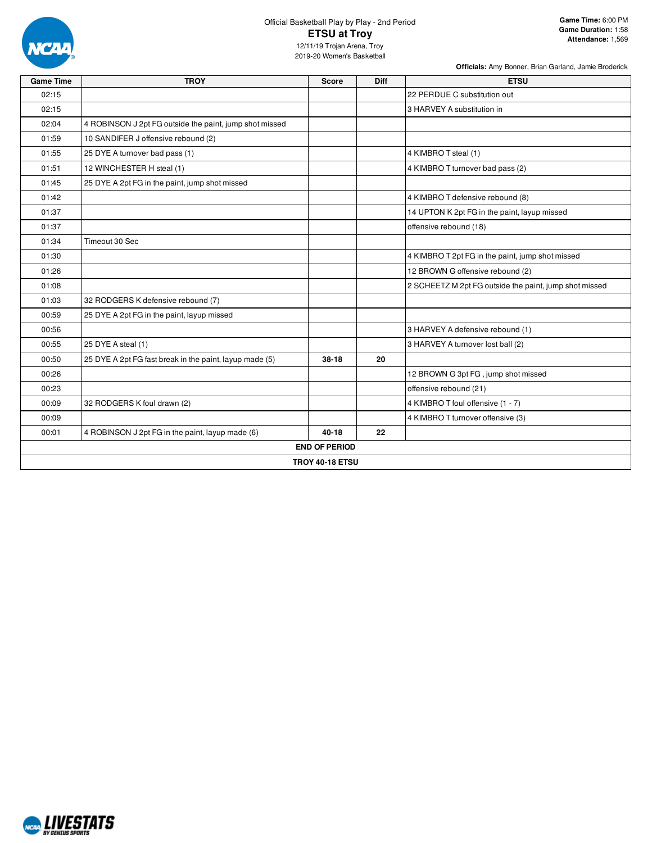

# Official Basketball Play by Play - 2nd Period **ETSU at Troy**

**Officials:** Amy Bonner, Brian Garland, Jamie Broderick

12/11/19 Trojan Arena, Troy 2019-20 Women's Basketball

| <b>Game Time</b> | <b>TROY</b>                                             | <b>Score</b>           | Diff | <b>ETSU</b>                                            |
|------------------|---------------------------------------------------------|------------------------|------|--------------------------------------------------------|
| 02:15            |                                                         |                        |      | 22 PERDUE C substitution out                           |
| 02:15            |                                                         |                        |      | 3 HARVEY A substitution in                             |
| 02:04            | 4 ROBINSON J 2pt FG outside the paint, jump shot missed |                        |      |                                                        |
| 01:59            | 10 SANDIFER J offensive rebound (2)                     |                        |      |                                                        |
| 01:55            | 25 DYE A turnover bad pass (1)                          |                        |      | 4 KIMBRO T steal (1)                                   |
| 01:51            | 12 WINCHESTER H steal (1)                               |                        |      | 4 KIMBRO T turnover bad pass (2)                       |
| 01:45            | 25 DYE A 2pt FG in the paint, jump shot missed          |                        |      |                                                        |
| 01:42            |                                                         |                        |      | 4 KIMBRO T defensive rebound (8)                       |
| 01:37            |                                                         |                        |      | 14 UPTON K 2pt FG in the paint, layup missed           |
| 01:37            |                                                         |                        |      | offensive rebound (18)                                 |
| 01:34            | Timeout 30 Sec                                          |                        |      |                                                        |
| 01:30            |                                                         |                        |      | 4 KIMBRO T 2pt FG in the paint, jump shot missed       |
| 01:26            |                                                         |                        |      | 12 BROWN G offensive rebound (2)                       |
| 01:08            |                                                         |                        |      | 2 SCHEETZ M 2pt FG outside the paint, jump shot missed |
| 01:03            | 32 RODGERS K defensive rebound (7)                      |                        |      |                                                        |
| 00:59            | 25 DYE A 2pt FG in the paint, layup missed              |                        |      |                                                        |
| 00:56            |                                                         |                        |      | 3 HARVEY A defensive rebound (1)                       |
| 00:55            | 25 DYE A steal (1)                                      |                        |      | 3 HARVEY A turnover lost ball (2)                      |
| 00:50            | 25 DYE A 2pt FG fast break in the paint, layup made (5) | $38-18$                | 20   |                                                        |
| 00:26            |                                                         |                        |      | 12 BROWN G 3pt FG, jump shot missed                    |
| 00:23            |                                                         |                        |      | offensive rebound (21)                                 |
| 00:09            | 32 RODGERS K foul drawn (2)                             |                        |      | 4 KIMBRO T foul offensive (1 - 7)                      |
| 00:09            |                                                         |                        |      | 4 KIMBRO T turnover offensive (3)                      |
| 00:01            | 4 ROBINSON J 2pt FG in the paint, layup made (6)        | $40 - 18$              | 22   |                                                        |
|                  |                                                         | <b>END OF PERIOD</b>   |      |                                                        |
|                  |                                                         | <b>TROY 40-18 ETSU</b> |      |                                                        |

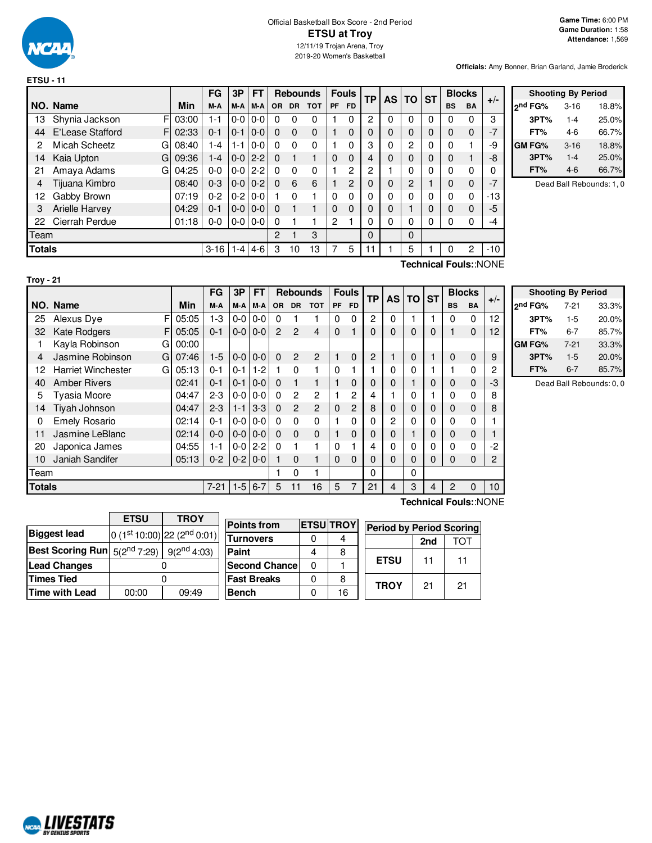

|                                                                                                                           |                                          |       | FG      | 3P            | <b>FT</b> |           | <b>Rebounds</b> |            |              | <b>Fouls</b> | <b>TP</b>      | AS I | <b>TO</b> | <b>ST</b> |           | <b>Blocks</b> | $+/-$ |
|---------------------------------------------------------------------------------------------------------------------------|------------------------------------------|-------|---------|---------------|-----------|-----------|-----------------|------------|--------------|--------------|----------------|------|-----------|-----------|-----------|---------------|-------|
|                                                                                                                           | NO. Name                                 | Min   | M-A     | M-A           | M-A       | <b>OR</b> | <b>DR</b>       | <b>TOT</b> | <b>PF</b>    | FD.          |                |      |           |           | <b>BS</b> | <b>BA</b>     |       |
| 13                                                                                                                        | F<br>Shynia Jackson                      | 03:00 | $1 - 1$ | $0-0$         | $0 - 0$   | 0         | 0               | 0          |              | 0            | 2              | 0    | 0         | 0         | 0         | $\Omega$      | 3     |
| 44                                                                                                                        | <b>E'Lease Stafford</b><br>FI            | 02:33 | $0 - 1$ | $0 - 1$       | $0-0$     | 0         | $\Omega$        | $\Omega$   |              | 0            | 0              | 0    | 0         | 0         | 0         | $\Omega$      | $-7$  |
| 2                                                                                                                         | Micah Scheetz<br>G                       | 08:40 | 1-4     | $1 - 1$       | $0 - 0$   | $\Omega$  | $\Omega$        | $\Omega$   |              | $\Omega$     | 3              | 0    | 2         | 0         | $\Omega$  |               | -9    |
| 14                                                                                                                        | Kaia Upton<br>G                          | 09:36 | 1-4     | $0 - 0$   2-2 |           | $\Omega$  |                 |            | 0            | 0            |                | 0    | 0         | 0         | 0         |               | -8    |
| 21                                                                                                                        | Amaya Adams<br>G                         | 04:25 | $0 - 0$ | $0-0$         | $2-2$     | 0         | $\Omega$        | $\Omega$   |              | 2            | $\overline{c}$ |      | 0         | 0         | 0         | $\Omega$      | 0     |
| 4                                                                                                                         | Tijuana Kimbro                           | 08:40 | $0 - 3$ | $0 - 0 0 - 2$ |           | 0         | 6               | 6          |              | 2            | 0              | 0    | 2         |           | 0         | $\Omega$      | $-7$  |
| 12                                                                                                                        | Gabby Brown                              | 07:19 | $0 - 2$ | $0 - 2$       | $0 - 0$   |           | $\Omega$        |            | 0            | 0            | 0              | 0    | 0         | 0         | $\Omega$  | $\Omega$      | -13   |
| 3                                                                                                                         | Arielle Harvey                           | 04:29 | $0 - 1$ | $0 - 0 0 - 0$ |           | 0         |                 |            | 0            | $\Omega$     | 0              | 0    |           | 0         | 0         | 0             | -5    |
| 22                                                                                                                        | Cierrah Perdue                           | 01:18 | $0 - 0$ | $0-0$         | $0-0$     | 0         |                 |            | $\mathbf{2}$ |              | 0              | 0    | 0         | 0         | $\Omega$  | $\Omega$      | -4    |
| Team                                                                                                                      |                                          |       |         |               |           | 2         |                 | 3          |              |              | 0              |      | 0         |           |           |               |       |
|                                                                                                                           | <b>Totals</b><br>$3 - 16$<br>$4-6$<br>-4 |       |         |               |           |           | 10              | 13         |              | 5            | 11             |      | 5         |           | 0         | 2             | $-10$ |
| where $\mathbf{r} = \mathbf{r}$ , $\mathbf{r} = \mathbf{r}$ , $\mathbf{r} = \mathbf{r}$ , $\mathbf{r} = \mathbf{r}$<br>┯. |                                          |       |         |               |           |           |                 |            |              |              |                |      |           |           |           |               |       |

| <b>Shooting By Period</b> |          |       |  |  |  |  |  |  |  |  |  |  |  |
|---------------------------|----------|-------|--|--|--|--|--|--|--|--|--|--|--|
| <sub>2</sub> nd FG%       | $3 - 16$ | 18.8% |  |  |  |  |  |  |  |  |  |  |  |
| 3PT%                      | $1 - 4$  | 25.0% |  |  |  |  |  |  |  |  |  |  |  |
| FT%                       | 4-6      | 66.7% |  |  |  |  |  |  |  |  |  |  |  |
| <b>GM FG%</b>             | $3 - 16$ | 18.8% |  |  |  |  |  |  |  |  |  |  |  |
| 3PT%                      | $1 - 4$  | 25.0% |  |  |  |  |  |  |  |  |  |  |  |
| FT%                       | 4-6      | 66.7% |  |  |  |  |  |  |  |  |  |  |  |

Dead Ball Rebounds: 1, 0

**Troy - 21**

**Technical Fouls:**:NONE

|               |                                |       | FG       | 3P      | <b>FT</b> |                | <b>Rebounds</b> |                |          | <b>Fouls</b>   | <b>TP</b> | <b>AS</b> | TO I | <b>ST</b> | <b>Blocks</b> |              | $+/-$ |
|---------------|--------------------------------|-------|----------|---------|-----------|----------------|-----------------|----------------|----------|----------------|-----------|-----------|------|-----------|---------------|--------------|-------|
|               | NO. Name                       | Min   | M-A      | M-A     | M-A       | <b>OR</b>      | <b>DR</b>       | <b>TOT</b>     | PF       | <b>FD</b>      |           |           |      |           | <b>BS</b>     | <b>BA</b>    |       |
| 25            | F<br>Alexus Dye                | 05:05 | $1-3$    | $0-0$   | $0 - 0$   | $\Omega$       |                 |                | 0        | $\mathbf{0}$   | 2         | $\Omega$  |      |           | $\Omega$      | $\Omega$     | 12    |
| 32            | <b>Kate Rodgers</b><br>F       | 05:05 | $0 - 1$  | $0 - 0$ | $0-0$     | $\overline{2}$ | $\mathcal{P}$   | $\overline{4}$ | $\Omega$ |                | 0         | $\Omega$  | 0    | 0         |               | $\mathbf 0$  | 12    |
|               | Kayla Robinson<br>G            | 00:00 |          |         |           |                |                 |                |          |                |           |           |      |           |               |              |       |
| 4             | Jasmine Robinson<br>G          | 07:46 | $1-5$    | $0 - 0$ | $0 - 0$   | $\Omega$       | 2               | $\overline{2}$ |          | $\Omega$       | 2         |           | 0    |           | $\Omega$      | $\mathbf 0$  | 9     |
| 12            | <b>Harriet Winchester</b><br>G | 05:13 | $0 - 1$  | $0 - 1$ | $1-2$     |                | $\Omega$        |                | $\Omega$ |                |           | 0         | 0    |           |               | $\Omega$     | 2     |
| 40            | <b>Amber Rivers</b>            | 02:41 | $0 - 1$  | $0 - 1$ | $0 - 0$   | $\Omega$       |                 |                |          | $\Omega$       | 0         | 0         |      | 0         | $\Omega$      | $\mathbf{0}$ | -3    |
| 5             | Tyasia Moore                   | 04:47 | $2-3$    | $0 - 0$ | $0-0$     | $\Omega$       | 2               | $\overline{c}$ |          | 2              | 4         |           | 0    |           | 0             | $\Omega$     | 8     |
| 14            | Tiyah Johnson                  | 04:47 | $2 - 3$  | $1 - 1$ | $3-3$     | $\Omega$       | $\mathcal{P}$   | $\mathbf{P}$   | $\Omega$ | $\overline{2}$ | 8         | 0         | 0    | 0         | $\Omega$      | $\Omega$     | 8     |
| 0             | <b>Emely Rosario</b>           | 02:14 | $0 - 1$  | $0 - 0$ | $0-0$     | $\Omega$       | $\Omega$        | $\Omega$       |          | $\Omega$       | 0         | 2         | 0    | 0         | 0             | $\Omega$     |       |
| 11            | Jasmine LeBlanc                | 02:14 | $0 - 0$  | $0 - 0$ | $0 - 0$   | $\Omega$       | $\Omega$        | $\Omega$       |          | $\Omega$       | 0         | $\Omega$  |      | 0         | $\Omega$      | $\mathbf 0$  |       |
| 20            | Japonica James                 | 04:55 | $1 - 1$  | $0-0$   | $2 - 2$   | $\Omega$       |                 | 1              | $\Omega$ |                | 4         | $\Omega$  | 0    | 0         | 0             | $\Omega$     | $-2$  |
| 10            | Janiah Sandifer                | 05:13 | $0 - 2$  | $0 - 2$ | $0-0$     |                | $\Omega$        |                | 0        | $\Omega$       | 0         | $\Omega$  | 0    | 0         | $\Omega$      | $\Omega$     | 2     |
| Team          |                                |       |          |         |           |                | $\Omega$        |                |          |                | 0         |           | 0    |           |               |              |       |
| <b>Totals</b> |                                |       | $7 - 21$ | $1-5$   | $6 - 7$   | 5              | 11              | 16             | 5        | 7              | 21        | 4         | 3    | 4         | 2             | $\Omega$     | 10    |

| <b>Shooting By Period</b> |               |       |  |  |  |  |  |  |  |  |
|---------------------------|---------------|-------|--|--|--|--|--|--|--|--|
| 2 <sup>nd</sup> FG%       | 33.3%<br>7-21 |       |  |  |  |  |  |  |  |  |
| 3PT%                      | $1-5$         | 20.0% |  |  |  |  |  |  |  |  |
| 85.7%<br>FT%<br>6-7       |               |       |  |  |  |  |  |  |  |  |
| GM FG%                    | $7-21$        | 33.3% |  |  |  |  |  |  |  |  |
| 3PT%                      | $1-5$         | 20.0% |  |  |  |  |  |  |  |  |
| FT%                       | $6 - 7$       | 85.7% |  |  |  |  |  |  |  |  |

Dead Ball Rebounds: 0, 0

|                                                                  | <b>ETSU</b> | <b>TROY</b>                             |  |  |  |  |
|------------------------------------------------------------------|-------------|-----------------------------------------|--|--|--|--|
| <b>Biggest lead</b>                                              |             | 0 (1st 10:00) 22 (2 <sup>nd</sup> 0:01) |  |  |  |  |
| <b>Best Scoring Run</b> $5(2^{nd} 7:29)$ 9(2 <sup>nd</sup> 4:03) |             |                                         |  |  |  |  |
| <b>Lead Changes</b>                                              |             |                                         |  |  |  |  |
| <b>Times Tied</b>                                                |             |                                         |  |  |  |  |
| Time with Lead                                                   | 00:00       | 09:49                                   |  |  |  |  |

| <b>Points from</b>   |   | <b>ETSU TROY</b> | <b>Period by Period Scoring</b> |     |     |  |  |  |
|----------------------|---|------------------|---------------------------------|-----|-----|--|--|--|
| <b> Turnovers</b>    |   |                  |                                 | 2nd | TOT |  |  |  |
| Paint                |   | 8                |                                 |     |     |  |  |  |
| <b>Second Chance</b> | 0 |                  | <b>ETSU</b>                     | 11  | 11  |  |  |  |
| <b>Fast Breaks</b>   |   | 8                |                                 |     |     |  |  |  |
| Bench                |   | 16               | <b>TROY</b>                     | 21  | 21  |  |  |  |

**Technical Fouls:**:NONE

| <b>MALIVESTATS</b><br><b>BY GENIUS SPORTS</b> |
|-----------------------------------------------|
|                                               |
|                                               |

I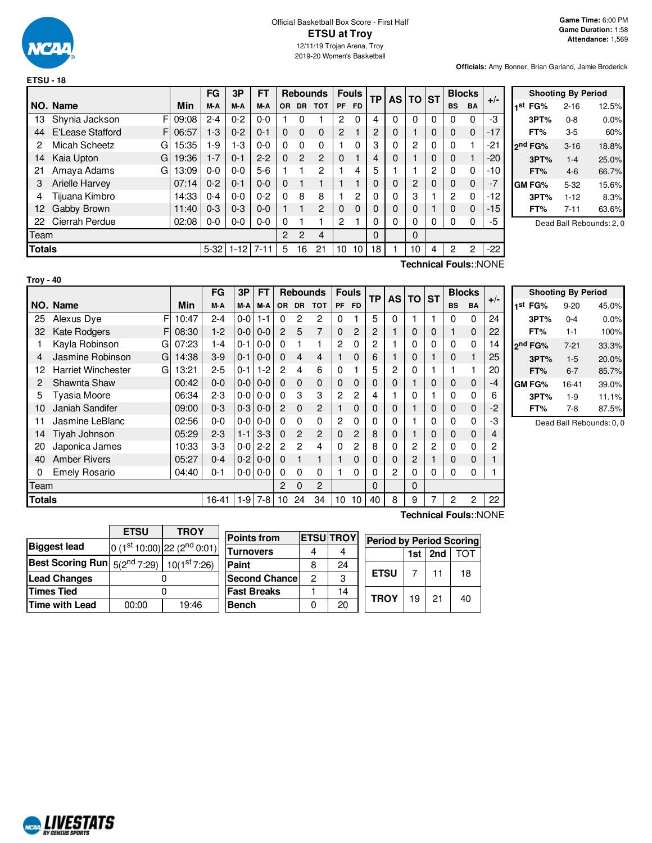

|               |                               |       | FG       | 3P       | FT       |                |               | <b>Rebounds</b> |           | <b>Fouls</b> | TP             | <b>AS</b> | <b>TO</b> | <b>ST</b> |                | <b>Blocks</b> |                       |
|---------------|-------------------------------|-------|----------|----------|----------|----------------|---------------|-----------------|-----------|--------------|----------------|-----------|-----------|-----------|----------------|---------------|-----------------------|
|               | NO. Name                      | Min   | M-A      | M-A      | M-A      | OR.            | <b>DR</b>     | <b>TOT</b>      | <b>PF</b> | <b>FD</b>    |                |           |           |           | <b>BS</b>      | <b>BA</b>     | $+/-$                 |
| 13            | Shynia Jackson<br>FI          | 09:08 | $2 - 4$  | $0 - 2$  | $0 - 0$  |                | 0             |                 | 2         | 0            | 4              | 0         | 0         | 0         | 0              | $\Omega$      | -3                    |
| 44            | <b>E'Lease Stafford</b><br>FI | 06:57 | $1-3$    | $0 - 2$  | $0 - 1$  | $\Omega$       | $\Omega$      | $\Omega$        | 2         |              | $\overline{c}$ | 0         |           | $\Omega$  | $\Omega$       | $\mathbf 0$   | $-17$                 |
| 2             | Micah Scheetz<br>G            | 15:35 | -9       | 1-3      | $0 - 0$  | $\Omega$       | $\Omega$      | $\Omega$        |           | $\Omega$     | 3              | 0         | 2         | 0         | 0              |               | -21                   |
| 14            | Kaia Upton<br>G               | 19:36 | $1 - 7$  | $0 - 1$  | $2 - 2$  | $\Omega$       | $\mathcal{P}$ | $\overline{c}$  | $\Omega$  |              | 4              | 0         |           | 0         | $\Omega$       | 1             | -20                   |
| 21            | Amaya Adams<br>G              | 13:09 | $0 - 0$  | $0 - 0$  | $5-6$    |                |               | 2               |           | 4            | 5              |           |           | 2         | 0              | $\Omega$      | -10                   |
| 3             | <b>Arielle Harvey</b>         | 07:14 | $0 - 2$  | $0 - 1$  | $0 - 0$  | $\Omega$       |               |                 |           |              | 0              | 0         | 2         | $\Omega$  | $\Omega$       | $\Omega$      |                       |
| 4             | Tijuana Kimbro                | 14:33 | $0 - 4$  | $0 - 0$  | $0 - 2$  | $\Omega$       | 8             | 8               |           | 2            | 0              | 0         | 3         |           | $\overline{c}$ | $\Omega$      | -12                   |
| 12            | Gabby Brown                   | 11:40 | $0 - 3$  | $0 - 3$  | $0 - 0$  |                |               | 2               | 0         | $\Omega$     | 0              | 0         | 0         |           | $\Omega$       | $\mathbf{0}$  | -15                   |
| 22            | Cierrah Perdue                | 02:08 | $0-0$    | $0 - 0$  | $0 - 0$  | $\Omega$       |               |                 | 2         |              | 0              | 0         | 0         | 0         | 0              | $\Omega$      | -5                    |
| Team          |                               |       |          |          |          | $\overline{2}$ | 2             | 4               |           |              | $\Omega$       |           | 0         |           |                |               |                       |
| <b>Totals</b> |                               |       | $5 - 32$ | $1 - 12$ | $7 - 11$ | 5              | 16            | 21              | 10        | 10           | 18             |           | 10        | 4         | 2              | 2             | $-22$                 |
|               |                               |       |          |          |          |                |               |                 |           |              |                |           |           |           |                |               | Technical Fouls::NONE |

|                     | <b>Shooting By Period</b> |       |
|---------------------|---------------------------|-------|
| 1 <sup>st</sup> FG% | $2 - 16$                  | 12.5% |
| 3PT%                | $0 - 8$                   | 0.0%  |
| FT%                 | 3-5                       | 60%   |
| 2nd FG%             | $3 - 16$                  | 18.8% |
| 3PT%                | $1 - 4$                   | 25.0% |
| FT%                 | $4-6$                     | 66.7% |
| GM FG%              | $5 - 32$                  | 15.6% |
| 3PT%                | $1 - 12$                  | 8.3%  |
| FT%                 | $7 - 11$                  | 63.6% |
|                     |                           |       |

Dead Ball Rebounds: 2, 0

**Troy - 40**

|        |                                |       | FG      | 3P      | <b>FT</b> |                  |                | <b>Rebounds</b> |                | <b>Fouls</b>    | TP             | AS | <b>TO</b>   | <b>ST</b> | <b>Blocks</b> |           | $+/-$ |                |
|--------|--------------------------------|-------|---------|---------|-----------|------------------|----------------|-----------------|----------------|-----------------|----------------|----|-------------|-----------|---------------|-----------|-------|----------------|
|        | NO. Name                       | Min   | M-A     | M-A     | M-A       | <b>OR</b>        | <b>DR</b>      | <b>TOT</b>      | <b>PF</b>      | <b>FD</b>       |                |    |             |           | <b>BS</b>     | <b>BA</b> |       | 1 <sup>s</sup> |
| 25     | F<br>Alexus Dye                | 10:47 | $2 - 4$ | $0-0$   | $1 - 1$   | $\Omega$         | 2              | 2               | 0              |                 | 5              | 0  |             |           | 0             | $\Omega$  | 24    |                |
| 32     | <b>Kate Rodgers</b><br>F       | 08:30 | $1-2$   | $0-0$   | $0 - 0$   | $\overline{2}$   | 5              | 7               | $\mathbf{0}$   | 2               | $\overline{c}$ | 1  | $\mathbf 0$ | 0         |               | 0         | 22    |                |
|        | Kayla Robinson<br>G            | 07:23 | 1-4     | $0 - 1$ | $0-0$     | $\Omega$         |                |                 | $\overline{2}$ | 0               | 2              |    | 0           | 0         | 0             | 0         | 14    | 2 <sub>n</sub> |
| 4      | Jasmine Robinson<br>G          | 14:38 | $3-9$   | $0 - 1$ | $0-0$     | $\Omega$         | 4              | 4               | 1              | 0               | 6              |    | $\mathbf 0$ |           | 0             |           | 25    |                |
| 12     | <b>Harriet Winchester</b><br>G | 13:21 | $2 - 5$ | $0 - 1$ | $1-2$     | 2                | 4              | 6               | 0              | 1               | 5              | 2  | $\Omega$    |           |               |           | 20    |                |
| 2      | Shawnta Shaw                   | 00:42 | $0 - 0$ | $0-0$   | $0 - 0$   | $\Omega$         | 0              | $\mathbf{0}$    | 0              | 0               | 0              | 0  | 1           | 0         | 0             | 0         | $-4$  | GI             |
| 5      | Tyasia Moore                   | 06:34 | $2-3$   | $0-0$   | $0 - 0$   | $\Omega$         | 3              | 3               | 2              | 2               | 4              |    | $\Omega$    |           | 0             | 0         | 6     |                |
| 10     | Janiah Sandifer                | 09:00 | $0 - 3$ | $0-3$   | $0 - 0$   | 2                | $\Omega$       | $\overline{2}$  | 1              | $\Omega$        | 0              | 0  |             | 0         | 0             | 0         | $-2$  |                |
| 11     | Jasmine LeBlanc                | 02:56 | $0 - 0$ | $0-0$   | $0-0$     | $\Omega$         | $\Omega$       | 0               | $\overline{2}$ | 0               | $\Omega$       | 0  |             | 0         | 0             | 0         | -3    |                |
| 14     | Tiyah Johnson                  | 05:29 | $2 - 3$ | $1 - 1$ | $3-3$     | 0                | $\mathcal{P}$  | $\overline{2}$  | $\Omega$       | $\overline{2}$  | 8              | 0  |             | 0         | 0             | 0         | 4     |                |
| 20     | Japonica James                 | 10:33 | $3-3$   | $0-0$   | $2 - 2$   | 2                | $\overline{2}$ | 4               | 0              | 2               | 8              | 0  | 2           | 2         | 0             | 0         | 2     |                |
| 40     | <b>Amber Rivers</b>            | 05:27 | $0 - 4$ | $0-2$   | $0 - 0$   | 0                |                |                 | 1              | $\Omega$        | 0              | 0  | 2           |           | 0             | 0         |       |                |
| 0      | <b>Emely Rosario</b>           | 04:40 | $0 - 1$ | $0-0$   | $0-0$     | $\Omega$         | 0              | 0               | 1              | 0               | 0              | 2  | $\Omega$    | 0         | 0             | 0         |       |                |
| Team   |                                |       |         |         |           | 2                | $\Omega$       | $\overline{2}$  |                |                 | $\Omega$       |    | $\Omega$    |           |               |           |       |                |
| Totals |                                |       | 16-41   | $1-9$   | $7-8$     | 10 <sup>10</sup> | 24             | 34              | 10             | 10 <sup>1</sup> | 40             | 8  | 9           |           | 2             | 2         | 22    |                |

| <b>Shooting By Period</b> |          |       |  |  |  |  |  |
|---------------------------|----------|-------|--|--|--|--|--|
| 1 <sup>st</sup> FG%       | $9 - 20$ | 45.0% |  |  |  |  |  |
| 3PT%                      | $0 - 4$  | 0.0%  |  |  |  |  |  |
| FT%                       | $1 - 1$  | 100%  |  |  |  |  |  |
| 2 <sup>nd</sup> FG%       | $7-21$   | 33.3% |  |  |  |  |  |
| 3PT%                      | $1 - 5$  | 20.0% |  |  |  |  |  |
| FT%                       | $6 - 7$  | 85.7% |  |  |  |  |  |
| <b>GM FG%</b>             | 16-41    | 39.0% |  |  |  |  |  |
| 3PT%                      | $1-9$    | 11.1% |  |  |  |  |  |
| FT%                       | 7-8      | 87.5% |  |  |  |  |  |

Dead Ball Rebounds: 0, 0

|                       | <b>ETSU</b>                                 | <b>TROY</b>                             |  |  |  |  |
|-----------------------|---------------------------------------------|-----------------------------------------|--|--|--|--|
| <b>Biggest lead</b>   |                                             | $0(1st10:00)$ 22 (2 <sup>nd</sup> 0:01) |  |  |  |  |
|                       | Best Scoring Run 5(2nd 7:29)   10(1st 7:26) |                                         |  |  |  |  |
| <b>Lead Changes</b>   |                                             |                                         |  |  |  |  |
| <b>Times Tied</b>     | 0                                           |                                         |  |  |  |  |
| <b>Time with Lead</b> | 00:00                                       | 19:46                                   |  |  |  |  |
|                       |                                             |                                         |  |  |  |  |

**Points from ETSU TROY Turnovers** 4 4 **Paint** 8 24 **Second Chance** 2 3 **Fast Breaks** 1 14 **Bench** 0 20 **Period by Period Scoring 1st 2nd** TOT **ETSU**  $7$  11 18 **TROY** | 19 | 21 | 40

**Technical Fouls:**:NONE

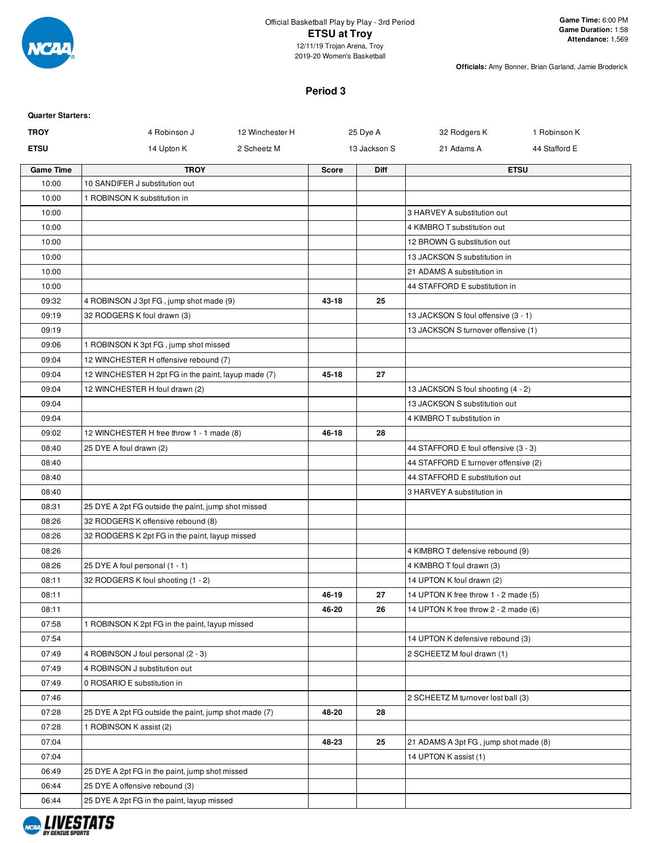

### Official Basketball Play by Play - 3rd Period **ETSU at Troy** 12/11/19 Trojan Arena, Troy

2019-20 Women's Basketball

**Officials:** Amy Bonner, Brian Garland, Jamie Broderick

## **Period 3**

| <b>Quarter Starters:</b> |                                                       |                 |              |              |                                       |               |
|--------------------------|-------------------------------------------------------|-----------------|--------------|--------------|---------------------------------------|---------------|
| <b>TROY</b>              | 4 Robinson J                                          | 12 Winchester H |              | 25 Dye A     | 32 Rodgers K                          | 1 Robinson K  |
| <b>ETSU</b>              | 14 Upton K                                            | 2 Scheetz M     |              | 13 Jackson S | 21 Adams A                            | 44 Stafford E |
| <b>Game Time</b>         | <b>TROY</b>                                           |                 | <b>Score</b> | <b>Diff</b>  |                                       | <b>ETSU</b>   |
| 10:00                    | 10 SANDIFER J substitution out                        |                 |              |              |                                       |               |
| 10:00                    | 1 ROBINSON K substitution in                          |                 |              |              |                                       |               |
| 10:00                    |                                                       |                 |              |              | 3 HARVEY A substitution out           |               |
| 10:00                    |                                                       |                 |              |              | 4 KIMBRO T substitution out           |               |
| 10:00                    |                                                       |                 |              |              | 12 BROWN G substitution out           |               |
| 10:00                    |                                                       |                 |              |              | 13 JACKSON S substitution in          |               |
| 10:00                    |                                                       |                 |              |              | 21 ADAMS A substitution in            |               |
| 10:00                    |                                                       |                 |              |              | 44 STAFFORD E substitution in         |               |
| 09:32                    | 4 ROBINSON J 3pt FG, jump shot made (9)               |                 | 43-18        | 25           |                                       |               |
| 09:19                    | 32 RODGERS K foul drawn (3)                           |                 |              |              | 13 JACKSON S foul offensive (3 - 1)   |               |
| 09:19                    |                                                       |                 |              |              | 13 JACKSON S turnover offensive (1)   |               |
| 09:06                    | 1 ROBINSON K 3pt FG, jump shot missed                 |                 |              |              |                                       |               |
| 09:04                    | 12 WINCHESTER H offensive rebound (7)                 |                 |              |              |                                       |               |
| 09:04                    | 12 WINCHESTER H 2pt FG in the paint, layup made (7)   |                 | 45-18        | 27           |                                       |               |
| 09:04                    | 12 WINCHESTER H foul drawn (2)                        |                 |              |              | 13 JACKSON S foul shooting (4 - 2)    |               |
| 09:04                    |                                                       |                 |              |              | 13 JACKSON S substitution out         |               |
| 09:04                    |                                                       |                 |              |              | 4 KIMBRO T substitution in            |               |
| 09:02                    | 12 WINCHESTER H free throw 1 - 1 made (8)             |                 | 46-18        | 28           |                                       |               |
| 08:40                    | 25 DYE A foul drawn (2)                               |                 |              |              | 44 STAFFORD E foul offensive (3 - 3)  |               |
| 08:40                    |                                                       |                 |              |              | 44 STAFFORD E turnover offensive (2)  |               |
| 08:40                    |                                                       |                 |              |              | 44 STAFFORD E substitution out        |               |
| 08:40                    |                                                       |                 |              |              | 3 HARVEY A substitution in            |               |
| 08:31<br>08:26           | 25 DYE A 2pt FG outside the paint, jump shot missed   |                 |              |              |                                       |               |
| 08:26                    | 32 RODGERS K offensive rebound (8)                    |                 |              |              |                                       |               |
| 08:26                    | 32 RODGERS K 2pt FG in the paint, layup missed        |                 |              |              | 4 KIMBRO T defensive rebound (9)      |               |
| 08:26                    | 25 DYE A foul personal (1 - 1)                        |                 |              |              | 4 KIMBRO T foul drawn (3)             |               |
| 08:11                    | 32 RODGERS K foul shooting (1 - 2)                    |                 |              |              | 14 UPTON K foul drawn (2)             |               |
| 08:11                    |                                                       |                 | 46-19        | 27           | 14 UPTON K free throw 1 - 2 made (5)  |               |
| 08:11                    |                                                       |                 | 46-20        | 26           | 14 UPTON K free throw 2 - 2 made (6)  |               |
| 07:58                    | 1 ROBINSON K 2pt FG in the paint, layup missed        |                 |              |              |                                       |               |
| 07:54                    |                                                       |                 |              |              | 14 UPTON K defensive rebound (3)      |               |
| 07:49                    | 4 ROBINSON J foul personal (2 - 3)                    |                 |              |              | 2 SCHEETZ M foul drawn (1)            |               |
| 07:49                    | 4 ROBINSON J substitution out                         |                 |              |              |                                       |               |
| 07:49                    | 0 ROSARIO E substitution in                           |                 |              |              |                                       |               |
| 07:46                    |                                                       |                 |              |              | 2 SCHEETZ M turnover lost ball (3)    |               |
| 07:28                    | 25 DYE A 2pt FG outside the paint, jump shot made (7) |                 | 48-20        | 28           |                                       |               |
| 07:28                    | 1 ROBINSON K assist (2)                               |                 |              |              |                                       |               |
| 07:04                    |                                                       |                 | 48-23        | 25           | 21 ADAMS A 3pt FG, jump shot made (8) |               |
| 07:04                    |                                                       |                 |              |              | 14 UPTON K assist (1)                 |               |
| 06:49                    | 25 DYE A 2pt FG in the paint, jump shot missed        |                 |              |              |                                       |               |
| 06:44                    | 25 DYE A offensive rebound (3)                        |                 |              |              |                                       |               |
| 06:44                    | 25 DYE A 2pt FG in the paint, layup missed            |                 |              |              |                                       |               |
|                          |                                                       |                 |              |              |                                       |               |

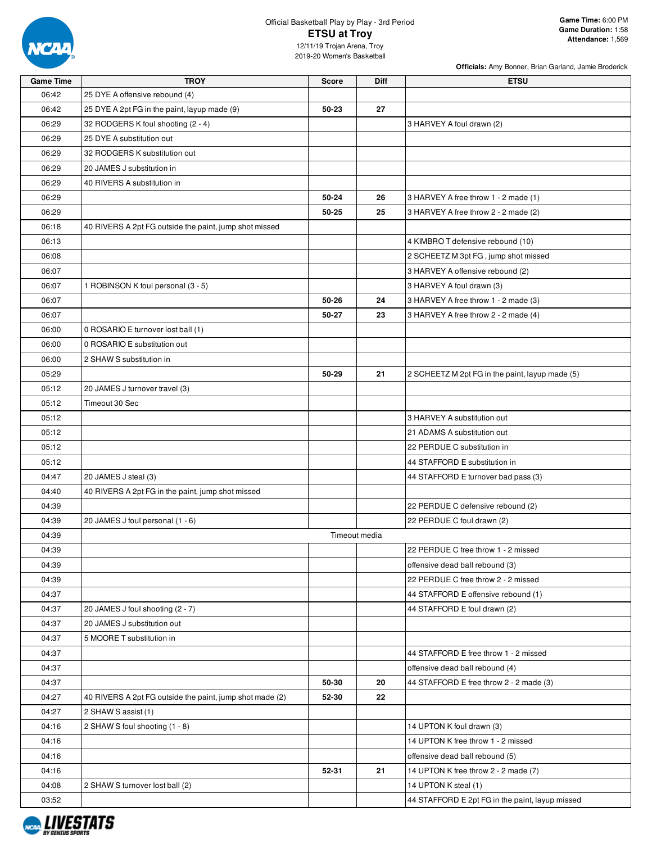

# Official Basketball Play by Play - 3rd Period **ETSU at Troy**

**Officials:** Amy Bonner, Brian Garland, Jamie Broderick

12/11/19 Trojan Arena, Troy 2019-20 Women's Basketball

| 06:42<br>25 DYE A offensive rebound (4)<br>06:42<br>27<br>25 DYE A 2pt FG in the paint, layup made (9)<br>50-23<br>06:29<br>32 RODGERS K foul shooting (2 - 4)<br>3 HARVEY A foul drawn (2)<br>06:29<br>25 DYE A substitution out<br>06:29<br>32 RODGERS K substitution out<br>06:29<br>20 JAMES J substitution in<br>06:29<br>40 RIVERS A substitution in<br>06:29<br>50-24<br>26<br>3 HARVEY A free throw 1 - 2 made (1)<br>50-25<br>25<br>06:29<br>3 HARVEY A free throw 2 - 2 made (2)<br>06:18<br>40 RIVERS A 2pt FG outside the paint, jump shot missed<br>06:13<br>4 KIMBRO T defensive rebound (10)<br>06:08<br>2 SCHEETZ M 3pt FG, jump shot missed<br>06:07<br>3 HARVEY A offensive rebound (2)<br>06:07<br>1 ROBINSON K foul personal (3 - 5)<br>3 HARVEY A foul drawn (3)<br>06:07<br>50-26<br>24<br>3 HARVEY A free throw 1 - 2 made (3)<br>23<br>06:07<br>50-27<br>3 HARVEY A free throw 2 - 2 made (4)<br>06:00<br>0 ROSARIO E turnover lost ball (1)<br>06:00<br>0 ROSARIO E substitution out<br>06:00<br>2 SHAW S substitution in<br>50-29<br>21<br>05:29<br>2 SCHEETZ M 2pt FG in the paint, layup made (5)<br>05:12<br>20 JAMES J turnover travel (3)<br>05:12<br>Timeout 30 Sec<br>05:12<br>3 HARVEY A substitution out<br>05:12<br>21 ADAMS A substitution out<br>05:12<br>22 PERDUE C substitution in<br>05:12<br>44 STAFFORD E substitution in<br>04:47<br>20 JAMES J steal (3)<br>44 STAFFORD E turnover bad pass (3)<br>04:40<br>40 RIVERS A 2pt FG in the paint, jump shot missed<br>22 PERDUE C defensive rebound (2)<br>04:39<br>04:39<br>20 JAMES J foul personal (1 - 6)<br>22 PERDUE C foul drawn (2)<br>Timeout media<br>04:39<br>22 PERDUE C free throw 1 - 2 missed<br>04:39<br>04:39<br>offensive dead ball rebound (3)<br>04:39<br>22 PERDUE C free throw 2 - 2 missed<br>04:37<br>44 STAFFORD E offensive rebound (1)<br>20 JAMES J foul shooting (2 - 7)<br>44 STAFFORD E foul drawn (2)<br>04:37<br>04:37<br>20 JAMES J substitution out<br>04:37<br>5 MOORE T substitution in<br>44 STAFFORD E free throw 1 - 2 missed<br>04:37<br>04:37<br>offensive dead ball rebound (4)<br>04:37<br>50-30<br>20<br>44 STAFFORD E free throw 2 - 2 made (3)<br>04:27<br>40 RIVERS A 2pt FG outside the paint, jump shot made (2)<br>52-30<br>22<br>04:27<br>2 SHAW S assist (1)<br>04:16<br>2 SHAW S foul shooting (1 - 8)<br>14 UPTON K foul drawn (3)<br>04:16<br>14 UPTON K free throw 1 - 2 missed<br>04:16<br>offensive dead ball rebound (5)<br>04:16<br>52-31<br>21<br>14 UPTON K free throw 2 - 2 made (7)<br>04:08<br>14 UPTON K steal (1)<br>2 SHAW S turnover lost ball (2) | <b>Game Time</b> | <b>TROY</b> | <b>Score</b> | Diff | <b>ETSU</b>                                     |
|-------------------------------------------------------------------------------------------------------------------------------------------------------------------------------------------------------------------------------------------------------------------------------------------------------------------------------------------------------------------------------------------------------------------------------------------------------------------------------------------------------------------------------------------------------------------------------------------------------------------------------------------------------------------------------------------------------------------------------------------------------------------------------------------------------------------------------------------------------------------------------------------------------------------------------------------------------------------------------------------------------------------------------------------------------------------------------------------------------------------------------------------------------------------------------------------------------------------------------------------------------------------------------------------------------------------------------------------------------------------------------------------------------------------------------------------------------------------------------------------------------------------------------------------------------------------------------------------------------------------------------------------------------------------------------------------------------------------------------------------------------------------------------------------------------------------------------------------------------------------------------------------------------------------------------------------------------------------------------------------------------------------------------------------------------------------------------------------------------------------------------------------------------------------------------------------------------------------------------------------------------------------------------------------------------------------------------------------------------------------------------------------------------------------------------------------------------------------------------------------------------------------------------------------------------------------------------------------------------------------|------------------|-------------|--------------|------|-------------------------------------------------|
|                                                                                                                                                                                                                                                                                                                                                                                                                                                                                                                                                                                                                                                                                                                                                                                                                                                                                                                                                                                                                                                                                                                                                                                                                                                                                                                                                                                                                                                                                                                                                                                                                                                                                                                                                                                                                                                                                                                                                                                                                                                                                                                                                                                                                                                                                                                                                                                                                                                                                                                                                                                                                   |                  |             |              |      |                                                 |
|                                                                                                                                                                                                                                                                                                                                                                                                                                                                                                                                                                                                                                                                                                                                                                                                                                                                                                                                                                                                                                                                                                                                                                                                                                                                                                                                                                                                                                                                                                                                                                                                                                                                                                                                                                                                                                                                                                                                                                                                                                                                                                                                                                                                                                                                                                                                                                                                                                                                                                                                                                                                                   |                  |             |              |      |                                                 |
|                                                                                                                                                                                                                                                                                                                                                                                                                                                                                                                                                                                                                                                                                                                                                                                                                                                                                                                                                                                                                                                                                                                                                                                                                                                                                                                                                                                                                                                                                                                                                                                                                                                                                                                                                                                                                                                                                                                                                                                                                                                                                                                                                                                                                                                                                                                                                                                                                                                                                                                                                                                                                   |                  |             |              |      |                                                 |
|                                                                                                                                                                                                                                                                                                                                                                                                                                                                                                                                                                                                                                                                                                                                                                                                                                                                                                                                                                                                                                                                                                                                                                                                                                                                                                                                                                                                                                                                                                                                                                                                                                                                                                                                                                                                                                                                                                                                                                                                                                                                                                                                                                                                                                                                                                                                                                                                                                                                                                                                                                                                                   |                  |             |              |      |                                                 |
|                                                                                                                                                                                                                                                                                                                                                                                                                                                                                                                                                                                                                                                                                                                                                                                                                                                                                                                                                                                                                                                                                                                                                                                                                                                                                                                                                                                                                                                                                                                                                                                                                                                                                                                                                                                                                                                                                                                                                                                                                                                                                                                                                                                                                                                                                                                                                                                                                                                                                                                                                                                                                   |                  |             |              |      |                                                 |
|                                                                                                                                                                                                                                                                                                                                                                                                                                                                                                                                                                                                                                                                                                                                                                                                                                                                                                                                                                                                                                                                                                                                                                                                                                                                                                                                                                                                                                                                                                                                                                                                                                                                                                                                                                                                                                                                                                                                                                                                                                                                                                                                                                                                                                                                                                                                                                                                                                                                                                                                                                                                                   |                  |             |              |      |                                                 |
|                                                                                                                                                                                                                                                                                                                                                                                                                                                                                                                                                                                                                                                                                                                                                                                                                                                                                                                                                                                                                                                                                                                                                                                                                                                                                                                                                                                                                                                                                                                                                                                                                                                                                                                                                                                                                                                                                                                                                                                                                                                                                                                                                                                                                                                                                                                                                                                                                                                                                                                                                                                                                   |                  |             |              |      |                                                 |
|                                                                                                                                                                                                                                                                                                                                                                                                                                                                                                                                                                                                                                                                                                                                                                                                                                                                                                                                                                                                                                                                                                                                                                                                                                                                                                                                                                                                                                                                                                                                                                                                                                                                                                                                                                                                                                                                                                                                                                                                                                                                                                                                                                                                                                                                                                                                                                                                                                                                                                                                                                                                                   |                  |             |              |      |                                                 |
|                                                                                                                                                                                                                                                                                                                                                                                                                                                                                                                                                                                                                                                                                                                                                                                                                                                                                                                                                                                                                                                                                                                                                                                                                                                                                                                                                                                                                                                                                                                                                                                                                                                                                                                                                                                                                                                                                                                                                                                                                                                                                                                                                                                                                                                                                                                                                                                                                                                                                                                                                                                                                   |                  |             |              |      |                                                 |
|                                                                                                                                                                                                                                                                                                                                                                                                                                                                                                                                                                                                                                                                                                                                                                                                                                                                                                                                                                                                                                                                                                                                                                                                                                                                                                                                                                                                                                                                                                                                                                                                                                                                                                                                                                                                                                                                                                                                                                                                                                                                                                                                                                                                                                                                                                                                                                                                                                                                                                                                                                                                                   |                  |             |              |      |                                                 |
|                                                                                                                                                                                                                                                                                                                                                                                                                                                                                                                                                                                                                                                                                                                                                                                                                                                                                                                                                                                                                                                                                                                                                                                                                                                                                                                                                                                                                                                                                                                                                                                                                                                                                                                                                                                                                                                                                                                                                                                                                                                                                                                                                                                                                                                                                                                                                                                                                                                                                                                                                                                                                   |                  |             |              |      |                                                 |
|                                                                                                                                                                                                                                                                                                                                                                                                                                                                                                                                                                                                                                                                                                                                                                                                                                                                                                                                                                                                                                                                                                                                                                                                                                                                                                                                                                                                                                                                                                                                                                                                                                                                                                                                                                                                                                                                                                                                                                                                                                                                                                                                                                                                                                                                                                                                                                                                                                                                                                                                                                                                                   |                  |             |              |      |                                                 |
|                                                                                                                                                                                                                                                                                                                                                                                                                                                                                                                                                                                                                                                                                                                                                                                                                                                                                                                                                                                                                                                                                                                                                                                                                                                                                                                                                                                                                                                                                                                                                                                                                                                                                                                                                                                                                                                                                                                                                                                                                                                                                                                                                                                                                                                                                                                                                                                                                                                                                                                                                                                                                   |                  |             |              |      |                                                 |
|                                                                                                                                                                                                                                                                                                                                                                                                                                                                                                                                                                                                                                                                                                                                                                                                                                                                                                                                                                                                                                                                                                                                                                                                                                                                                                                                                                                                                                                                                                                                                                                                                                                                                                                                                                                                                                                                                                                                                                                                                                                                                                                                                                                                                                                                                                                                                                                                                                                                                                                                                                                                                   |                  |             |              |      |                                                 |
|                                                                                                                                                                                                                                                                                                                                                                                                                                                                                                                                                                                                                                                                                                                                                                                                                                                                                                                                                                                                                                                                                                                                                                                                                                                                                                                                                                                                                                                                                                                                                                                                                                                                                                                                                                                                                                                                                                                                                                                                                                                                                                                                                                                                                                                                                                                                                                                                                                                                                                                                                                                                                   |                  |             |              |      |                                                 |
|                                                                                                                                                                                                                                                                                                                                                                                                                                                                                                                                                                                                                                                                                                                                                                                                                                                                                                                                                                                                                                                                                                                                                                                                                                                                                                                                                                                                                                                                                                                                                                                                                                                                                                                                                                                                                                                                                                                                                                                                                                                                                                                                                                                                                                                                                                                                                                                                                                                                                                                                                                                                                   |                  |             |              |      |                                                 |
|                                                                                                                                                                                                                                                                                                                                                                                                                                                                                                                                                                                                                                                                                                                                                                                                                                                                                                                                                                                                                                                                                                                                                                                                                                                                                                                                                                                                                                                                                                                                                                                                                                                                                                                                                                                                                                                                                                                                                                                                                                                                                                                                                                                                                                                                                                                                                                                                                                                                                                                                                                                                                   |                  |             |              |      |                                                 |
|                                                                                                                                                                                                                                                                                                                                                                                                                                                                                                                                                                                                                                                                                                                                                                                                                                                                                                                                                                                                                                                                                                                                                                                                                                                                                                                                                                                                                                                                                                                                                                                                                                                                                                                                                                                                                                                                                                                                                                                                                                                                                                                                                                                                                                                                                                                                                                                                                                                                                                                                                                                                                   |                  |             |              |      |                                                 |
|                                                                                                                                                                                                                                                                                                                                                                                                                                                                                                                                                                                                                                                                                                                                                                                                                                                                                                                                                                                                                                                                                                                                                                                                                                                                                                                                                                                                                                                                                                                                                                                                                                                                                                                                                                                                                                                                                                                                                                                                                                                                                                                                                                                                                                                                                                                                                                                                                                                                                                                                                                                                                   |                  |             |              |      |                                                 |
|                                                                                                                                                                                                                                                                                                                                                                                                                                                                                                                                                                                                                                                                                                                                                                                                                                                                                                                                                                                                                                                                                                                                                                                                                                                                                                                                                                                                                                                                                                                                                                                                                                                                                                                                                                                                                                                                                                                                                                                                                                                                                                                                                                                                                                                                                                                                                                                                                                                                                                                                                                                                                   |                  |             |              |      |                                                 |
|                                                                                                                                                                                                                                                                                                                                                                                                                                                                                                                                                                                                                                                                                                                                                                                                                                                                                                                                                                                                                                                                                                                                                                                                                                                                                                                                                                                                                                                                                                                                                                                                                                                                                                                                                                                                                                                                                                                                                                                                                                                                                                                                                                                                                                                                                                                                                                                                                                                                                                                                                                                                                   |                  |             |              |      |                                                 |
|                                                                                                                                                                                                                                                                                                                                                                                                                                                                                                                                                                                                                                                                                                                                                                                                                                                                                                                                                                                                                                                                                                                                                                                                                                                                                                                                                                                                                                                                                                                                                                                                                                                                                                                                                                                                                                                                                                                                                                                                                                                                                                                                                                                                                                                                                                                                                                                                                                                                                                                                                                                                                   |                  |             |              |      |                                                 |
|                                                                                                                                                                                                                                                                                                                                                                                                                                                                                                                                                                                                                                                                                                                                                                                                                                                                                                                                                                                                                                                                                                                                                                                                                                                                                                                                                                                                                                                                                                                                                                                                                                                                                                                                                                                                                                                                                                                                                                                                                                                                                                                                                                                                                                                                                                                                                                                                                                                                                                                                                                                                                   |                  |             |              |      |                                                 |
|                                                                                                                                                                                                                                                                                                                                                                                                                                                                                                                                                                                                                                                                                                                                                                                                                                                                                                                                                                                                                                                                                                                                                                                                                                                                                                                                                                                                                                                                                                                                                                                                                                                                                                                                                                                                                                                                                                                                                                                                                                                                                                                                                                                                                                                                                                                                                                                                                                                                                                                                                                                                                   |                  |             |              |      |                                                 |
|                                                                                                                                                                                                                                                                                                                                                                                                                                                                                                                                                                                                                                                                                                                                                                                                                                                                                                                                                                                                                                                                                                                                                                                                                                                                                                                                                                                                                                                                                                                                                                                                                                                                                                                                                                                                                                                                                                                                                                                                                                                                                                                                                                                                                                                                                                                                                                                                                                                                                                                                                                                                                   |                  |             |              |      |                                                 |
|                                                                                                                                                                                                                                                                                                                                                                                                                                                                                                                                                                                                                                                                                                                                                                                                                                                                                                                                                                                                                                                                                                                                                                                                                                                                                                                                                                                                                                                                                                                                                                                                                                                                                                                                                                                                                                                                                                                                                                                                                                                                                                                                                                                                                                                                                                                                                                                                                                                                                                                                                                                                                   |                  |             |              |      |                                                 |
|                                                                                                                                                                                                                                                                                                                                                                                                                                                                                                                                                                                                                                                                                                                                                                                                                                                                                                                                                                                                                                                                                                                                                                                                                                                                                                                                                                                                                                                                                                                                                                                                                                                                                                                                                                                                                                                                                                                                                                                                                                                                                                                                                                                                                                                                                                                                                                                                                                                                                                                                                                                                                   |                  |             |              |      |                                                 |
|                                                                                                                                                                                                                                                                                                                                                                                                                                                                                                                                                                                                                                                                                                                                                                                                                                                                                                                                                                                                                                                                                                                                                                                                                                                                                                                                                                                                                                                                                                                                                                                                                                                                                                                                                                                                                                                                                                                                                                                                                                                                                                                                                                                                                                                                                                                                                                                                                                                                                                                                                                                                                   |                  |             |              |      |                                                 |
|                                                                                                                                                                                                                                                                                                                                                                                                                                                                                                                                                                                                                                                                                                                                                                                                                                                                                                                                                                                                                                                                                                                                                                                                                                                                                                                                                                                                                                                                                                                                                                                                                                                                                                                                                                                                                                                                                                                                                                                                                                                                                                                                                                                                                                                                                                                                                                                                                                                                                                                                                                                                                   |                  |             |              |      |                                                 |
|                                                                                                                                                                                                                                                                                                                                                                                                                                                                                                                                                                                                                                                                                                                                                                                                                                                                                                                                                                                                                                                                                                                                                                                                                                                                                                                                                                                                                                                                                                                                                                                                                                                                                                                                                                                                                                                                                                                                                                                                                                                                                                                                                                                                                                                                                                                                                                                                                                                                                                                                                                                                                   |                  |             |              |      |                                                 |
|                                                                                                                                                                                                                                                                                                                                                                                                                                                                                                                                                                                                                                                                                                                                                                                                                                                                                                                                                                                                                                                                                                                                                                                                                                                                                                                                                                                                                                                                                                                                                                                                                                                                                                                                                                                                                                                                                                                                                                                                                                                                                                                                                                                                                                                                                                                                                                                                                                                                                                                                                                                                                   |                  |             |              |      |                                                 |
|                                                                                                                                                                                                                                                                                                                                                                                                                                                                                                                                                                                                                                                                                                                                                                                                                                                                                                                                                                                                                                                                                                                                                                                                                                                                                                                                                                                                                                                                                                                                                                                                                                                                                                                                                                                                                                                                                                                                                                                                                                                                                                                                                                                                                                                                                                                                                                                                                                                                                                                                                                                                                   |                  |             |              |      |                                                 |
|                                                                                                                                                                                                                                                                                                                                                                                                                                                                                                                                                                                                                                                                                                                                                                                                                                                                                                                                                                                                                                                                                                                                                                                                                                                                                                                                                                                                                                                                                                                                                                                                                                                                                                                                                                                                                                                                                                                                                                                                                                                                                                                                                                                                                                                                                                                                                                                                                                                                                                                                                                                                                   |                  |             |              |      |                                                 |
|                                                                                                                                                                                                                                                                                                                                                                                                                                                                                                                                                                                                                                                                                                                                                                                                                                                                                                                                                                                                                                                                                                                                                                                                                                                                                                                                                                                                                                                                                                                                                                                                                                                                                                                                                                                                                                                                                                                                                                                                                                                                                                                                                                                                                                                                                                                                                                                                                                                                                                                                                                                                                   |                  |             |              |      |                                                 |
|                                                                                                                                                                                                                                                                                                                                                                                                                                                                                                                                                                                                                                                                                                                                                                                                                                                                                                                                                                                                                                                                                                                                                                                                                                                                                                                                                                                                                                                                                                                                                                                                                                                                                                                                                                                                                                                                                                                                                                                                                                                                                                                                                                                                                                                                                                                                                                                                                                                                                                                                                                                                                   |                  |             |              |      |                                                 |
|                                                                                                                                                                                                                                                                                                                                                                                                                                                                                                                                                                                                                                                                                                                                                                                                                                                                                                                                                                                                                                                                                                                                                                                                                                                                                                                                                                                                                                                                                                                                                                                                                                                                                                                                                                                                                                                                                                                                                                                                                                                                                                                                                                                                                                                                                                                                                                                                                                                                                                                                                                                                                   |                  |             |              |      |                                                 |
|                                                                                                                                                                                                                                                                                                                                                                                                                                                                                                                                                                                                                                                                                                                                                                                                                                                                                                                                                                                                                                                                                                                                                                                                                                                                                                                                                                                                                                                                                                                                                                                                                                                                                                                                                                                                                                                                                                                                                                                                                                                                                                                                                                                                                                                                                                                                                                                                                                                                                                                                                                                                                   |                  |             |              |      |                                                 |
|                                                                                                                                                                                                                                                                                                                                                                                                                                                                                                                                                                                                                                                                                                                                                                                                                                                                                                                                                                                                                                                                                                                                                                                                                                                                                                                                                                                                                                                                                                                                                                                                                                                                                                                                                                                                                                                                                                                                                                                                                                                                                                                                                                                                                                                                                                                                                                                                                                                                                                                                                                                                                   |                  |             |              |      |                                                 |
|                                                                                                                                                                                                                                                                                                                                                                                                                                                                                                                                                                                                                                                                                                                                                                                                                                                                                                                                                                                                                                                                                                                                                                                                                                                                                                                                                                                                                                                                                                                                                                                                                                                                                                                                                                                                                                                                                                                                                                                                                                                                                                                                                                                                                                                                                                                                                                                                                                                                                                                                                                                                                   |                  |             |              |      |                                                 |
|                                                                                                                                                                                                                                                                                                                                                                                                                                                                                                                                                                                                                                                                                                                                                                                                                                                                                                                                                                                                                                                                                                                                                                                                                                                                                                                                                                                                                                                                                                                                                                                                                                                                                                                                                                                                                                                                                                                                                                                                                                                                                                                                                                                                                                                                                                                                                                                                                                                                                                                                                                                                                   |                  |             |              |      |                                                 |
|                                                                                                                                                                                                                                                                                                                                                                                                                                                                                                                                                                                                                                                                                                                                                                                                                                                                                                                                                                                                                                                                                                                                                                                                                                                                                                                                                                                                                                                                                                                                                                                                                                                                                                                                                                                                                                                                                                                                                                                                                                                                                                                                                                                                                                                                                                                                                                                                                                                                                                                                                                                                                   |                  |             |              |      |                                                 |
|                                                                                                                                                                                                                                                                                                                                                                                                                                                                                                                                                                                                                                                                                                                                                                                                                                                                                                                                                                                                                                                                                                                                                                                                                                                                                                                                                                                                                                                                                                                                                                                                                                                                                                                                                                                                                                                                                                                                                                                                                                                                                                                                                                                                                                                                                                                                                                                                                                                                                                                                                                                                                   |                  |             |              |      |                                                 |
|                                                                                                                                                                                                                                                                                                                                                                                                                                                                                                                                                                                                                                                                                                                                                                                                                                                                                                                                                                                                                                                                                                                                                                                                                                                                                                                                                                                                                                                                                                                                                                                                                                                                                                                                                                                                                                                                                                                                                                                                                                                                                                                                                                                                                                                                                                                                                                                                                                                                                                                                                                                                                   |                  |             |              |      |                                                 |
|                                                                                                                                                                                                                                                                                                                                                                                                                                                                                                                                                                                                                                                                                                                                                                                                                                                                                                                                                                                                                                                                                                                                                                                                                                                                                                                                                                                                                                                                                                                                                                                                                                                                                                                                                                                                                                                                                                                                                                                                                                                                                                                                                                                                                                                                                                                                                                                                                                                                                                                                                                                                                   |                  |             |              |      |                                                 |
|                                                                                                                                                                                                                                                                                                                                                                                                                                                                                                                                                                                                                                                                                                                                                                                                                                                                                                                                                                                                                                                                                                                                                                                                                                                                                                                                                                                                                                                                                                                                                                                                                                                                                                                                                                                                                                                                                                                                                                                                                                                                                                                                                                                                                                                                                                                                                                                                                                                                                                                                                                                                                   |                  |             |              |      |                                                 |
|                                                                                                                                                                                                                                                                                                                                                                                                                                                                                                                                                                                                                                                                                                                                                                                                                                                                                                                                                                                                                                                                                                                                                                                                                                                                                                                                                                                                                                                                                                                                                                                                                                                                                                                                                                                                                                                                                                                                                                                                                                                                                                                                                                                                                                                                                                                                                                                                                                                                                                                                                                                                                   |                  |             |              |      |                                                 |
|                                                                                                                                                                                                                                                                                                                                                                                                                                                                                                                                                                                                                                                                                                                                                                                                                                                                                                                                                                                                                                                                                                                                                                                                                                                                                                                                                                                                                                                                                                                                                                                                                                                                                                                                                                                                                                                                                                                                                                                                                                                                                                                                                                                                                                                                                                                                                                                                                                                                                                                                                                                                                   |                  |             |              |      |                                                 |
|                                                                                                                                                                                                                                                                                                                                                                                                                                                                                                                                                                                                                                                                                                                                                                                                                                                                                                                                                                                                                                                                                                                                                                                                                                                                                                                                                                                                                                                                                                                                                                                                                                                                                                                                                                                                                                                                                                                                                                                                                                                                                                                                                                                                                                                                                                                                                                                                                                                                                                                                                                                                                   |                  |             |              |      |                                                 |
|                                                                                                                                                                                                                                                                                                                                                                                                                                                                                                                                                                                                                                                                                                                                                                                                                                                                                                                                                                                                                                                                                                                                                                                                                                                                                                                                                                                                                                                                                                                                                                                                                                                                                                                                                                                                                                                                                                                                                                                                                                                                                                                                                                                                                                                                                                                                                                                                                                                                                                                                                                                                                   | 03:52            |             |              |      | 44 STAFFORD E 2pt FG in the paint, layup missed |

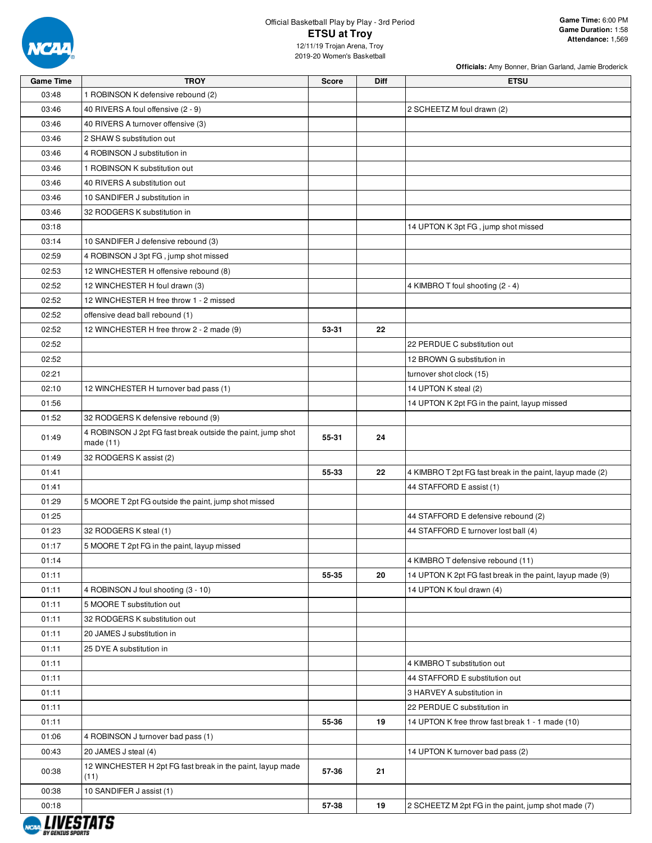

### Official Basketball Play by Play - 3rd Period **ETSU at Troy** 12/11/19 Trojan Arena, Troy

**Officials:** Amy Bonner, Brian Garland, Jamie Broderick

2019-20 Women's Basketball

| <b>Game Time</b> | <b>TROY</b>                                                                | <b>Score</b> | Diff | <b>ETSU</b>                                               |
|------------------|----------------------------------------------------------------------------|--------------|------|-----------------------------------------------------------|
| 03:48            | 1 ROBINSON K defensive rebound (2)                                         |              |      |                                                           |
| 03:46            | 40 RIVERS A foul offensive (2 - 9)                                         |              |      | 2 SCHEETZ M foul drawn (2)                                |
| 03:46            | 40 RIVERS A turnover offensive (3)                                         |              |      |                                                           |
| 03:46            | 2 SHAW S substitution out                                                  |              |      |                                                           |
| 03:46            | 4 ROBINSON J substitution in                                               |              |      |                                                           |
| 03:46            | 1 ROBINSON K substitution out                                              |              |      |                                                           |
| 03:46            | 40 RIVERS A substitution out                                               |              |      |                                                           |
| 03:46            | 10 SANDIFER J substitution in                                              |              |      |                                                           |
| 03:46            | 32 RODGERS K substitution in                                               |              |      |                                                           |
| 03:18            |                                                                            |              |      | 14 UPTON K 3pt FG, jump shot missed                       |
| 03:14            | 10 SANDIFER J defensive rebound (3)                                        |              |      |                                                           |
| 02:59            | 4 ROBINSON J 3pt FG, jump shot missed                                      |              |      |                                                           |
| 02:53            | 12 WINCHESTER H offensive rebound (8)                                      |              |      |                                                           |
| 02:52            | 12 WINCHESTER H foul drawn (3)                                             |              |      | 4 KIMBRO T foul shooting (2 - 4)                          |
| 02:52            | 12 WINCHESTER H free throw 1 - 2 missed                                    |              |      |                                                           |
| 02:52            | offensive dead ball rebound (1)                                            |              |      |                                                           |
| 02:52            | 12 WINCHESTER H free throw 2 - 2 made (9)                                  | 53-31        | 22   |                                                           |
| 02:52            |                                                                            |              |      | 22 PERDUE C substitution out                              |
| 02:52            |                                                                            |              |      | 12 BROWN G substitution in                                |
| 02:21            |                                                                            |              |      | turnover shot clock (15)                                  |
| 02:10            | 12 WINCHESTER H turnover bad pass (1)                                      |              |      | 14 UPTON K steal (2)                                      |
| 01:56            |                                                                            |              |      |                                                           |
|                  |                                                                            |              |      | 14 UPTON K 2pt FG in the paint, layup missed              |
| 01:52            | 32 RODGERS K defensive rebound (9)                                         |              |      |                                                           |
| 01:49            | 4 ROBINSON J 2pt FG fast break outside the paint, jump shot<br>made $(11)$ | 55-31        | 24   |                                                           |
| 01:49            | 32 RODGERS K assist (2)                                                    |              |      |                                                           |
| 01:41            |                                                                            | 55-33        | 22   | 4 KIMBRO T 2pt FG fast break in the paint, layup made (2) |
| 01:41            |                                                                            |              |      | 44 STAFFORD E assist (1)                                  |
| 01:29            | 5 MOORE T 2pt FG outside the paint, jump shot missed                       |              |      |                                                           |
| 01:25            |                                                                            |              |      | 44 STAFFORD E defensive rebound (2)                       |
| 01:23            | 32 RODGERS K steal (1)                                                     |              |      | 44 STAFFORD E turnover lost ball (4)                      |
| 01:17            | 5 MOORE T 2pt FG in the paint, layup missed                                |              |      |                                                           |
| 01:14            |                                                                            |              |      | 4 KIMBRO T defensive rebound (11)                         |
| 01:11            |                                                                            | 55-35        | 20   | 14 UPTON K 2pt FG fast break in the paint, layup made (9) |
| 01:11            | 4 ROBINSON J foul shooting (3 - 10)                                        |              |      | 14 UPTON K foul drawn (4)                                 |
| 01:11            | 5 MOORE T substitution out                                                 |              |      |                                                           |
| 01:11            | 32 RODGERS K substitution out                                              |              |      |                                                           |
| 01:11            | 20 JAMES J substitution in                                                 |              |      |                                                           |
| 01:11            | 25 DYE A substitution in                                                   |              |      |                                                           |
| 01:11            |                                                                            |              |      | 4 KIMBRO T substitution out                               |
| 01:11            |                                                                            |              |      | 44 STAFFORD E substitution out                            |
| 01:11            |                                                                            |              |      | 3 HARVEY A substitution in                                |
| 01:11            |                                                                            |              |      | 22 PERDUE C substitution in                               |
| 01:11            |                                                                            | 55-36        | 19   | 14 UPTON K free throw fast break 1 - 1 made (10)          |
| 01:06            | 4 ROBINSON J turnover bad pass (1)                                         |              |      |                                                           |
| 00:43            | 20 JAMES J steal (4)                                                       |              |      | 14 UPTON K turnover bad pass (2)                          |
| 00:38            | 12 WINCHESTER H 2pt FG fast break in the paint, layup made<br>(11)         | 57-36        | 21   |                                                           |
| 00:38            | 10 SANDIFER J assist (1)                                                   |              |      |                                                           |
| 00:18            |                                                                            | 57-38        | 19   | 2 SCHEETZ M 2pt FG in the paint, jump shot made (7)       |
| , ,,,,,,,,,,,    |                                                                            |              |      |                                                           |

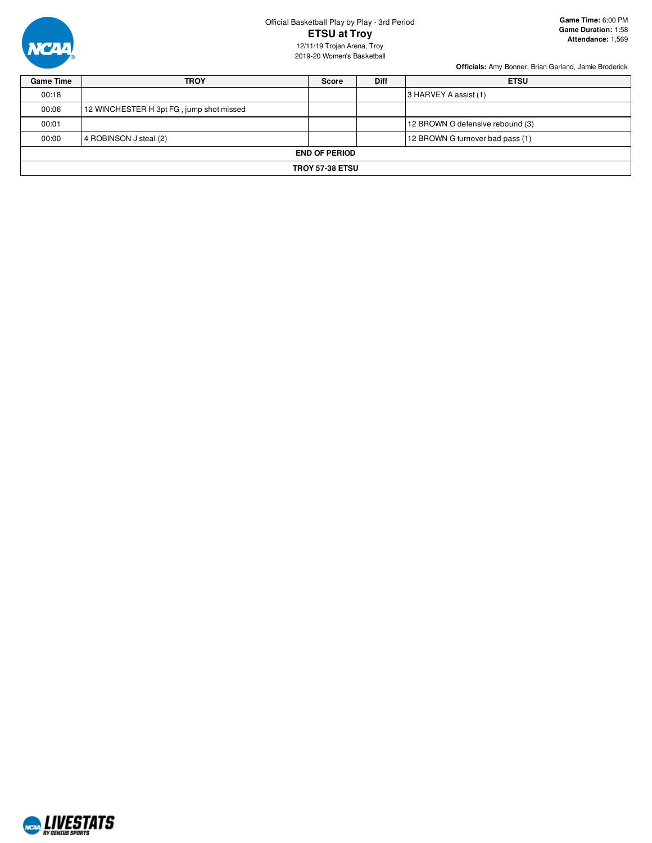

# Official Basketball Play by Play - 3rd Period **ETSU at Troy**

12/11/19 Trojan Arena, Troy 2019-20 Women's Basketball

| <b>Game Time</b> | <b>TROY</b>                              | <b>Score</b>         | <b>Diff</b> | <b>ETSU</b>                      |  |  |  |  |  |  |  |
|------------------|------------------------------------------|----------------------|-------------|----------------------------------|--|--|--|--|--|--|--|
| 00:18            |                                          |                      |             | 3 HARVEY A assist (1)            |  |  |  |  |  |  |  |
| 00:06            | 12 WINCHESTER H 3pt FG, jump shot missed |                      |             |                                  |  |  |  |  |  |  |  |
| 00:01            |                                          |                      |             | 12 BROWN G defensive rebound (3) |  |  |  |  |  |  |  |
| 00:00            | 4 ROBINSON J steal (2)                   |                      |             | 12 BROWN G turnover bad pass (1) |  |  |  |  |  |  |  |
|                  |                                          | <b>END OF PERIOD</b> |             |                                  |  |  |  |  |  |  |  |
|                  | <b>TROY 57-38 ETSU</b>                   |                      |             |                                  |  |  |  |  |  |  |  |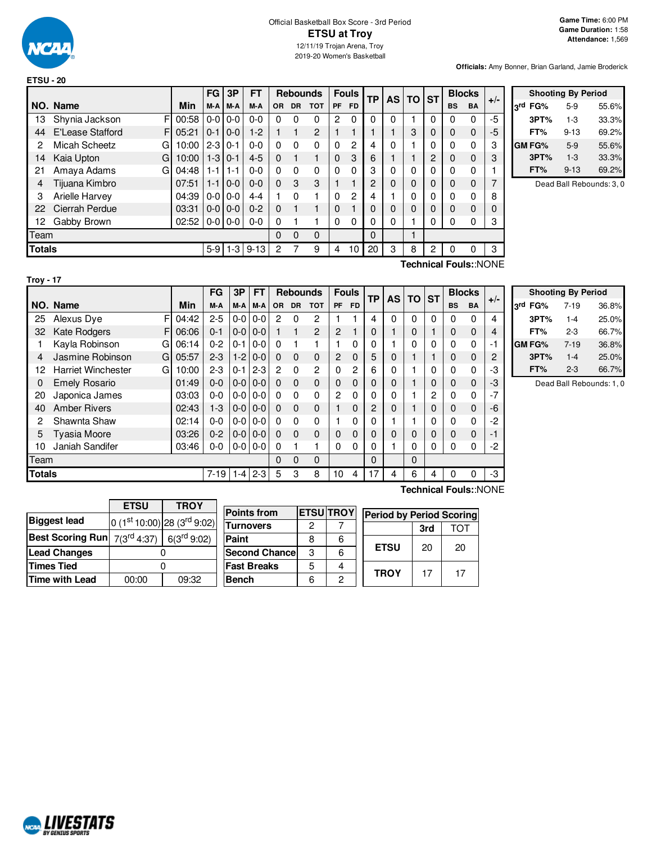

### Official Basketball Box Score - 3rd Period **ETSU at Troy** 12/11/19 Trojan Arena, Troy 2019-20 Women's Basketball

**Officials:** Amy Bonner, Brian Garland, Jamie Broderick

|                                          |                                                                                                          |       | FG            | 3P      | <b>FT</b> |          | <b>Rebounds</b> |            |              | <b>Fouls</b> | <b>TP</b> | <b>AS</b> | TO ST       |                |              | <b>Blocks</b> | $+/-$ |
|------------------------------------------|----------------------------------------------------------------------------------------------------------|-------|---------------|---------|-----------|----------|-----------------|------------|--------------|--------------|-----------|-----------|-------------|----------------|--------------|---------------|-------|
|                                          | NO. Name                                                                                                 | Min   | M-A           | M-A     | M-A       | OR.      | <b>DR</b>       | <b>TOT</b> | PF           | <b>FD</b>    |           |           |             |                | <b>BS</b>    | <b>BA</b>     |       |
| 13                                       | Shynia Jackson                                                                                           | 00:58 | $0-0$         | $0 - 0$ | $0 - 0$   | 0        | 0               | 0          | 2            | 0            | 0         | 0         |             | 0              | 0            | 0             | $-5$  |
| 44                                       | E'Lease Stafford<br>F                                                                                    | 05:21 | $0 - 1$       | $0 - 0$ | $1-2$     |          |                 | 2          |              |              |           |           | 3           | 0              | $\mathbf 0$  | $\mathbf{0}$  | -5    |
| 2                                        | Micah Scheetz<br>G                                                                                       | 10:00 | $2 - 3$       | $0 - 1$ | $0 - 0$   | 0        | $\Omega$        | 0          | $\Omega$     | 2            | 4         | 0         |             | 0              | 0            | 0             | 3     |
| 14                                       | Kaia Upton<br>G                                                                                          | 10:00 | $1-3$         | $0 - 1$ | $4 - 5$   | $\Omega$ |                 |            | $\mathbf{0}$ | 3            | 6         |           |             | $\overline{2}$ | 0            | $\mathbf{0}$  | 3     |
| 21                                       | Amaya Adams<br>G                                                                                         | 04:48 | $1 - 1$       | $1 - 1$ | $0 - 0$   | 0        | $\Omega$        | 0          | $\Omega$     | 0            | 3         | 0         | 0           | 0              | 0            | 0             |       |
| 4                                        | Tijuana Kimbro                                                                                           | 07:51 | $1 - 1$       | $0 - 0$ | $0 - 0$   | $\Omega$ | 3               | 3          |              |              | 2         | 0         | 0           | $\Omega$       | 0            | $\mathbf{0}$  |       |
| 3                                        | <b>Arielle Harvey</b>                                                                                    | 04:39 | $0-0$         | $0 - 0$ | $4 - 4$   |          | $\Omega$        |            | $\Omega$     | 2            | 4         |           | $\mathbf 0$ | 0              | 0            | 0             | 8     |
| 22                                       | Cierrah Perdue                                                                                           | 03:31 | $0-0$         | $0 - 0$ | $0 - 2$   | $\Omega$ |                 |            | $\mathbf{0}$ |              |           |           | $\Omega$    | $\Omega$       | $\mathbf{0}$ | $\Omega$      |       |
| 12                                       | Gabby Brown                                                                                              | 02:52 | $0 - 0 0 - 0$ |         | $0-0$     | 0        |                 |            | $\Omega$     | 0            | 0         | 0         |             | 0              | 0            | 0             | 3     |
| Team                                     |                                                                                                          |       |               |         |           | 0        | $\Omega$        | 0          |              |              | 0         |           |             |                |              |               |       |
| <b>Totals</b><br>$5-9$<br>-3<br>$9 - 13$ |                                                                                                          |       |               |         |           | 2        |                 | 9          | 4            | 10           | 20        | 3         | 8           | 2              | 0            | 0             | 3     |
|                                          | $\mathbf{L}$ . $\mathbf{F}$ and $\mathbf{L}$ and $\mathbf{L}$ and $\mathbf{L}$<br>المناقب والمناور<br>┯… |       |               |         |           |          |                 |            |              |              |           |           |             |                |              |               |       |

|                 | <b>Shooting By Period</b> |          |       |  |  |  |  |  |  |  |  |  |  |
|-----------------|---------------------------|----------|-------|--|--|--|--|--|--|--|--|--|--|
| <sub>2</sub> rd | FG%                       | $5-9$    | 55.6% |  |  |  |  |  |  |  |  |  |  |
|                 | 3PT%                      | $1-3$    | 33.3% |  |  |  |  |  |  |  |  |  |  |
|                 | FT%                       | $9 - 13$ | 69.2% |  |  |  |  |  |  |  |  |  |  |
|                 | <b>GM FG%</b>             | 5-9      | 55.6% |  |  |  |  |  |  |  |  |  |  |
|                 | 3PT%                      | $1-3$    | 33.3% |  |  |  |  |  |  |  |  |  |  |
|                 | FT%                       | $9 - 13$ | 69.2% |  |  |  |  |  |  |  |  |  |  |

Dead Ball Rebounds: 3, 0

| п<br>o<br>× |
|-------------|
|-------------|

**Technical Fouls:**:NONE

|               |                                |       | FG       | 3P      | <b>FT</b> |                | <b>Rebounds</b> |                | <b>Fouls</b>   |           | ТP       | <b>AS</b>    | <b>TO</b> | <b>ST</b>    | <b>Blocks</b> |              | $+/-$ |
|---------------|--------------------------------|-------|----------|---------|-----------|----------------|-----------------|----------------|----------------|-----------|----------|--------------|-----------|--------------|---------------|--------------|-------|
|               | NO. Name                       | Min   | M-A      | M-A     | M-A       | OR.            | <b>DR</b>       | <b>TOT</b>     | <b>PF</b>      | <b>FD</b> |          |              |           |              | <b>BS</b>     | <b>BA</b>    |       |
| 25            | F<br>Alexus Dye                | 04:42 | $2 - 5$  | $0 - 0$ | $0 - 0$   | 2              | $\Omega$        | 2              |                |           | 4        | $\mathbf{0}$ | $\Omega$  | 0            | $\Omega$      | $\Omega$     | 4     |
| 32            | <b>Kate Rodgers</b><br>F       | 06:06 | $0 - 1$  | $0 - 0$ | $0 - 0$   |                |                 | 2              | $\overline{2}$ |           | 0        |              | 0         |              | 0             | $\Omega$     | 4     |
|               | Kayla Robinson<br>G            | 06:14 | $0 - 2$  | $0 - 1$ | $0 - 0$   | $\Omega$       |                 |                |                | 0         | 0        |              | 0         | $\mathbf{0}$ | $\Omega$      | 0            | $-1$  |
| 4             | Jasmine Robinson<br>G          | 05:57 | $2-3$    | $1-2$   | $0-0$     | $\Omega$       | $\Omega$        | $\Omega$       | 2              | $\Omega$  | 5        | 0            | 1         |              | 0             | $\mathbf{0}$ | 2     |
| 12            | <b>Harriet Winchester</b><br>G | 10:00 | $2 - 3$  | $0 - 1$ | $2 - 3$   | $\overline{c}$ | $\Omega$        | $\overline{2}$ | 0              | 2         | 6        | 0            |           | 0            | 0             | $\Omega$     | -3    |
| 0             | <b>Emely Rosario</b>           | 01:49 | $0 - 0$  | $0 - 0$ | $0-0$     | $\Omega$       | $\Omega$        | $\Omega$       | 0              | $\Omega$  | 0        | 0            |           | $\Omega$     | $\Omega$      | $\Omega$     | -3    |
| 20            | Japonica James                 | 03:03 | $0 - 0$  | $0-0$   | $0-0$     | $\Omega$       | $\Omega$        | $\mathbf{0}$   | $\overline{2}$ | 0         | 0        | 0            |           | 2            | $\Omega$      | $\Omega$     | $-7$  |
| 40            | <b>Amber Rivers</b>            | 02:43 | $1-3$    | $0 - 0$ | $0-0$     | $\Omega$       | $\Omega$        | $\Omega$       |                | 0         | 2        | $\Omega$     |           | $\Omega$     | $\Omega$      | $\mathbf{0}$ | $-6$  |
| 2             | Shawnta Shaw                   | 02:14 | $0 - 0$  | 0-0     | $0-0$     | $\Omega$       | $\Omega$        | $\Omega$       |                | 0         | 0        |              |           | 0            | $\Omega$      | $\Omega$     | $-2$  |
| 5             | Tyasia Moore                   | 03:26 | $0 - 2$  | $0-0$   | $0-0$     | $\Omega$       | $\Omega$        | $\Omega$       | 0              | 0         | $\Omega$ | $\Omega$     | 0         | 0            | 0             | $\mathbf{0}$ | $-1$  |
| 10            | Janiah Sandifer                | 03:46 | $0-0$    | $0-0$   | $0-0$     | $\Omega$       |                 | 4              | 0              | 0         | 0        |              | $\Omega$  | 0            | $\Omega$      | 0            | $-2$  |
| Team          |                                |       |          |         | 0         | $\Omega$       | $\Omega$        |                |                | 0         |          | $\Omega$     |           |              |               |              |       |
| <b>Totals</b> |                                |       | $7 - 19$ | 1-4     | $2 - 3$   | 5              | 3               | 8              | 10             | 4         | 17       | 4            | 6         | 4            | 0             | 0            | -3    |

|     | <b>Shooting By Period</b> |          |       |  |  |  |  |  |  |  |  |  |  |  |
|-----|---------------------------|----------|-------|--|--|--|--|--|--|--|--|--|--|--|
| لاء | FG%                       | 7-19     | 36.8% |  |  |  |  |  |  |  |  |  |  |  |
|     | 3PT%                      | $1 - 4$  | 25.0% |  |  |  |  |  |  |  |  |  |  |  |
|     | FT%                       | 2-3      | 66.7% |  |  |  |  |  |  |  |  |  |  |  |
|     | GM FG%                    | $7 - 19$ | 36.8% |  |  |  |  |  |  |  |  |  |  |  |
|     | 3PT%                      | $1 - 4$  | 25.0% |  |  |  |  |  |  |  |  |  |  |  |
|     | FT%                       | $2 - 3$  | 66.7% |  |  |  |  |  |  |  |  |  |  |  |

Dead Ball Rebounds: 1, 0

|                                         | <b>ETSU</b> | <b>TROY</b>                     |  |  |  |  |
|-----------------------------------------|-------------|---------------------------------|--|--|--|--|
| <b>Biggest lead</b>                     |             | 0 $(1st 10:00)$ 28 $(3rd 9:02)$ |  |  |  |  |
| <b>Best Scoring Run</b> $7(3^{rd}4:37)$ |             | 6(3 <sup>rd</sup> 9:02)         |  |  |  |  |
| <b>Lead Changes</b>                     |             |                                 |  |  |  |  |
| <b>Times Tied</b>                       |             |                                 |  |  |  |  |
| <b>Time with Lead</b>                   | 00:00       | 09:32                           |  |  |  |  |

| <b>Points from</b>   |   | <b>ETSU TROY</b> | <b>Period by Period Scoring</b> |     |     |  |  |  |  |
|----------------------|---|------------------|---------------------------------|-----|-----|--|--|--|--|
| <b>Turnovers</b>     | 2 |                  |                                 | 3rd | ГOТ |  |  |  |  |
| Paint                | 8 | 6                |                                 |     |     |  |  |  |  |
| <b>Second Chance</b> | 3 | 6                | <b>ETSU</b>                     | 20  | 20  |  |  |  |  |
| <b>Fast Breaks</b>   | 5 |                  | <b>TROY</b>                     | 17  | 17  |  |  |  |  |
| <b>Bench</b>         | ჩ | っ                |                                 |     |     |  |  |  |  |

**Technical Fouls:**:NONE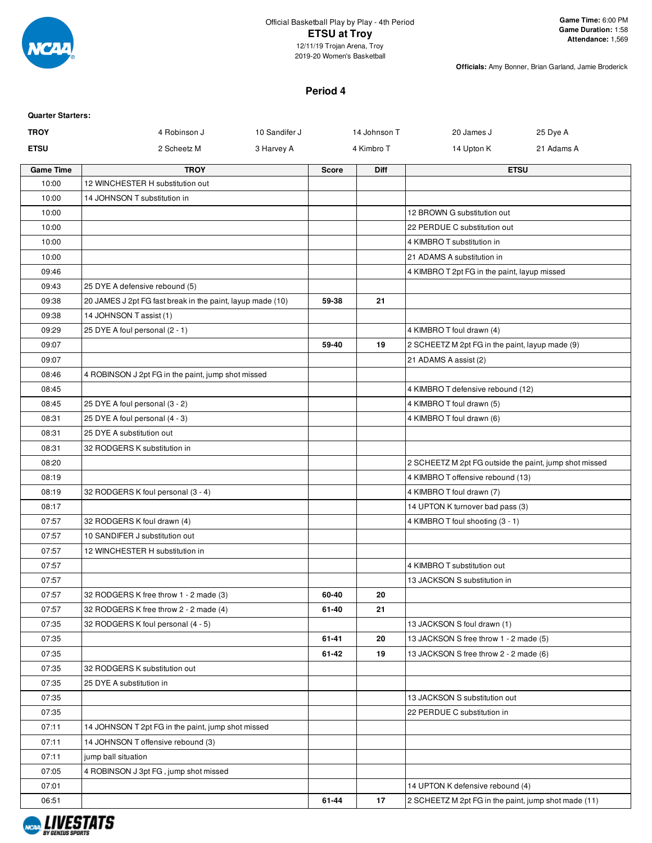

## Official Basketball Play by Play - 4th Period **ETSU at Troy** 12/11/19 Trojan Arena, Troy

2019-20 Women's Basketball

**Officials:** Amy Bonner, Brian Garland, Jamie Broderick

## **Period 4**

| <b>Quarter Starters:</b> |                                                            |               |              |              |                                                        |             |
|--------------------------|------------------------------------------------------------|---------------|--------------|--------------|--------------------------------------------------------|-------------|
| <b>TROY</b>              | 4 Robinson J                                               | 10 Sandifer J |              | 14 Johnson T | 20 James J                                             | 25 Dye A    |
| <b>ETSU</b>              | 2 Scheetz M                                                | 3 Harvey A    |              | 4 Kimbro T   | 14 Upton K                                             | 21 Adams A  |
| <b>Game Time</b>         | <b>TROY</b>                                                |               | <b>Score</b> | <b>Diff</b>  |                                                        | <b>ETSU</b> |
| 10:00                    | 12 WINCHESTER H substitution out                           |               |              |              |                                                        |             |
| 10:00                    | 14 JOHNSON T substitution in                               |               |              |              |                                                        |             |
| 10:00                    |                                                            |               |              |              | 12 BROWN G substitution out                            |             |
| 10:00                    |                                                            |               |              |              | 22 PERDUE C substitution out                           |             |
| 10:00                    |                                                            |               |              |              | 4 KIMBRO T substitution in                             |             |
| 10:00                    |                                                            |               |              |              | 21 ADAMS A substitution in                             |             |
| 09:46                    |                                                            |               |              |              | 4 KIMBRO T 2pt FG in the paint, layup missed           |             |
| 09:43                    | 25 DYE A defensive rebound (5)                             |               |              |              |                                                        |             |
| 09:38                    | 20 JAMES J 2pt FG fast break in the paint, layup made (10) |               | 59-38        | 21           |                                                        |             |
| 09:38                    | 14 JOHNSON T assist (1)                                    |               |              |              |                                                        |             |
| 09:29                    | 25 DYE A foul personal (2 - 1)                             |               |              |              | 4 KIMBRO T foul drawn (4)                              |             |
| 09:07                    |                                                            |               | 59-40        | 19           | 2 SCHEETZ M 2pt FG in the paint, layup made (9)        |             |
| 09:07                    |                                                            |               |              |              | 21 ADAMS A assist (2)                                  |             |
| 08:46                    | 4 ROBINSON J 2pt FG in the paint, jump shot missed         |               |              |              |                                                        |             |
| 08:45                    |                                                            |               |              |              | 4 KIMBRO T defensive rebound (12)                      |             |
| 08:45                    | 25 DYE A foul personal (3 - 2)                             |               |              |              | 4 KIMBRO T foul drawn (5)                              |             |
| 08:31                    | 25 DYE A foul personal (4 - 3)                             |               |              |              | 4 KIMBRO T foul drawn (6)                              |             |
| 08:31                    | 25 DYE A substitution out                                  |               |              |              |                                                        |             |
| 08:31                    | 32 RODGERS K substitution in                               |               |              |              |                                                        |             |
| 08:20                    |                                                            |               |              |              | 2 SCHEETZ M 2pt FG outside the paint, jump shot missed |             |
| 08:19                    |                                                            |               |              |              | 4 KIMBRO T offensive rebound (13)                      |             |
| 08:19                    | 32 RODGERS K foul personal (3 - 4)                         |               |              |              | 4 KIMBRO T foul drawn (7)                              |             |
| 08:17                    |                                                            |               |              |              | 14 UPTON K turnover bad pass (3)                       |             |
| 07:57                    | 32 RODGERS K foul drawn (4)                                |               |              |              | 4 KIMBRO T foul shooting (3 - 1)                       |             |
| 07:57                    | 10 SANDIFER J substitution out                             |               |              |              |                                                        |             |
| 07:57                    | 12 WINCHESTER H substitution in                            |               |              |              |                                                        |             |
| 07:57                    |                                                            |               |              |              | 4 KIMBRO T substitution out                            |             |
| 07:57                    |                                                            |               |              |              | 13 JACKSON S substitution in                           |             |
| 07:57                    | 32 RODGERS K free throw 1 - 2 made (3)                     |               | 60-40        | 20           |                                                        |             |
| 07:57                    | 32 RODGERS K free throw 2 - 2 made (4)                     |               | 61-40        | 21           |                                                        |             |
| 07:35                    | 32 RODGERS K foul personal (4 - 5)                         |               |              |              | 13 JACKSON S foul drawn (1)                            |             |
| 07:35                    |                                                            |               | 61-41        | 20           | 13 JACKSON S free throw 1 - 2 made (5)                 |             |
| 07:35                    |                                                            |               | 61-42        | 19           | 13 JACKSON S free throw 2 - 2 made (6)                 |             |
| 07:35                    | 32 RODGERS K substitution out                              |               |              |              |                                                        |             |
| 07:35                    | 25 DYE A substitution in                                   |               |              |              |                                                        |             |
| 07:35                    |                                                            |               |              |              | 13 JACKSON S substitution out                          |             |
| 07:35                    |                                                            |               |              |              | 22 PERDUE C substitution in                            |             |
| 07:11                    | 14 JOHNSON T 2pt FG in the paint, jump shot missed         |               |              |              |                                                        |             |
| 07:11                    | 14 JOHNSON T offensive rebound (3)                         |               |              |              |                                                        |             |
| 07:11                    | jump ball situation                                        |               |              |              |                                                        |             |
| 07:05                    | 4 ROBINSON J 3pt FG, jump shot missed                      |               |              |              |                                                        |             |
| 07:01                    |                                                            |               |              |              | 14 UPTON K defensive rebound (4)                       |             |
| 06:51                    |                                                            |               | 61-44        | 17           | 2 SCHEETZ M 2pt FG in the paint, jump shot made (11)   |             |

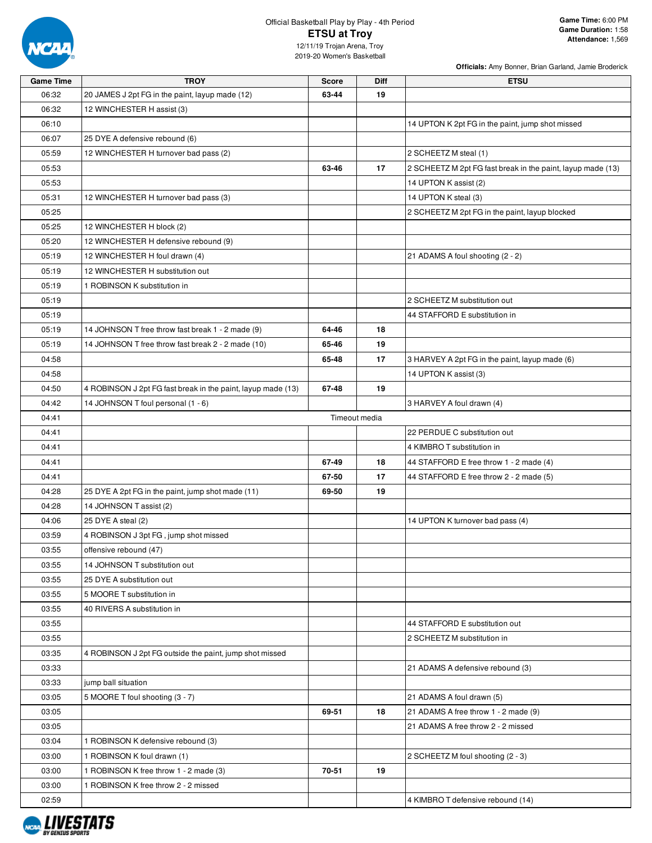

# Official Basketball Play by Play - 4th Period **ETSU at Troy**

**Officials:** Amy Bonner, Brian Garland, Jamie Broderick

12/11/19 Trojan Arena, Troy 2019-20 Women's Basketball

| <b>TROY</b>                                        | <b>Score</b>                                                                                                                                                                                                                                                                                                                                                                                                                                                                                                                                                                                                                                                                      | Diff                                                        | <b>ETSU</b>                                                 |
|----------------------------------------------------|-----------------------------------------------------------------------------------------------------------------------------------------------------------------------------------------------------------------------------------------------------------------------------------------------------------------------------------------------------------------------------------------------------------------------------------------------------------------------------------------------------------------------------------------------------------------------------------------------------------------------------------------------------------------------------------|-------------------------------------------------------------|-------------------------------------------------------------|
| 20 JAMES J 2pt FG in the paint, layup made (12)    | 63-44                                                                                                                                                                                                                                                                                                                                                                                                                                                                                                                                                                                                                                                                             | 19                                                          |                                                             |
| 12 WINCHESTER H assist (3)                         |                                                                                                                                                                                                                                                                                                                                                                                                                                                                                                                                                                                                                                                                                   |                                                             |                                                             |
|                                                    |                                                                                                                                                                                                                                                                                                                                                                                                                                                                                                                                                                                                                                                                                   |                                                             | 14 UPTON K 2pt FG in the paint, jump shot missed            |
| 25 DYE A defensive rebound (6)                     |                                                                                                                                                                                                                                                                                                                                                                                                                                                                                                                                                                                                                                                                                   |                                                             |                                                             |
| 12 WINCHESTER H turnover bad pass (2)              |                                                                                                                                                                                                                                                                                                                                                                                                                                                                                                                                                                                                                                                                                   |                                                             | 2 SCHEETZ M steal (1)                                       |
|                                                    | 63-46                                                                                                                                                                                                                                                                                                                                                                                                                                                                                                                                                                                                                                                                             | 17                                                          | 2 SCHEETZ M 2pt FG fast break in the paint, layup made (13) |
|                                                    |                                                                                                                                                                                                                                                                                                                                                                                                                                                                                                                                                                                                                                                                                   |                                                             | 14 UPTON K assist (2)                                       |
| 12 WINCHESTER H turnover bad pass (3)              |                                                                                                                                                                                                                                                                                                                                                                                                                                                                                                                                                                                                                                                                                   |                                                             | 14 UPTON K steal (3)                                        |
|                                                    |                                                                                                                                                                                                                                                                                                                                                                                                                                                                                                                                                                                                                                                                                   |                                                             | 2 SCHEETZ M 2pt FG in the paint, layup blocked              |
| 12 WINCHESTER H block (2)                          |                                                                                                                                                                                                                                                                                                                                                                                                                                                                                                                                                                                                                                                                                   |                                                             |                                                             |
| 12 WINCHESTER H defensive rebound (9)              |                                                                                                                                                                                                                                                                                                                                                                                                                                                                                                                                                                                                                                                                                   |                                                             |                                                             |
| 12 WINCHESTER H foul drawn (4)                     |                                                                                                                                                                                                                                                                                                                                                                                                                                                                                                                                                                                                                                                                                   |                                                             | 21 ADAMS A foul shooting (2 - 2)                            |
| 12 WINCHESTER H substitution out                   |                                                                                                                                                                                                                                                                                                                                                                                                                                                                                                                                                                                                                                                                                   |                                                             |                                                             |
| 1 ROBINSON K substitution in                       |                                                                                                                                                                                                                                                                                                                                                                                                                                                                                                                                                                                                                                                                                   |                                                             |                                                             |
|                                                    |                                                                                                                                                                                                                                                                                                                                                                                                                                                                                                                                                                                                                                                                                   |                                                             | 2 SCHEETZ M substitution out                                |
|                                                    |                                                                                                                                                                                                                                                                                                                                                                                                                                                                                                                                                                                                                                                                                   |                                                             | 44 STAFFORD E substitution in                               |
| 14 JOHNSON T free throw fast break 1 - 2 made (9)  | 64-46                                                                                                                                                                                                                                                                                                                                                                                                                                                                                                                                                                                                                                                                             | 18                                                          |                                                             |
| 14 JOHNSON T free throw fast break 2 - 2 made (10) | 65-46                                                                                                                                                                                                                                                                                                                                                                                                                                                                                                                                                                                                                                                                             | 19                                                          |                                                             |
|                                                    |                                                                                                                                                                                                                                                                                                                                                                                                                                                                                                                                                                                                                                                                                   |                                                             | 3 HARVEY A 2pt FG in the paint, layup made (6)              |
|                                                    |                                                                                                                                                                                                                                                                                                                                                                                                                                                                                                                                                                                                                                                                                   |                                                             | 14 UPTON K assist (3)                                       |
|                                                    |                                                                                                                                                                                                                                                                                                                                                                                                                                                                                                                                                                                                                                                                                   |                                                             |                                                             |
|                                                    |                                                                                                                                                                                                                                                                                                                                                                                                                                                                                                                                                                                                                                                                                   |                                                             | 3 HARVEY A foul drawn (4)                                   |
|                                                    |                                                                                                                                                                                                                                                                                                                                                                                                                                                                                                                                                                                                                                                                                   |                                                             |                                                             |
|                                                    |                                                                                                                                                                                                                                                                                                                                                                                                                                                                                                                                                                                                                                                                                   |                                                             | 22 PERDUE C substitution out                                |
|                                                    |                                                                                                                                                                                                                                                                                                                                                                                                                                                                                                                                                                                                                                                                                   |                                                             | 4 KIMBRO T substitution in                                  |
|                                                    |                                                                                                                                                                                                                                                                                                                                                                                                                                                                                                                                                                                                                                                                                   |                                                             | 44 STAFFORD E free throw 1 - 2 made (4)                     |
|                                                    |                                                                                                                                                                                                                                                                                                                                                                                                                                                                                                                                                                                                                                                                                   |                                                             | 44 STAFFORD E free throw 2 - 2 made (5)                     |
|                                                    |                                                                                                                                                                                                                                                                                                                                                                                                                                                                                                                                                                                                                                                                                   |                                                             |                                                             |
|                                                    |                                                                                                                                                                                                                                                                                                                                                                                                                                                                                                                                                                                                                                                                                   |                                                             |                                                             |
|                                                    |                                                                                                                                                                                                                                                                                                                                                                                                                                                                                                                                                                                                                                                                                   |                                                             | 14 UPTON K turnover bad pass (4)                            |
|                                                    |                                                                                                                                                                                                                                                                                                                                                                                                                                                                                                                                                                                                                                                                                   |                                                             |                                                             |
|                                                    |                                                                                                                                                                                                                                                                                                                                                                                                                                                                                                                                                                                                                                                                                   |                                                             |                                                             |
|                                                    |                                                                                                                                                                                                                                                                                                                                                                                                                                                                                                                                                                                                                                                                                   |                                                             |                                                             |
|                                                    |                                                                                                                                                                                                                                                                                                                                                                                                                                                                                                                                                                                                                                                                                   |                                                             |                                                             |
|                                                    |                                                                                                                                                                                                                                                                                                                                                                                                                                                                                                                                                                                                                                                                                   |                                                             |                                                             |
|                                                    |                                                                                                                                                                                                                                                                                                                                                                                                                                                                                                                                                                                                                                                                                   |                                                             |                                                             |
|                                                    |                                                                                                                                                                                                                                                                                                                                                                                                                                                                                                                                                                                                                                                                                   |                                                             | 44 STAFFORD E substitution out                              |
|                                                    |                                                                                                                                                                                                                                                                                                                                                                                                                                                                                                                                                                                                                                                                                   |                                                             | 2 SCHEETZ M substitution in                                 |
|                                                    |                                                                                                                                                                                                                                                                                                                                                                                                                                                                                                                                                                                                                                                                                   |                                                             |                                                             |
|                                                    |                                                                                                                                                                                                                                                                                                                                                                                                                                                                                                                                                                                                                                                                                   |                                                             | 21 ADAMS A defensive rebound (3)                            |
|                                                    |                                                                                                                                                                                                                                                                                                                                                                                                                                                                                                                                                                                                                                                                                   |                                                             |                                                             |
|                                                    |                                                                                                                                                                                                                                                                                                                                                                                                                                                                                                                                                                                                                                                                                   |                                                             | 21 ADAMS A foul drawn (5)                                   |
|                                                    |                                                                                                                                                                                                                                                                                                                                                                                                                                                                                                                                                                                                                                                                                   |                                                             | 21 ADAMS A free throw 1 - 2 made (9)                        |
|                                                    |                                                                                                                                                                                                                                                                                                                                                                                                                                                                                                                                                                                                                                                                                   |                                                             | 21 ADAMS A free throw 2 - 2 missed                          |
|                                                    |                                                                                                                                                                                                                                                                                                                                                                                                                                                                                                                                                                                                                                                                                   |                                                             |                                                             |
|                                                    |                                                                                                                                                                                                                                                                                                                                                                                                                                                                                                                                                                                                                                                                                   |                                                             | 2 SCHEETZ M foul shooting (2 - 3)                           |
|                                                    |                                                                                                                                                                                                                                                                                                                                                                                                                                                                                                                                                                                                                                                                                   |                                                             |                                                             |
|                                                    |                                                                                                                                                                                                                                                                                                                                                                                                                                                                                                                                                                                                                                                                                   |                                                             |                                                             |
|                                                    |                                                                                                                                                                                                                                                                                                                                                                                                                                                                                                                                                                                                                                                                                   |                                                             | 4 KIMBRO T defensive rebound (14)                           |
|                                                    | 4 ROBINSON J 2pt FG fast break in the paint, layup made (13)<br>14 JOHNSON T foul personal (1 - 6)<br>25 DYE A 2pt FG in the paint, jump shot made (11)<br>14 JOHNSON T assist (2)<br>25 DYE A steal (2)<br>4 ROBINSON J 3pt FG, jump shot missed<br>offensive rebound (47)<br>14 JOHNSON T substitution out<br>25 DYE A substitution out<br>5 MOORE T substitution in<br>40 RIVERS A substitution in<br>4 ROBINSON J 2pt FG outside the paint, jump shot missed<br>jump ball situation<br>5 MOORE T foul shooting (3 - 7)<br>1 ROBINSON K defensive rebound (3)<br>1 ROBINSON K foul drawn (1)<br>1 ROBINSON K free throw 1 - 2 made (3)<br>1 ROBINSON K free throw 2 - 2 missed | 65-48<br>67-48<br>67-49<br>67-50<br>69-50<br>69-51<br>70-51 | 17<br>19<br>Timeout media<br>18<br>17<br>19<br>18<br>19     |

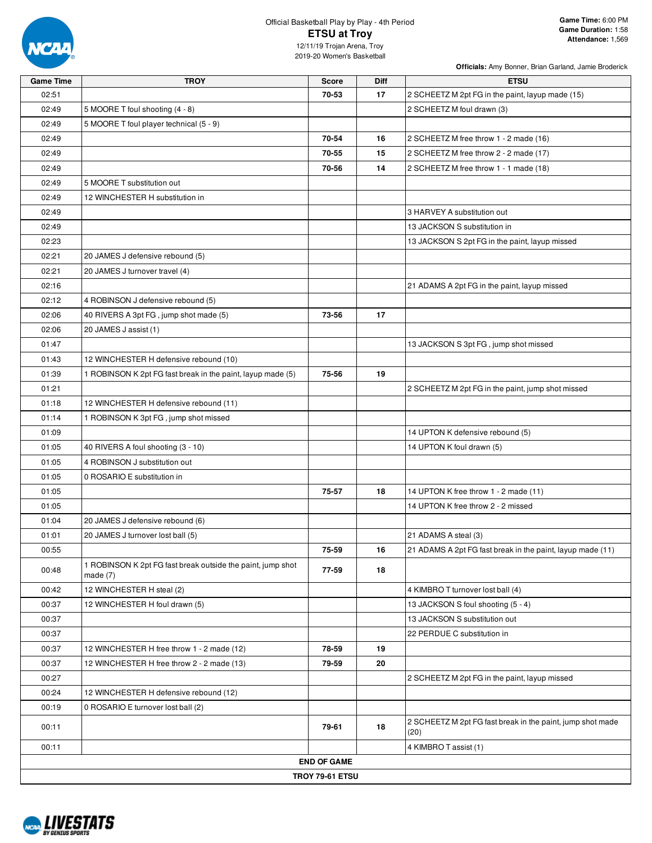

# Official Basketball Play by Play - 4th Period **ETSU at Troy**

| <b>Game Time</b> | <b>TROY</b>                                                               | <b>Score</b>           | Diff | <b>ETSU</b>                                                        |
|------------------|---------------------------------------------------------------------------|------------------------|------|--------------------------------------------------------------------|
| 02:51            |                                                                           | 70-53                  | 17   | 2 SCHEETZ M 2pt FG in the paint, layup made (15)                   |
| 02:49            | 5 MOORE T foul shooting (4 - 8)                                           |                        |      | 2 SCHEETZ M foul drawn (3)                                         |
| 02:49            | 5 MOORE T foul player technical (5 - 9)                                   |                        |      |                                                                    |
| 02:49            |                                                                           | 70-54                  | 16   | 2 SCHEETZ M free throw 1 - 2 made (16)                             |
| 02:49            |                                                                           | 70-55                  | 15   | 2 SCHEETZ M free throw 2 - 2 made (17)                             |
| 02:49            |                                                                           | 70-56                  | 14   | 2 SCHEETZ M free throw 1 - 1 made (18)                             |
| 02:49            | 5 MOORE T substitution out                                                |                        |      |                                                                    |
| 02:49            | 12 WINCHESTER H substitution in                                           |                        |      |                                                                    |
| 02:49            |                                                                           |                        |      | 3 HARVEY A substitution out                                        |
| 02:49            |                                                                           |                        |      | 13 JACKSON S substitution in                                       |
| 02:23            |                                                                           |                        |      | 13 JACKSON S 2pt FG in the paint, layup missed                     |
| 02:21            | 20 JAMES J defensive rebound (5)                                          |                        |      |                                                                    |
| 02:21            | 20 JAMES J turnover travel (4)                                            |                        |      |                                                                    |
| 02:16            |                                                                           |                        |      | 21 ADAMS A 2pt FG in the paint, layup missed                       |
| 02:12            | 4 ROBINSON J defensive rebound (5)                                        |                        |      |                                                                    |
| 02:06            | 40 RIVERS A 3pt FG, jump shot made (5)                                    | 73-56                  | 17   |                                                                    |
| 02:06            | 20 JAMES J assist (1)                                                     |                        |      |                                                                    |
| 01:47            |                                                                           |                        |      | 13 JACKSON S 3pt FG, jump shot missed                              |
| 01:43            | 12 WINCHESTER H defensive rebound (10)                                    |                        |      |                                                                    |
| 01:39            | 1 ROBINSON K 2pt FG fast break in the paint, layup made (5)               | 75-56                  | 19   |                                                                    |
| 01:21            |                                                                           |                        |      | 2 SCHEETZ M 2pt FG in the paint, jump shot missed                  |
| 01:18            | 12 WINCHESTER H defensive rebound (11)                                    |                        |      |                                                                    |
| 01:14            | 1 ROBINSON K 3pt FG, jump shot missed                                     |                        |      |                                                                    |
| 01:09            |                                                                           |                        |      | 14 UPTON K defensive rebound (5)                                   |
| 01:05            | 40 RIVERS A foul shooting (3 - 10)                                        |                        |      | 14 UPTON K foul drawn (5)                                          |
| 01:05            | 4 ROBINSON J substitution out                                             |                        |      |                                                                    |
| 01:05            | 0 ROSARIO E substitution in                                               |                        |      |                                                                    |
| 01:05            |                                                                           | 75-57                  | 18   | 14 UPTON K free throw 1 - 2 made (11)                              |
| 01:05            |                                                                           |                        |      | 14 UPTON K free throw 2 - 2 missed                                 |
| 01:04            | 20 JAMES J defensive rebound (6)                                          |                        |      |                                                                    |
| 01:01            | 20 JAMES J turnover lost ball (5)                                         |                        |      | 21 ADAMS A steal (3)                                               |
| 00:55            |                                                                           | 75-59                  | 16   | 21 ADAMS A 2pt FG fast break in the paint, layup made (11)         |
| 00:48            | 1 ROBINSON K 2pt FG fast break outside the paint, jump shot<br>made $(7)$ | 77-59                  | 18   |                                                                    |
| 00:42            | 12 WINCHESTER H steal (2)                                                 |                        |      | 4 KIMBRO T turnover lost ball (4)                                  |
| 00:37            | 12 WINCHESTER H foul drawn (5)                                            |                        |      | 13 JACKSON S foul shooting (5 - 4)                                 |
| 00:37            |                                                                           |                        |      | 13 JACKSON S substitution out                                      |
| 00:37            |                                                                           |                        |      | 22 PERDUE C substitution in                                        |
| 00:37            | 12 WINCHESTER H free throw 1 - 2 made (12)                                | 78-59                  | 19   |                                                                    |
| 00:37            | 12 WINCHESTER H free throw 2 - 2 made (13)                                | 79-59                  | 20   |                                                                    |
| 00:27            |                                                                           |                        |      | 2 SCHEETZ M 2pt FG in the paint, layup missed                      |
| 00:24            | 12 WINCHESTER H defensive rebound (12)                                    |                        |      |                                                                    |
| 00:19            | 0 ROSARIO E turnover lost ball (2)                                        |                        |      |                                                                    |
| 00:11            |                                                                           | 79-61                  | 18   | 2 SCHEETZ M 2pt FG fast break in the paint, jump shot made<br>(20) |
| 00:11            |                                                                           |                        |      | 4 KIMBRO T assist (1)                                              |
|                  |                                                                           | <b>END OF GAME</b>     |      |                                                                    |
|                  |                                                                           | <b>TROY 79-61 ETSU</b> |      |                                                                    |

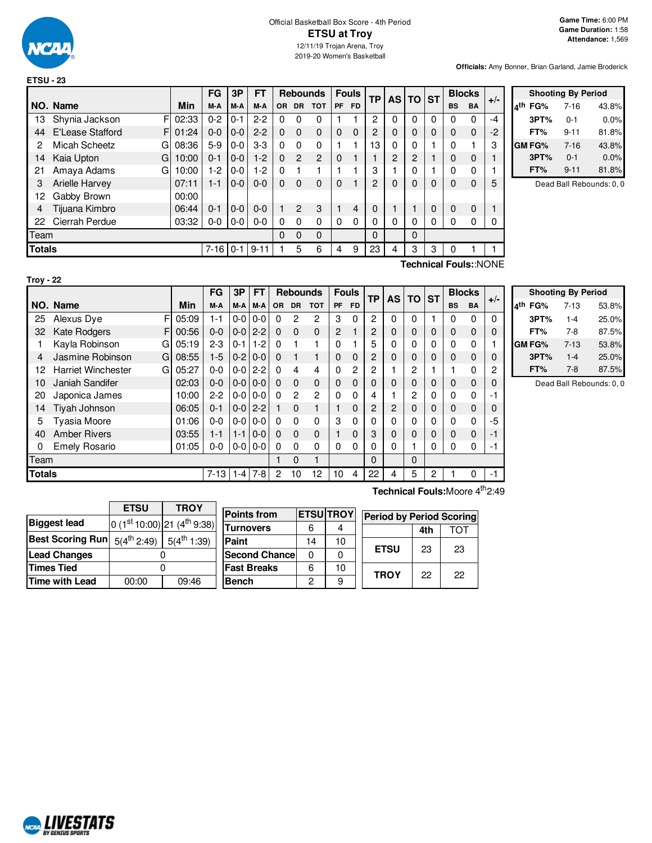

|               |                           |       | FG             | 3P      | <b>FT</b> |          | <b>Rebounds</b> |                | <b>Fouls</b> |           | <b>TP</b>      | AS   TO   ST |          |          |           | <b>Blocks</b> | $+/-$ |
|---------------|---------------------------|-------|----------------|---------|-----------|----------|-----------------|----------------|--------------|-----------|----------------|--------------|----------|----------|-----------|---------------|-------|
|               | NO. Name                  | Min   | M-A            | M-A     | M-A       | OR.      | DR.             | <b>TOT</b>     | <b>PF</b>    | <b>FD</b> |                |              |          |          | <b>BS</b> | <b>BA</b>     |       |
| 13            | F<br>Shynia Jackson       | 02:33 | $0 - 2$        | $0 - 1$ | $2 - 2$   | 0        | 0               | 0              |              |           | 2              | 0            | $\Omega$ | 0        | 0         | 0             | -4    |
| 44            | E'Lease Stafford<br>F     | 01:24 | $0 - 0$        | $0-0$   | $2 - 2$   | $\Omega$ | $\Omega$        | $\Omega$       | $\Omega$     | $\Omega$  | 2              | 0            | 0        | $\Omega$ | 0         | $\mathbf 0$   | -2    |
| 2             | <b>Micah Scheetz</b><br>G | 08:36 | $5-9$          | $0-0$   | $3-3$     | $\Omega$ | $\Omega$        | $\Omega$       |              |           | 13             | 0            | 0        |          | 0         |               | 3     |
| 14            | Kaia Upton<br>G           | 10:00 | $0 - 1$        | $0-0$   | $1-2$     | $\Omega$ | 2               | $\overline{2}$ | $\Omega$     |           |                | 2            | 2        |          | 0         | 0             |       |
| 21            | Amaya Adams<br>G          | 10:00 | $1-2$          | $0-0$   | $1-2$     | $\Omega$ |                 |                |              |           | 3              |              | $\Omega$ |          | 0         | 0             |       |
| 3             | <b>Arielle Harvey</b>     | 07:11 | 1-1            | $0-0$   | $0 - 0$   | $\Omega$ | $\Omega$        | $\Omega$       | $\mathbf 0$  |           | $\overline{2}$ | $\Omega$     | 0        | 0        | 0         | $\mathbf 0$   | 5     |
| 12            | Gabby Brown               | 00:00 |                |         |           |          |                 |                |              |           |                |              |          |          |           |               |       |
| 4             | Tijuana Kimbro            | 06:44 | $0 - 1$        | $0-0$   | $0 - 0$   |          | $\overline{2}$  | 3              |              | 4         | 0              |              |          | 0        | 0         | 0             |       |
| 22            | Cierrah Perdue            | 03:32 | $0-0$          | $0-0$   | $0 - 0$   | $\Omega$ | $\Omega$        | $\Omega$       | $\Omega$     | $\Omega$  | 0              | 0            | 0        | 0        | 0         | 0             |       |
| Team          |                           |       |                |         |           | $\Omega$ | 0               | $\Omega$       |              |           | $\Omega$       |              | 0        |          |           |               |       |
| <b>Totals</b> |                           |       | $7 - 16$   0-1 |         | $9 - 11$  |          | 5               | 6              | 4            | 9         | 23             | 4            | 3        | 3        | 0         |               |       |
|               | 10011<br>$\cdot$ $-$      |       |                |         |           |          |                 |                |              |           |                |              |          |          |           |               |       |

|     | <b>Shooting By Period</b> |          |       |  |  |  |  |  |  |  |
|-----|---------------------------|----------|-------|--|--|--|--|--|--|--|
| 4th | FG%                       | $7 - 16$ | 43.8% |  |  |  |  |  |  |  |
|     | 3PT%                      | 0-1      | 0.0%  |  |  |  |  |  |  |  |
|     | FT%                       | $9 - 11$ | 81.8% |  |  |  |  |  |  |  |
|     | GM FG%                    | $7 - 16$ | 43.8% |  |  |  |  |  |  |  |
|     | 3PT%                      | $0 - 1$  | 0.0%  |  |  |  |  |  |  |  |
|     | FT%                       | $9 - 11$ | 81.8% |  |  |  |  |  |  |  |

Dead Ball Rebounds: 0, 0

| × |  |
|---|--|
|   |  |

**Technical Fouls:**:NONE

|               |                                |       | FG       | 3P      | FT      |          | <b>Rebounds</b> |                |                | <b>Fouls</b>   | <b>TP</b> | <b>AS</b> | <b>TO</b> | <b>ST</b> |           | <b>Blocks</b> | $+/-$ |  |
|---------------|--------------------------------|-------|----------|---------|---------|----------|-----------------|----------------|----------------|----------------|-----------|-----------|-----------|-----------|-----------|---------------|-------|--|
|               | NO. Name                       | Min   | M-A      | M-A     | M-A     | OR.      | <b>DR</b>       | <b>TOT</b>     | <b>PF</b>      | <b>FD</b>      |           |           |           |           | <b>BS</b> | <b>BA</b>     |       |  |
| 25            | F<br>Alexus Dye                | 05:09 | $1 - 1$  | $0-0$   | $0-0$   | $\Omega$ | 2               | 2              | 3              | $\Omega$       | 2         | 0         | $\Omega$  |           | 0         | $\mathbf 0$   | 0     |  |
| 32            | <b>Kate Rodgers</b><br>F       | 00:56 | $0 - 0$  | $0-0$   | $2 - 2$ | $\Omega$ | 0               | $\mathbf 0$    | $\overline{2}$ |                | 2         | 0         | 0         | 0         | 0         | 0             | 0     |  |
|               | Kayla Robinson<br>G            | 05:19 | $2 - 3$  | $0 - 1$ | $1-2$   | $\Omega$ |                 | 1              | 0              |                | 5         | 0         | 0         | 0         | 0         | 0             |       |  |
| 4             | Jasmine Robinson<br>G          | 08:55 | $1-5$    | $0-2$   | $0-0$   | $\Omega$ |                 | 1              | $\Omega$       | 0              | 2         | 0         | 0         | 0         | 0         | 0             | 0     |  |
| 12            | <b>Harriet Winchester</b><br>G | 05:27 | $0 - 0$  | $0-0$   | $2 - 2$ | $\Omega$ | 4               | 4              | $\Omega$       | $\overline{c}$ | 2         |           | 2         |           |           | 0             | 2     |  |
| 10            | Janiah Sandifer                | 02:03 | $0 - 0$  | $0-0$   | $0-0$   | $\Omega$ | 0               | $\mathbf 0$    | $\Omega$       | 0              | 0         | 0         | 0         | 0         | 0         | 0             | 0     |  |
| 20            | Japonica James                 | 10:00 | $2-2$    | $0-0$   | $0 - 0$ | $\Omega$ | 2               | $\overline{2}$ | $\Omega$       | 0              | 4         |           | 2         | $\Omega$  | 0         | 0             | -1    |  |
| 14            | Tiyah Johnson                  | 06:05 | $0 - 1$  | $0-0$   | $2 - 2$ |          | 0               | 1              |                | 0              | 2         | 2         | 0         | 0         | 0         | 0             | 0     |  |
| 5             | <b>Tyasia Moore</b>            | 01:06 | $0 - 0$  | $0-0$   | $0 - 0$ | $\Omega$ | 0               | $\Omega$       | 3              | 0              | 0         | 0         | 0         | $\Omega$  | 0         | 0             | -5    |  |
| 40            | <b>Amber Rivers</b>            | 03:55 | $1 - 1$  | $1 - 1$ | $0-0$   | $\Omega$ | 0               | $\mathbf 0$    |                | 0              | 3         | 0         | 0         | 0         | 0         | $\mathbf 0$   | -1    |  |
| 0             | <b>Emely Rosario</b>           | 01:05 | $0-0$    | $0-0$   | $0-0$   | $\Omega$ | 0               | $\Omega$       | $\Omega$       | 0              | 0         | 0         |           | 0         | 0         | 0             | -1    |  |
| Team          |                                |       |          |         |         |          | 0               | 1              |                |                | 0         |           | $\Omega$  |           |           |               |       |  |
| <b>Totals</b> |                                |       | $7 - 13$ | $1 - 4$ | 7-8     | 2        | 10              | 12             | 10             | 4              | 22        | 4         | 5         | 2         |           | 0             | -1    |  |

|     | <b>Shooting By Period</b> |          |       |  |  |  |  |  |  |  |
|-----|---------------------------|----------|-------|--|--|--|--|--|--|--|
| ⊿th | FG%                       | $7 - 13$ | 53.8% |  |  |  |  |  |  |  |
|     | 3PT%                      | $1 - 4$  | 25.0% |  |  |  |  |  |  |  |
|     | FT%                       | 7-8      | 87.5% |  |  |  |  |  |  |  |
|     | GM FG%                    | $7 - 13$ | 53.8% |  |  |  |  |  |  |  |
|     | 3PT%                      | $1 - 4$  | 25.0% |  |  |  |  |  |  |  |
|     | FT%                       | 7-8      | 87.5% |  |  |  |  |  |  |  |

Dead Ball Rebounds: 0, 0

**ETSU TROY Biggest** lead  $\left| \frac{\text{st}}{10:00} \right|$ 21 (4<sup>th</sup> 9:38) **Best Scoring Run**  $5(4^{th} 2:49)$  $5(4^{th} 1:39)$ **Lead Changes** | 0 **Times Tied**  $\qquad$  0 **Time with Lead** 00:00 09:46

| <b>Points from</b>    |    | <b>ETSUTROY</b> | Period I    |
|-----------------------|----|-----------------|-------------|
| <b>Turnovers</b>      |    |                 |             |
| Paint                 | 14 | 10              |             |
| <b>Second Chancel</b> |    |                 | <b>ETSL</b> |
| <b>Fast Breaks</b>    |    | 10              | <b>TRO)</b> |
| <b>Bench</b>          | 2  |                 |             |

**Technical Fouls:**Moore 4<sup>th</sup>2:49

**ETSU** 23 23

**TROY** 22 22

| <b>Period by Period Scoring</b> |     |            |  |  |  |  |
|---------------------------------|-----|------------|--|--|--|--|
|                                 | 4th | <b>TOT</b> |  |  |  |  |

| <b>MALIVESTATS</b><br><b>BY GENIUS SPORTS</b> |
|-----------------------------------------------|
|-----------------------------------------------|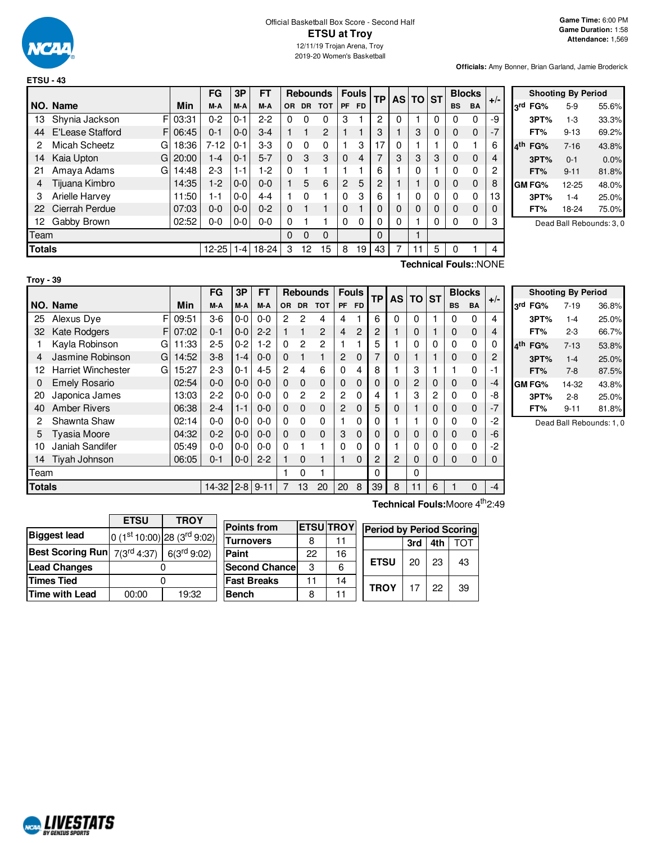

|               |                       |       | FG        | 3P      | <b>FT</b> |          |              | <b>Rebounds</b> |                | <b>Fouls</b> | ТP |   | <b>ASITO</b> | <b>ST</b> | <b>Blocks</b>         |              | $+/-$ |
|---------------|-----------------------|-------|-----------|---------|-----------|----------|--------------|-----------------|----------------|--------------|----|---|--------------|-----------|-----------------------|--------------|-------|
|               | NO. Name              | Min   | M-A       | M-A     | M-A       | OR.      | <b>DR</b>    | <b>TOT</b>      | <b>PF</b>      | <b>FD</b>    |    |   |              |           | <b>BS</b>             | BA           |       |
| 13            | F<br>Shynia Jackson   | 03:31 | $0 - 2$   | $0 - 1$ | $2 - 2$   | 0        | 0            | 0               | 3              |              | 2  | 0 |              | 0         | 0                     | 0            | -9    |
| 44            | E'Lease Stafford<br>F | 06:45 | $0 - 1$   | $0 - 0$ | $3-4$     |          | $\mathbf{1}$ | 2               |                |              | 3  |   | 3            | 0         | 0                     | $\Omega$     | $-7$  |
| 2             | Micah Scheetz<br>G    | 18:36 | $7 - 12$  | $0 - 1$ | $3-3$     | 0        | $\Omega$     | 0               |                | 3            | 17 | 0 |              |           | 0                     | 1            | 6     |
| 14            | Kaia Upton<br>G       | 20:00 | $1 - 4$   | $0 - 1$ | $5 - 7$   | $\Omega$ | 3            | 3               | $\mathbf 0$    | 4            | 7  | 3 | 3            | 3         | 0                     | $\mathbf 0$  |       |
| 21            | Amaya Adams<br>G      | 14:48 | $2 - 3$   | 1-1     | $1-2$     | $\Omega$ |              |                 |                |              | 6  |   | 0            |           | 0                     | $\mathbf{0}$ | 2     |
| 4             | Tijuana Kimbro        | 14:35 | $1 - 2$   | $0 - 0$ | $0 - 0$   |          | 5            | 6               | $\overline{c}$ | 5            | 2  |   |              | 0         | 0                     | 0            | 8     |
| 3             | Arielle Harvey        | 11:50 | 1-1       | $0 - 0$ | $4 - 4$   |          | 0            |                 | 0              | 3            | 6  |   | 0            | 0         | 0                     | 0            | 13    |
| 22            | Cierrah Perdue        | 07:03 | $0-0$     | $0 - 0$ | $0 - 2$   | $\Omega$ |              |                 | 0              |              | 0  | 0 | 0            | 0         | 0                     | 0            |       |
| 12            | Gabby Brown           | 02:52 | $0 - 0$   | $0-0$   | $0 - 0$   | 0        |              |                 | $\Omega$       | $\Omega$     | 0  | 0 |              | 0         | 0                     | 0            | 3     |
| Team          |                       |       |           |         |           | $\Omega$ | $\Omega$     | $\Omega$        |                |              | 0  |   |              |           |                       |              |       |
| <b>Totals</b> |                       |       | $12 - 25$ | 1-4 I   | $18-24$   | 3        | 12           | 15              | 8              | 19           | 43 | 7 | 11           | 5         | 0                     |              |       |
|               |                       |       |           |         |           |          |              |                 |                |              |    |   |              |           | Technical Fouls::NONE |              |       |

|        |               | <b>Shooting By Period</b> |                          |
|--------|---------------|---------------------------|--------------------------|
| οrd    | FG%           | $5-9$                     | 55.6%                    |
|        | 3PT%          | $1 - 3$                   | 33.3%                    |
|        | FT%           | $9 - 13$                  | 69.2%                    |
| $A$ th | FG%           | $7 - 16$                  | 43.8%                    |
|        | 3PT%          | $0 - 1$                   | 0.0%                     |
|        | FT%           | $9 - 11$                  | 81.8%                    |
|        | <b>GM FG%</b> | 12-25                     | 48.0%                    |
|        | 3PT%          | $1 - 4$                   | 25.0%                    |
|        | FT%           | 18-24                     | 75.0%                    |
|        |               |                           | Dead Ball Rebounds: 3, 0 |

F 09:51  $F$  07:02 G 11:33  $G$  14:52 G 15:27 **NO.** Name Min  $FG$  **3P**  $FT$  **Rebounds Fouls**  $TP$  **AS**  $TO$  **ST**  $\begin{bmatrix} \mathsf{FG} & 3\mathsf{P} \\ \mathsf{M-A} & \mathsf{M-A} \end{bmatrix}$  or dr total  $\begin{bmatrix} \mathsf{F} \mathsf{out} \end{bmatrix}$   $\begin{bmatrix} \mathsf{F} \mathsf{p} \end{bmatrix}$   $\begin{bmatrix} \mathsf{TP} & \mathsf{AS} \\ \mathsf{AS} & \mathsf{DT} \end{bmatrix}$   $\begin{bmatrix} \mathsf{ST} & \mathsf{BlockS} \\ \mathsf{BS} & \mathsf{BA} \end{bmatrix}$  +/-25 Alexus Dye F | 09:51 | 3-6 | 0-0 | 0-0 | 2 2 4 | 4 1 | 6 | 0 | 0 | 1 | 0 0 | 4 32 Kate Rodgers  $F[07:02]$  0-1  $[0-0]$  2-2 1 1 2 4 2 2 1 0 1 0 0 4 1 Kayla Robinson G | 11:33 | 2-5 | 0-2 | 1-2 | 0 2 | 2 | 1 | 1 | 5 | 1 | 0 | 0 | 0 | 0 | 0 4 Jasmine Robinson G | 14:52 | 3-8 | 1-4 | 0-0 | 0 1 1 | 2 0 | 7 | 0 | 1 | 1 | 0 0 | 2 12 Harriet Winchester G | 15:27 | 2-3 | 0-1 | 4-5 | 2 4 6 | 0 4 | 8 | 1 | 3 | 1 | 1 0 | -1 0 Emely Rosario | 02:54 0-0 0-0 0-0 0 0 0 0 0 0 0 0 2 0 0 0 -4 20 Japonica James 13:03 2-2 0-0 0-0 0 2 2 2 0 4 1 3 2 0 0 -8 40 Amber Rivers 06:38 2-4 1-1 0-0 0 0 0 2 0 5 0 1 0 0 0 -7 2 Shawnta Shaw 02:14 0-0 0-0 0-0 0 0 0 1 0 0 1 1 0 0 0 -2 5 Tyasia Moore 04:32 0-2 0-0 0-0 0 0 0 3 0 0 0 0 0 0 0 -6 10 Janiah Sandifer 05:49 0-0 0-0 0-0 0 1 1 0 0 0 1 0 0 0 0 -2 14 Tiyah Johnson 06:05 0-1 0-0 2-2 1 0 1 1 0 2 2 0 0 0 0 0 Team 1 0 1 0 0 **Totals** 14-32 2-8 9-11 7 13 20 20 3 39 8 11 6 1 0 -4

|     |         | <b>Shooting By Period</b> |       |
|-----|---------|---------------------------|-------|
|     | 3rd FG% | 7-19                      | 36.8% |
|     | 3PT%    | $1 - 4$                   | 25.0% |
|     | FT%     | $2 - 3$                   | 66.7% |
| ⊿th | FG%     | $7 - 13$                  | 53.8% |
|     | 3PT%    | $1 - 4$                   | 25.0% |
|     | FT%     | $7 - 8$                   | 87.5% |
|     | GM FG%  | 14-32                     | 43.8% |
|     | 3PT%    | $2 - 8$                   | 25.0% |
|     | FT%     | 9-11                      | 81.8% |

Dead Ball Rebounds: 1, 0

|                                         | <b>ETSU</b><br><b>TROY</b> |                                 |  |  |  |  |
|-----------------------------------------|----------------------------|---------------------------------|--|--|--|--|
| <b>Biggest lead</b>                     |                            | 0 $(1st 10:00)$ 28 $(3rd 9:02)$ |  |  |  |  |
| Best Scoring Run $7(3^{\text{rd}}4:37)$ | 6(3 <sup>rd</sup> 9:02)    |                                 |  |  |  |  |
| <b>Lead Changes</b>                     |                            |                                 |  |  |  |  |
| <b>Times Tied</b>                       |                            |                                 |  |  |  |  |
| Time with Lead                          | 00:00                      | 19:32                           |  |  |  |  |

| <b>Points from</b>   |    | <b>ETSU TROY</b> |
|----------------------|----|------------------|
| <b>Turnovers</b>     | 8  | 11               |
| Paint                | 22 | 16               |
| <b>Second Chance</b> | з  | հ                |
| <b>Fast Breaks</b>   | 11 | 14               |
| <b>Bench</b>         | 8  | 11               |

**Technical Fouls:**Moore 4<sup>th</sup>2:49

| ηΥ |             | <b>Period by Period Scoring</b> |     |            |  |  |  |  |  |  |  |  |  |  |  |
|----|-------------|---------------------------------|-----|------------|--|--|--|--|--|--|--|--|--|--|--|
|    |             | 3rd                             | 4th | <b>TOT</b> |  |  |  |  |  |  |  |  |  |  |  |
| 5  | <b>ETSU</b> | 20                              | 23  | 43         |  |  |  |  |  |  |  |  |  |  |  |
|    | <b>TROY</b> | 17                              | 22  | 39         |  |  |  |  |  |  |  |  |  |  |  |



**Troy - 39**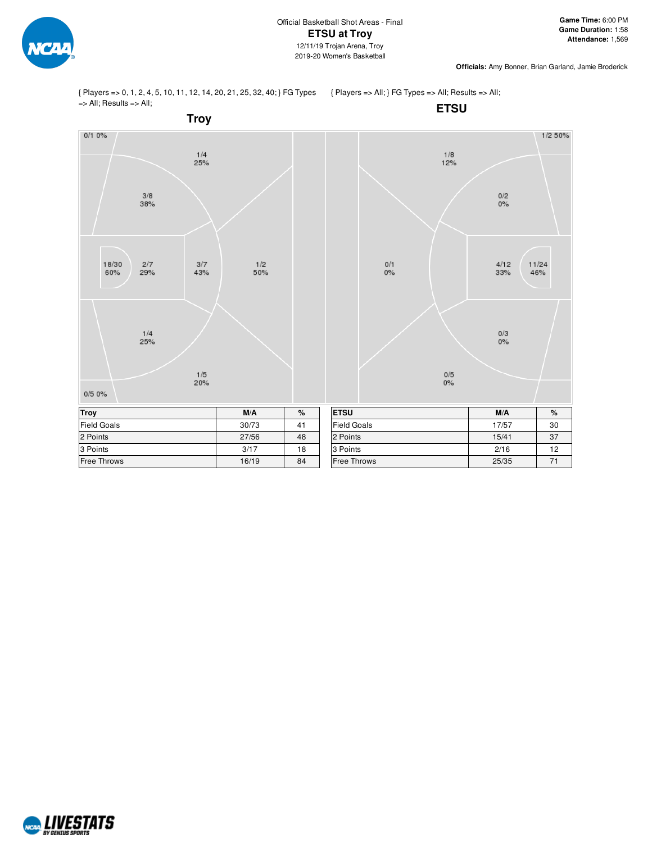

{ Players => 0, 1, 2, 4, 5, 10, 11, 12, 14, 20, 21, 25, 32, 40; } FG Types => All; Results => All;

{ Players => All; } FG Types => All; Results => All;



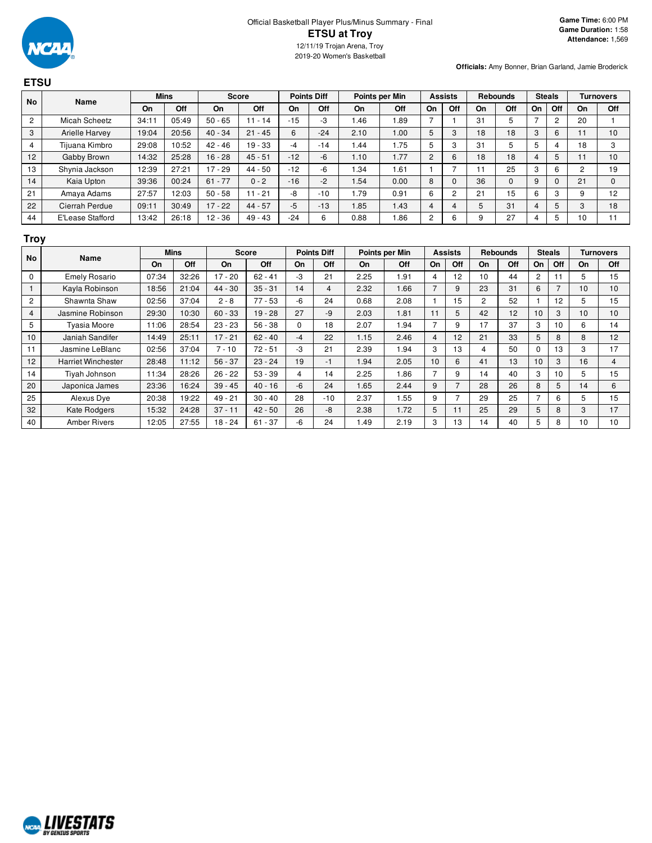#### Official Basketball Player Plus/Minus Summary - Final **ETSU at Troy** 12/11/19 Trojan Arena, Troy 2019-20 Women's Basketball

**Officials:** Amy Bonner, Brian Garland, Jamie Broderick

### **ETSU No Name Mins Score Points Diff Points per Min Assists Rebounds Steals Turnovers On Off On Off On Off On Off On Off On Off On Off On Off** 2 | Micah Scheetz | 34:11 | 05:49 | 50 - 65 | 11 - 14 | -15 | -3 | 1.46 | 1.89 | 7 | 1 | 31 | 5 | 7 | 2 | 20 | 1 3 | Arielle Harvey | 19:04 | 20:56 | 40 - 34 | 21 - 45 | 6 | -24 | 2.10 | 1.00 | 5 | 3 | 18 | 18 | 3 | 6 | 11 | 10 4 | Tijuana Kimbro | 29:08 | 10:52 | 42 - 46 | 19 - 33 | -4 | -14 | 1.44 | 1.75 | 5 | 3 | 31 | 5 | 5 | 4 | 18 | 3 12 | Gabby Brown | 14:32 | 25:28 | 16 - 28 | 45 - 51 | -12 | -6 | 1.10 | 1.77 | 2 | 6 | 18 | 18 | 4 | 5 | 11 | 10 13 | Shynia Jackson | 12:39 | 27:21 | 17 - 29 | 44 - 50 | -12 | -6 | 1.34 | 1.61 | 1 | 7 | 11 | 25 | 3 | 6 | 2 | 19 14 | Kaia Upton | 39:36 | 00:24 | 61 - 77 | 0 - 2 | -16 | -2 | 1.54 | 0.00 | 8 | 0 | 36 | 0 | 9 | 0 | 21 | 0 21 | Amaya Adams | 27:57 | 12:03 | 50 - 58 | 11 - 21 | -8 | -10 | 1.79 | 0.91 | 6 | 2 | 21 | 15 | 6 | 3 | 9 | 12 22 | Cierrah Perdue | 09:11 | 30:49 | 17 - 22 | 44 - 57 | -5 | -13 | 1.85 | 1.43 | 4 | 4 | 5 | 31 | 4 | 5 | 3 | 18 44 E'Lease Stafford 13:42 26:18 12 - 36 49 - 43 - 24 6 0.88 1.86 2 6 9 27 4 5 10 11

### **Troy**

|                | <b>No</b>                 |       | Name  |           | <b>Mins</b> |          | <b>Score</b> |       | <b>Points Diff</b> | Points per Min |     | <b>Assists</b> |     | <b>Rebounds</b> |                | <b>Steals</b> |     |  | <b>Turnovers</b> |
|----------------|---------------------------|-------|-------|-----------|-------------|----------|--------------|-------|--------------------|----------------|-----|----------------|-----|-----------------|----------------|---------------|-----|--|------------------|
|                |                           | On    | Off   | On.       | Off         | On       | Off          | On    | Off                | On             | Off | On             | Off | On              | Off            | <b>On</b>     | Off |  |                  |
| $\Omega$       | <b>Emely Rosario</b>      | 07:34 | 32:26 | $17 - 20$ | $62 - 41$   | -3       | 21           | 2.25  | .91                | 4              | 12  | 10             | 44  | 2               | 11             | 5             | 15  |  |                  |
|                | Kayla Robinson            | 18:56 | 21:04 | $44 - 30$ | $35 - 31$   | 14       | 4            | 2.32  | 1.66               | 7              | 9   | 23             | 31  | 6               | $\overline{ }$ | 10            | 10  |  |                  |
| $\overline{2}$ | Shawnta Shaw              | 02:56 | 37:04 | $2 - 8$   | $77 - 53$   | -6       | 24           | 0.68  | 2.08               |                | 15  | 2              | 52  |                 | 12             | 5             | 15  |  |                  |
| $\overline{4}$ | Jasmine Robinson          | 29:30 | 10:30 | $60 - 33$ | $19 - 28$   | 27       | $-9$         | 2.03  | 1.81               | 11             | 5   | 42             | 12  | 10              | 3              | 10            | 10  |  |                  |
| 5              | Tyasia Moore              | 11:06 | 28:54 | $23 - 23$ | $56 - 38$   | $\Omega$ | 18           | 2.07  | .94                | 7              | 9   | 17             | 37  | 3               | 10             | 6             | 14  |  |                  |
| 10             | Janiah Sandifer           | 14:49 | 25:11 | $17 - 21$ | $62 - 40$   | -4       | 22           | 1.15  | 2.46               | 4              | 12  | 21             | 33  | 5               | 8              | 8             | 12  |  |                  |
| 11             | Jasmine LeBlanc           | 02:56 | 37:04 | $7 - 10$  | $72 - 51$   | -3       | 21           | 2.39  | 1.94               | 3              | 13  | 4              | 50  | $\Omega$        | 13             | 3             | 17  |  |                  |
| 12             | <b>Harriet Winchester</b> | 28:48 | 11:12 | $56 - 37$ | $23 - 24$   | 19       | -1           | 94. ا | 2.05               | 10             | 6   | 41             | 13  | 10              | 3              | 16            | 4   |  |                  |
| 14             | Tiyah Johnson             | 11:34 | 28:26 | $26 - 22$ | $53 - 39$   | 4        | 14           | 2.25  | .86                |                | 9   | 14             | 40  | 3               | 10             | 5             | 15  |  |                  |
| 20             | Japonica James            | 23:36 | 16:24 | $39 - 45$ | $40 - 16$   | $-6$     | 24           | 1.65  | 2.44               | 9              |     | 28             | 26  | 8               | 5              | 14            | 6   |  |                  |
| 25             | Alexus Dye                | 20:38 | 19:22 | $49 - 21$ | $30 - 40$   | 28       | $-10$        | 2.37  | .55                | 9              |     | 29             | 25  | ⇁               | 6              | 5             | 15  |  |                  |
| 32             | Kate Rodgers              | 15:32 | 24:28 | $37 - 11$ | $42 - 50$   | 26       | -8           | 2.38  | 1.72               | 5.             |     | 25             | 29  | 5               | 8              | 3             | 17  |  |                  |
| 40             | <b>Amber Rivers</b>       | 12:05 | 27:55 | 18 - 24   | $61 - 37$   | -6       | 24           | 1.49  | 2.19               | 3              | 13  | 14             | 40  | 5               | 8              | 10            | 10  |  |                  |

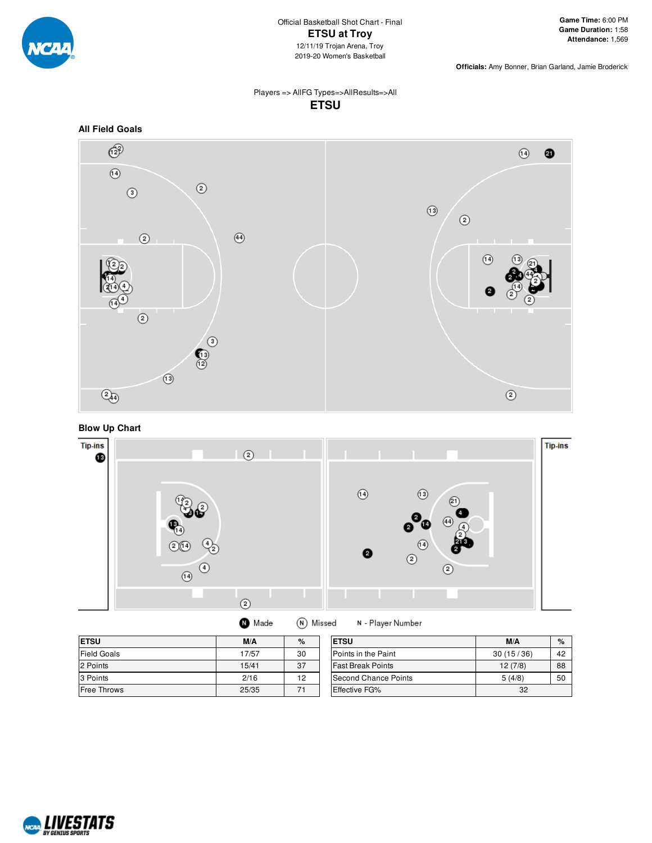

### Players => AllFG Types=>AllResults=>All **ETSU**



**Blow Up Chart**



| $- - - -$ |   |  |
|-----------|---|--|
|           | . |  |

N - Player Number

| <b>ETSU</b>                 | M/A   | $\%$ | <b>ETSU</b>              | M/A       | %  |
|-----------------------------|-------|------|--------------------------|-----------|----|
| <b>Field Goals</b>          | 17/57 | 30   | Points in the Paint      | 30(15/36) | 42 |
| 2 Points                    | 15/41 | 37   | <b>Fast Break Points</b> | 12(7/8)   | 88 |
| 3 Points                    | 2/16  | 12   | Second Chance Points     | 5(4/8)    | 50 |
| <b>Free Throws</b><br>25/35 |       |      | <b>Effective FG%</b>     | 32        |    |

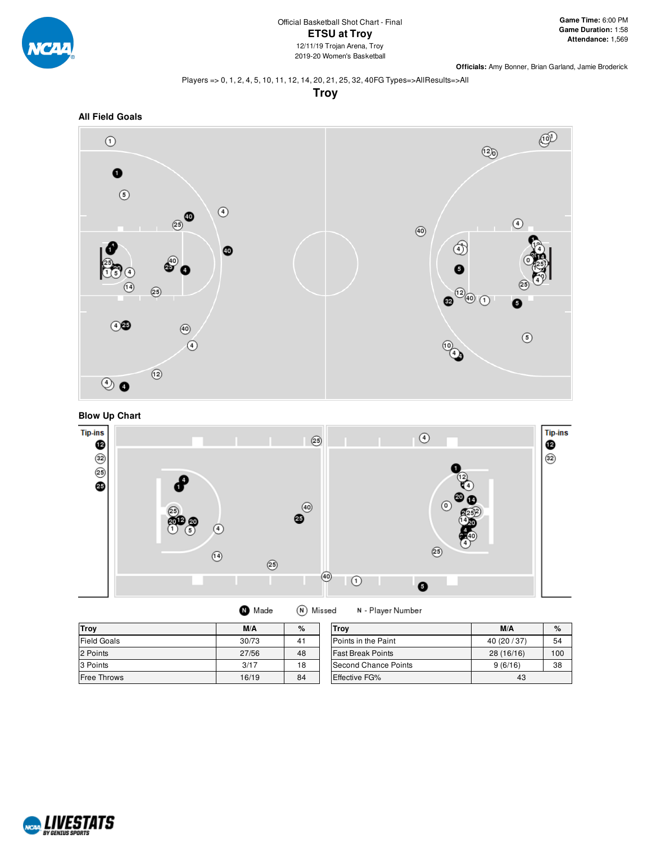

### Players => 0, 1, 2, 4, 5, 10, 11, 12, 14, 20, 21, 25, 32, 40FG Types=>AllResults=>All

**Troy**







**O** Made (N) Missed N - Player Number

| <b>Troy</b>        | M/A   | %                          | Trov                     | M/A          | $\%$ |
|--------------------|-------|----------------------------|--------------------------|--------------|------|
| <b>Field Goals</b> | 30/73 | 41                         | Points in the Paint      | 40 (20 / 37) | 54   |
| 2 Points           | 27/56 | 48                         | <b>Fast Break Points</b> | 28 (16/16)   | 100  |
| 3 Points           | 3/17  | 18                         | Second Chance Points     | 9(6/16)      | 38   |
| Free Throws        | 16/19 | 84<br><b>Effective FG%</b> |                          | 43           |      |

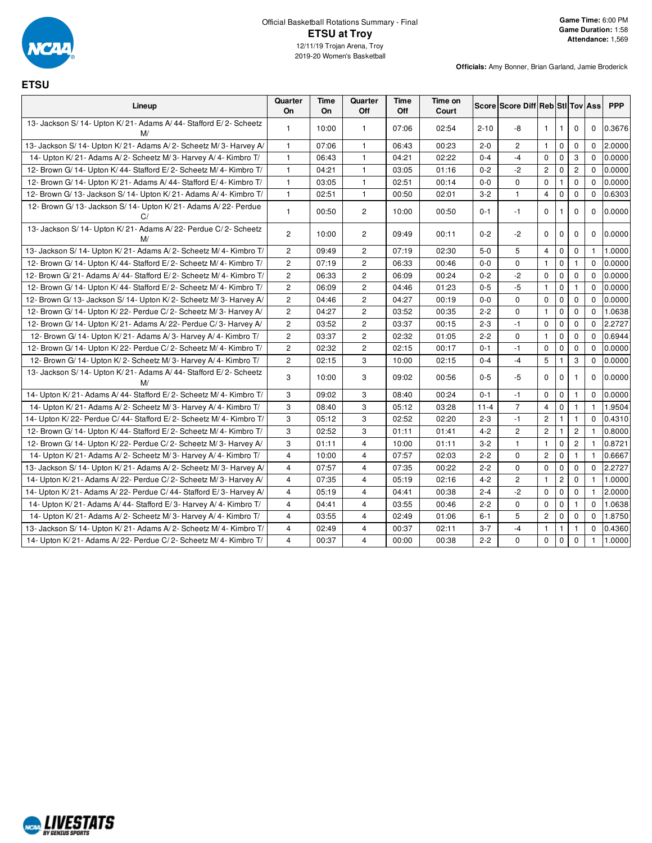

┱

## **ETSU**

| Lineup                                                                    | Quarter<br>On         | Time<br>On | Quarter<br>Off        | Time<br>Off | Time on<br>Court |          | Score Score Diff Reb Stl Tov Ass |                |                |                       |              | <b>PPP</b> |
|---------------------------------------------------------------------------|-----------------------|------------|-----------------------|-------------|------------------|----------|----------------------------------|----------------|----------------|-----------------------|--------------|------------|
| 13- Jackson S/ 14- Upton K/ 21- Adams A/ 44- Stafford E/ 2- Scheetz<br>M/ | $\mathbf{1}$          | 10:00      | $\mathbf{1}$          | 07:06       | 02:54            | $2 - 10$ | -8                               | $\mathbf{1}$   | $\overline{1}$ | $\mathbf 0$           | $\mathbf 0$  | 0.3676     |
| 13- Jackson S/14- Upton K/21- Adams A/2- Scheetz M/3- Harvey A/           | $\mathbf{1}$          | 07:06      | 1                     | 06:43       | 00:23            | $2 - 0$  | $\overline{2}$                   | $\mathbf{1}$   | $\mathbf 0$    | $\mathbf 0$           | $\Omega$     | 2.0000     |
| 14- Upton K/21- Adams A/2- Scheetz M/3- Harvey A/4- Kimbro T/             | $\mathbf{1}$          | 06:43      | $\mathbf{1}$          | 04:21       | 02:22            | $0 - 4$  | $-4$                             | $\Omega$       | $\mathbf 0$    | 3                     | $\Omega$     | 0.0000     |
| 12- Brown G/ 14- Upton K/ 44- Stafford E/ 2- Scheetz M/ 4- Kimbro T/      | $\mathbf{1}$          | 04:21      | $\mathbf{1}$          | 03:05       | 01:16            | $0 - 2$  | $-2$                             | $\overline{2}$ | $\mathbf 0$    | $\overline{2}$        | $\mathbf{0}$ | 0.0000     |
| 12- Brown G/ 14- Upton K/ 21- Adams A/ 44- Stafford E/ 4- Kimbro T/       | $\mathbf{1}$          | 03:05      | 1                     | 02:51       | 00:14            | $0-0$    | $\mathbf 0$                      | $\mathbf 0$    | $\mathbf{1}$   | 0                     | $\mathbf{0}$ | 0.0000     |
| 12- Brown G/ 13- Jackson S/ 14- Upton K/ 21- Adams A/ 4- Kimbro T/        | $\mathbf{1}$          | 02:51      | 1                     | 00:50       | 02:01            | $3 - 2$  | $\mathbf{1}$                     | $\overline{4}$ | $\mathbf 0$    | $\mathbf 0$           | $\mathbf 0$  | 0.6303     |
| 12- Brown G/ 13- Jackson S/ 14- Upton K/ 21- Adams A/ 22- Perdue<br>C/    | 1                     | 00:50      | $\mathbf{2}^{\prime}$ | 10:00       | 00:50            | $0 - 1$  | $-1$                             | $\mathbf 0$    | $\mathbf{1}$   | $\mathbf 0$           | $\mathbf 0$  | 0.0000     |
| 13- Jackson S/14- Upton K/21- Adams A/22- Perdue C/2- Scheetz<br>M/       | 2                     | 10:00      | $\overline{c}$        | 09:49       | 00:11            | $0 - 2$  | $-2$                             | $\Omega$       | $\mathbf 0$    | $\Omega$              | $\Omega$     | 0.0000     |
| 13- Jackson S/ 14- Upton K/ 21- Adams A/ 2- Scheetz M/ 4- Kimbro T/       | $\overline{2}$        | 09:49      | $\overline{c}$        | 07:19       | 02:30            | $5-0$    | 5                                | $\overline{4}$ | $\mathbf 0$    | $\mathbf 0$           | $\mathbf{1}$ | 1.0000     |
| 12- Brown G/ 14- Upton K/ 44- Stafford E/ 2- Scheetz M/ 4- Kimbro T/      | $\mathbf{2}^{\prime}$ | 07:19      | $\overline{c}$        | 06:33       | 00:46            | $0-0$    | 0                                | $\overline{1}$ | $\mathbf 0$    | $\mathbf{1}$          | $\mathbf 0$  | 0.0000     |
| 12- Brown G/21- Adams A/44- Stafford E/2- Scheetz M/4- Kimbro T/          | $\mathbf{2}^{\prime}$ | 06:33      | $\overline{c}$        | 06:09       | 00:24            | $0 - 2$  | $-2$                             | $\pmb{0}$      | $\mathbf 0$    | 0                     | $\mathbf{0}$ | 0.0000     |
| 12- Brown G/ 14- Upton K/ 44- Stafford E/ 2- Scheetz M/ 4- Kimbro T/      | $\mathbf{2}^{\prime}$ | 06:09      | $\overline{c}$        | 04:46       | 01:23            | $0-5$    | $-5$                             | $\mathbf{1}$   | $\mathbf 0$    | $\mathbf{1}$          | $\mathbf{0}$ | 0.0000     |
| 12- Brown G/ 13- Jackson S/ 14- Upton K/ 2- Scheetz M/ 3- Harvey A/       | $\overline{c}$        | 04:46      | 2                     | 04:27       | 00:19            | $0-0$    | $\mathbf 0$                      | 0              | $\mathbf 0$    | 0                     | $\mathbf{0}$ | 0.0000     |
| 12- Brown G/ 14- Upton K/ 22- Perdue C/ 2- Scheetz M/ 3- Harvey A/        | $\overline{2}$        | 04:27      | $\overline{c}$        | 03:52       | 00:35            | $2 - 2$  | $\mathbf 0$                      | $\mathbf{1}$   | $\mathbf 0$    | $\mathbf 0$           | $\Omega$     | 1.0638     |
| 12- Brown G/ 14- Upton K/ 21- Adams A/ 22- Perdue C/ 3- Harvey A/         | $\overline{2}$        | 03:52      | 2                     | 03:37       | 00:15            | $2 - 3$  | $-1$                             | $\mathbf 0$    | $\mathbf 0$    | $\mathbf 0$           | $\Omega$     | 2.2727     |
| 12- Brown G/ 14- Upton K/ 21- Adams A/ 3- Harvey A/ 4- Kimbro T/          | $\overline{2}$        | 03:37      | $\overline{c}$        | 02:32       | 01:05            | $2 - 2$  | $\mathbf 0$                      | $\mathbf{1}$   | $\mathbf 0$    | $\mathbf 0$           | $\Omega$     | 0.6944     |
| 12- Brown G/ 14- Upton K/ 22- Perdue C/ 2- Scheetz M/ 4- Kimbro T/        | $\overline{2}$        | 02:32      | $\overline{c}$        | 02:15       | 00:17            | $0 - 1$  | $-1$                             | $\mathbf 0$    | $\mathbf 0$    | $\mathbf 0$           | $\Omega$     | 0.0000     |
| 12- Brown G/ 14- Upton K/ 2- Scheetz M/ 3- Harvey A/ 4- Kimbro T/         | $\overline{2}$        | 02:15      | 3                     | 10:00       | 02:15            | $0 - 4$  | $-4$                             | 5              | $\mathbf{1}$   | 3                     | $\mathbf{0}$ | 0.0000     |
| 13- Jackson S/ 14- Upton K/ 21- Adams A/ 44- Stafford E/ 2- Scheetz<br>M/ | 3                     | 10:00      | 3                     | 09:02       | 00:56            | $0 - 5$  | $-5$                             | $\mathbf 0$    | $\mathbf 0$    | $\mathbf{1}$          | $\Omega$     | 0.0000     |
| 14- Upton K/21- Adams A/44- Stafford E/2- Scheetz M/4- Kimbro T/          | 3                     | 09:02      | 3                     | 08:40       | 00:24            | $0 - 1$  | $-1$                             | $\mathbf 0$    | $\mathbf 0$    | $\mathbf{1}$          | $\mathbf 0$  | 0.0000     |
| 14- Upton K/21- Adams A/2- Scheetz M/3- Harvey A/4- Kimbro T/             | 3                     | 08:40      | 3                     | 05:12       | 03:28            | $11 - 4$ | $\overline{7}$                   | 4              | $\mathbf 0$    | $\mathbf{1}$          | $\mathbf{1}$ | 1.9504     |
| 14- Upton K/22- Perdue C/44- Stafford E/2- Scheetz M/4- Kimbro T/         | 3                     | 05:12      | 3                     | 02:52       | 02:20            | $2 - 3$  | $-1$                             | $\overline{c}$ | $\mathbf{1}$   | $\mathbf{1}$          | $\mathbf 0$  | 0.4310     |
| 12- Brown G/ 14- Upton K/ 44- Stafford E/ 2- Scheetz M/ 4- Kimbro T/      | 3                     | 02:52      | 3                     | 01:11       | 01:41            | $4 - 2$  | $\overline{2}$                   | $\overline{2}$ | $\mathbf{1}$   | $\mathbf{2}^{\prime}$ | $\mathbf{1}$ | 0.8000     |
| 12- Brown G/ 14- Upton K/ 22- Perdue C/ 2- Scheetz M/ 3- Harvey A/        | 3                     | 01:11      | 4                     | 10:00       | 01:11            | $3 - 2$  | $\mathbf{1}$                     | $\mathbf{1}$   | $\pmb{0}$      | $\mathbf{2}^{\prime}$ | $\mathbf{1}$ | 0.8721     |
| 14- Upton K/21- Adams A/2- Scheetz M/3- Harvey A/4- Kimbro T/             | $\overline{4}$        | 10:00      | 4                     | 07:57       | 02:03            | $2 - 2$  | $\mathbf 0$                      | $\overline{2}$ | $\mathbf 0$    | $\mathbf{1}$          | $\mathbf{1}$ | 0.6667     |
| 13- Jackson S/ 14- Upton K/ 21- Adams A/ 2- Scheetz M/ 3- Harvey A/       | $\overline{4}$        | 07:57      | 4                     | 07:35       | 00:22            | $2 - 2$  | $\mathbf 0$                      | $\mathbf 0$    | $\mathbf 0$    | $\mathbf 0$           | $\Omega$     | 2.2727     |
| 14- Upton K/21- Adams A/22- Perdue C/2- Scheetz M/3- Harvey A/            | $\overline{4}$        | 07:35      | 4                     | 05:19       | 02:16            | $4 - 2$  | $\overline{c}$                   | $\mathbf{1}$   | $\overline{c}$ | $\mathbf 0$           | $\mathbf{1}$ | 1.0000     |
| 14- Upton K/21- Adams A/22- Perdue C/44- Stafford E/3- Harvey A/          | $\overline{4}$        | 05:19      | 4                     | 04:41       | 00:38            | $2 - 4$  | $-2$                             | $\mathbf 0$    | $\mathbf 0$    | 0                     | $\mathbf{1}$ | 2.0000     |
| 14- Upton K/21- Adams A/44- Stafford E/3- Harvey A/4- Kimbro T/           | $\overline{4}$        | 04:41      | 4                     | 03:55       | 00:46            | $2 - 2$  | $\mathbf 0$                      | $\mathbf 0$    | $\mathbf 0$    | $\mathbf{1}$          | $\Omega$     | 1.0638     |
| 14- Upton K/21- Adams A/2- Scheetz M/3- Harvey A/4- Kimbro T/             | 4                     | 03:55      | 4                     | 02:49       | 01:06            | $6 - 1$  | 5                                | $\overline{2}$ | $\mathbf 0$    | $\mathbf 0$           | $\Omega$     | 1.8750     |
| 13- Jackson S/ 14- Upton K/ 21- Adams A/ 2- Scheetz M/ 4- Kimbro T/       | $\overline{4}$        | 02:49      | $\overline{4}$        | 00:37       | 02:11            | $3 - 7$  | -4                               | $\mathbf{1}$   | $\mathbf{1}$   | $\mathbf{1}$          | $\Omega$     | 0.4360     |
| 14- Upton K/21- Adams A/22- Perdue C/2- Scheetz M/4- Kimbro T/            | $\overline{4}$        | 00:37      | $\overline{4}$        | 00:00       | 00:38            | $2 - 2$  | $\mathbf 0$                      | $\mathbf 0$    | $\mathbf 0$    | $\mathbf 0$           | $\mathbf{1}$ | 1.0000     |

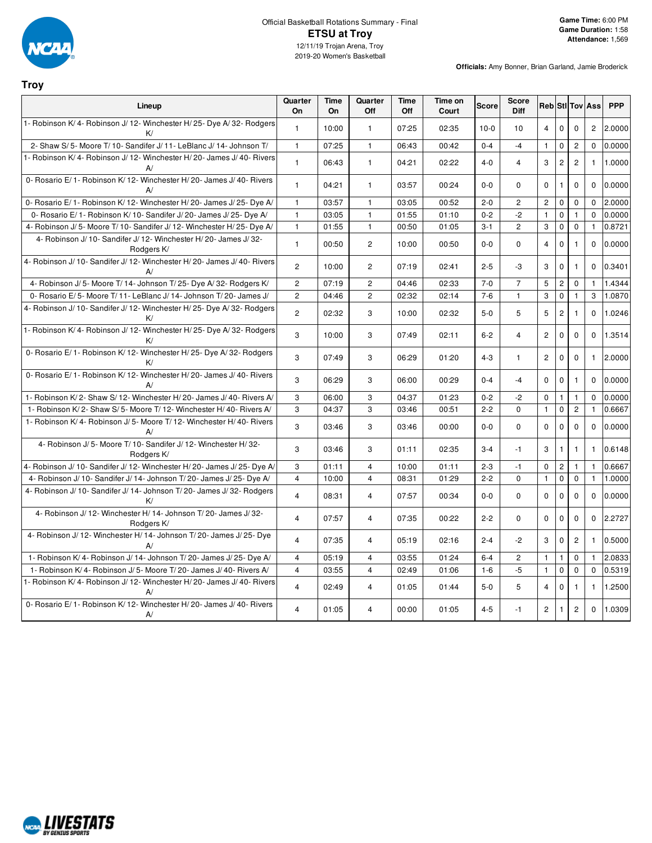

**Troy**

#### Official Basketball Rotations Summary - Final **ETSU at Troy** 12/11/19 Trojan Arena, Troy 2019-20 Women's Basketball

| Lineup                                                                          | Quarter<br>On  | <b>Time</b><br>On | Quarter<br>Off | <b>Time</b><br>Off | Time on<br>Court | <b>Score</b> | <b>Score</b><br><b>Diff</b> |                       |                |                | <b>Reb</b> Sti Tov Ass | <b>PPP</b>       |
|---------------------------------------------------------------------------------|----------------|-------------------|----------------|--------------------|------------------|--------------|-----------------------------|-----------------------|----------------|----------------|------------------------|------------------|
| 1- Robinson K/4- Robinson J/12- Winchester H/25- Dye A/32- Rodgers<br>K/        | $\mathbf{1}$   | 10:00             | $\mathbf{1}$   | 07:25              | 02:35            | $10-0$       | 10                          | 4                     | $\mathbf 0$    | $\Omega$       |                        | 2 2.0000         |
| 2- Shaw S/5- Moore T/10- Sandifer J/11- LeBlanc J/14- Johnson T/                | $\mathbf{1}$   | 07:25             | $\mathbf{1}$   | 06:43              | 00:42            | $0 - 4$      | $-4$                        | $\mathbf{1}$          | $\mathbf 0$    | $\overline{c}$ | $\mathbf{0}$           | 0.0000           |
| 1- Robinson K/4- Robinson J/12- Winchester H/20- James J/40- Rivers<br>A/       | $\mathbf{1}$   | 06:43             | $\mathbf{1}$   | 04:21              | 02:22            | $4 - 0$      | $\overline{4}$              | 3                     | $\overline{2}$ | $\overline{2}$ |                        | 1 1.0000         |
| 0- Rosario E/1- Robinson K/12- Winchester H/20- James J/40- Rivers<br>A/        | $\mathbf{1}$   | 04:21             | $\mathbf{1}$   | 03:57              | 00:24            | $0 - 0$      | $\Omega$                    | $\mathbf 0$           | $\mathbf{1}$   | $\Omega$       |                        | 0.0000           |
| 0- Rosario E/1- Robinson K/12- Winchester H/20- James J/25- Dye A/              | $\overline{1}$ | 03:57             | $\mathbf{1}$   | 03:05              | 00:52            | $2 - 0$      | $\overline{c}$              | $\overline{c}$        | 0              | $\Omega$       | $\Omega$               | 2.0000           |
| 0- Rosario E/1- Robinson K/10- Sandifer J/20- James J/25- Dye A/                | $\mathbf{1}$   | 03:05             | $\mathbf{1}$   | 01:55              | 01:10            | $0 - 2$      | $-2$                        | $\mathbf{1}$          | $\mathbf 0$    | $\mathbf{1}$   | $\mathbf 0$            | 0.0000           |
| 4- Robinson J/ 5- Moore T/ 10- Sandifer J/ 12- Winchester H/ 25- Dye A/         | $\mathbf{1}$   | 01:55             | $\mathbf{1}$   | 00:50              | 01:05            | $3 - 1$      | $\overline{2}$              | 3                     | $\pmb{0}$      | $\mathbf 0$    | $\mathbf{1}$           | 0.8721           |
| 4- Robinson J/ 10- Sandifer J/ 12- Winchester H/ 20- James J/ 32-<br>Rodgers K/ | $\mathbf{1}$   | 00:50             | $\overline{c}$ | 10:00              | 00:50            | $0-0$        | $\mathbf 0$                 | $\overline{4}$        | $\mathbf 0$    | $\overline{1}$ |                        | 0.0000           |
| 4- Robinson J/ 10- Sandifer J/ 12- Winchester H/ 20- James J/ 40- Rivers<br>A/  | $\overline{2}$ | 10:00             | $\overline{2}$ | 07:19              | 02:41            | $2 - 5$      | -3                          | 3                     | $\mathbf 0$    | $\overline{1}$ |                        | $0\quad 0.3401$  |
| 4- Robinson J/ 5- Moore T/ 14- Johnson T/ 25- Dye A/ 32- Rodgers K/             | $\overline{2}$ | 07:19             | $\overline{2}$ | 04:46              | 02:33            | $7 - 0$      | $\overline{7}$              | 5                     | $\overline{c}$ | $\mathbf 0$    | $\mathbf{1}$           | 1.4344           |
| 0- Rosario E/5- Moore T/11- LeBlanc J/14- Johnson T/20- James J/                | $\overline{2}$ | 04:46             | $\overline{c}$ | 02:32              | 02:14            | $7-6$        | $\mathbf{1}$                | 3                     | $\mathbf{0}$   | $\mathbf{1}$   | 3                      | 1.0870           |
| 4- Robinson J/ 10- Sandifer J/ 12- Winchester H/ 25- Dye A/ 32- Rodgers<br>K/   | $\overline{2}$ | 02:32             | 3              | 10:00              | 02:32            | $5-0$        | 5                           | 5                     | $\overline{c}$ | $\mathbf{1}$   |                        | $0$ 1.0246       |
| 1- Robinson K/4- Robinson J/12- Winchester H/25- Dye A/32- Rodgers<br>K/        | 3              | 10:00             | 3              | 07:49              | 02:11            | $6 - 2$      | $\overline{4}$              | $\mathbf{2}^{\prime}$ | $\mathbf 0$    | $\mathbf 0$    |                        | $0$   1.3514     |
| 0- Rosario E/1- Robinson K/12- Winchester H/25- Dye A/32- Rodgers<br>K/         | 3              | 07:49             | 3              | 06:29              | 01:20            | $4 - 3$      | $\mathbf{1}$                | $\overline{2}$        | $\Omega$       | $\Omega$       |                        | $1 \quad 2.0000$ |
| 0- Rosario E/1- Robinson K/12- Winchester H/20- James J/40- Rivers<br>A         | 3              | 06:29             | 3              | 06:00              | 00:29            | $0 - 4$      | $-4$                        | $\Omega$              | $\mathbf 0$    | $\overline{1}$ |                        | 0.0000           |
| 1- Robinson K/2- Shaw S/12- Winchester H/20- James J/40- Rivers A/              | 3              | 06:00             | 3              | 04:37              | 01:23            | $0 - 2$      | $-2$                        | $\mathbf 0$           | $\mathbf{1}$   | $\mathbf{1}$   | $\mathbf 0$            | 0.0000           |
| 1- Robinson K/2- Shaw S/5- Moore T/12- Winchester H/40- Rivers A/               | 3              | 04:37             | 3              | 03:46              | 00:51            | $2 - 2$      | $\mathbf 0$                 | $\mathbf{1}$          | $\overline{0}$ | $\overline{2}$ | $\mathbf{1}$           | 0.6667           |
| 1- Robinson K/4- Robinson J/5- Moore T/12- Winchester H/40- Rivers<br>A/        | 3              | 03:46             | 3              | 03:46              | 00:00            | $0-0$        | $\mathbf 0$                 | $\mathbf 0$           | $\mathbf 0$    | $\Omega$       |                        | 0.0000           |
| 4- Robinson J/ 5- Moore T/ 10- Sandifer J/ 12- Winchester H/ 32-<br>Rodgers K/  | 3              | 03:46             | 3              | 01:11              | 02:35            | $3-4$        | $-1$                        | 3                     | $\mathbf{1}$   | $\mathbf{1}$   | $\mathbf{1}$           | 0.6148           |
| 4- Robinson J/ 10- Sandifer J/ 12- Winchester H/ 20- James J/ 25- Dye A         | 3              | 01:11             | $\overline{4}$ | 10:00              | 01:11            | $2 - 3$      | $-1$                        | $\mathbf 0$           | $\overline{c}$ | $\mathbf{1}$   | $\mathbf{1}$           | 0.6667           |
| 4- Robinson J/ 10- Sandifer J/ 14- Johnson T/ 20- James J/ 25- Dye A/           | $\overline{4}$ | 10:00             | $\overline{4}$ | 08:31              | 01:29            | $2 - 2$      | $\Omega$                    | $\mathbf{1}$          | $\mathbf{0}$   | $\mathbf 0$    | $\mathbf{1}$           | 1.0000           |
| 4- Robinson J/ 10- Sandifer J/ 14- Johnson T/ 20- James J/ 32- Rodgers<br>K/    | $\overline{4}$ | 08:31             | $\overline{4}$ | 07:57              | 00:34            | $0-0$        | $\mathbf 0$                 | $\mathbf 0$           | 0              | $\mathbf 0$    |                        | 0 0.0000         |
| 4- Robinson J/ 12- Winchester H/ 14- Johnson T/ 20- James J/ 32-<br>Rodgers K/  | $\overline{4}$ | 07:57             | 4              | 07:35              | 00:22            | $2 - 2$      | $\Omega$                    | $\Omega$              | $\mathbf 0$    | $\Omega$       |                        | $0$ 2.2727       |
| 4- Robinson J/ 12- Winchester H/ 14- Johnson T/ 20- James J/ 25- Dye<br>A       | $\overline{4}$ | 07:35             | 4              | 05:19              | 02:16            | $2 - 4$      | $-2$                        | 3                     | $\mathbf 0$    | $\overline{c}$ |                        | 1 0.5000         |
| 1- Robinson K/4- Robinson J/14- Johnson T/20- James J/25- Dye A/                | $\overline{4}$ | 05:19             | $\overline{4}$ | 03:55              | 01:24            | $6 - 4$      | $\mathbf{2}$                | $\mathbf{1}$          | $\mathbf{1}$   | $\mathbf 0$    | $\mathbf{1}$           | 2.0833           |
| 1- Robinson K/4- Robinson J/5- Moore T/20- James J/40- Rivers A/                | $\overline{4}$ | 03:55             | $\overline{4}$ | 02:49              | 01:06            | $1-6$        | $-5$                        | $\mathbf{1}$          | $\mathbf 0$    | $\mathbf 0$    | $\mathbf 0$            | 0.5319           |
| 1- Robinson K/4- Robinson J/12- Winchester H/20- James J/40- Rivers<br>A        | $\overline{4}$ | 02:49             | 4              | 01:05              | 01:44            | $5-0$        | 5                           | $\overline{4}$        | $\mathbf 0$    | $\overline{1}$ |                        | 1 1.2500         |
| 0- Rosario E/1- Robinson K/12- Winchester H/20- James J/40- Rivers<br>A         | $\overline{4}$ | 01:05             | $\overline{4}$ | 00:00              | 01:05            | $4 - 5$      | $-1$                        | $\mathbf{2}^{\prime}$ | 1              | $\overline{c}$ |                        | $0$ 1.0309       |

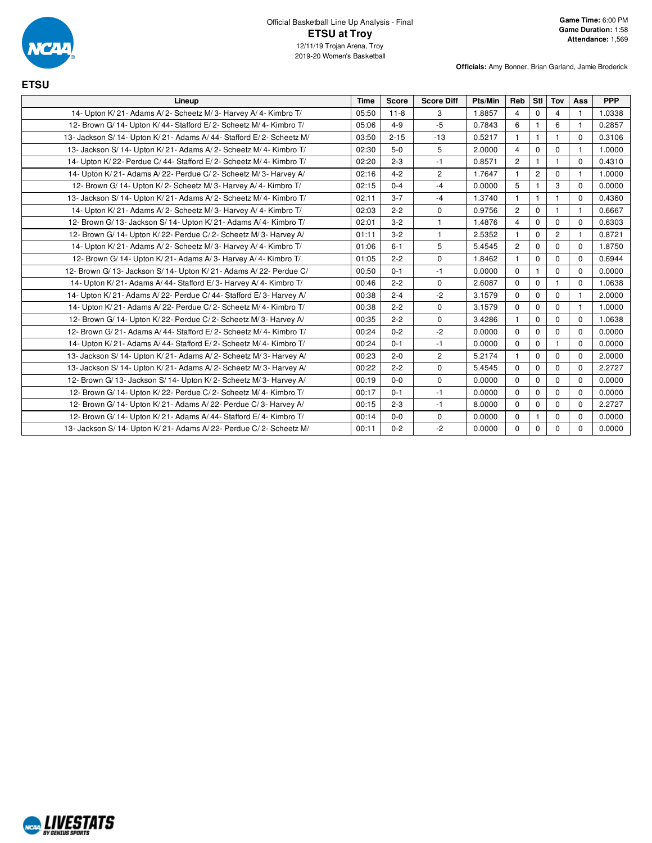

| <b>ETSU</b>                                                            |             |              |                   |         |                |                |                |              |            |
|------------------------------------------------------------------------|-------------|--------------|-------------------|---------|----------------|----------------|----------------|--------------|------------|
| Lineup                                                                 | <b>Time</b> | <b>Score</b> | <b>Score Diff</b> | Pts/Min | Reb            | Stl            | Tov            | Ass          | <b>PPP</b> |
| 14- Upton K/21- Adams A/2- Scheetz M/3- Harvey A/4- Kimbro T/          | 05:50       | $11 - 8$     | 3                 | 1.8857  | $\overline{4}$ | $\Omega$       | 4              | $\mathbf{1}$ | 1.0338     |
| 12- Brown G/ 14- Upton K/ 44- Stafford E/ 2- Scheetz M/ 4- Kimbro T/   | 05:06       | $4 - 9$      | $-5$              | 0.7843  | 6              | $\mathbf{1}$   | 6              | $\mathbf{1}$ | 0.2857     |
| 13- Jackson S/ 14- Upton K/ 21- Adams A/ 44- Stafford E/ 2- Scheetz M/ | 03:50       | $2 - 15$     | $-13$             | 0.5217  | $\mathbf{1}$   | $\mathbf{1}$   | $\mathbf{1}$   | $\Omega$     | 0.3106     |
| 13- Jackson S/14- Upton K/21- Adams A/2- Scheetz M/4- Kimbro T/        | 02:30       | $5-0$        | 5                 | 2.0000  | 4              | $\mathbf 0$    | $\mathbf 0$    |              | 1.0000     |
| 14- Upton K/22- Perdue C/44- Stafford E/2- Scheetz M/4- Kimbro T/      | 02:20       | $2 - 3$      | $-1$              | 0.8571  | $\overline{2}$ | $\mathbf{1}$   | $\mathbf{1}$   | $\Omega$     | 0.4310     |
| 14- Upton K/21- Adams A/22- Perdue C/2- Scheetz M/3- Harvey A/         | 02:16       | $4 - 2$      | $\overline{c}$    | 1.7647  |                | $\overline{c}$ | $\Omega$       | -1           | 1.0000     |
| 12- Brown G/ 14- Upton K/ 2- Scheetz M/ 3- Harvey A/ 4- Kimbro T/      | 02:15       | $0 - 4$      | $-4$              | 0.0000  | 5              | $\mathbf{1}$   | 3              | $\Omega$     | 0.0000     |
| 13- Jackson S/ 14- Upton K/ 21- Adams A/ 2- Scheetz M/ 4- Kimbro T/    | 02:11       | $3 - 7$      | $-4$              | 1.3740  | -1             | $\mathbf{1}$   |                | $\Omega$     | 0.4360     |
| 14- Upton K/21- Adams A/2- Scheetz M/3- Harvey A/4- Kimbro T/          | 02:03       | $2 - 2$      | $\Omega$          | 0.9756  | $\overline{2}$ | $\Omega$       | $\mathbf{1}$   | $\mathbf{1}$ | 0.6667     |
| 12- Brown G/13- Jackson S/14- Upton K/21- Adams A/4- Kimbro T/         | 02:01       | $3 - 2$      | $\mathbf{1}$      | 1.4876  | 4              | $\mathbf 0$    | $\mathbf 0$    | $\mathbf 0$  | 0.6303     |
| 12- Brown G/ 14- Upton K/ 22- Perdue C/ 2- Scheetz M/ 3- Harvey A/     | 01:11       | $3 - 2$      | $\mathbf{1}$      | 2.5352  | $\overline{1}$ | $\Omega$       | $\overline{c}$ | $\mathbf{1}$ | 0.8721     |
| 14- Upton K/21- Adams A/2- Scheetz M/3- Harvey A/4- Kimbro T/          | 01:06       | $6 - 1$      | 5                 | 5.4545  | $\overline{2}$ | $\mathbf 0$    | $\mathbf 0$    | $\mathbf 0$  | 1.8750     |
| 12- Brown G/ 14- Upton K/ 21- Adams A/ 3- Harvey A/ 4- Kimbro T/       | 01:05       | $2 - 2$      | $\mathbf 0$       | 1.8462  | $\overline{1}$ | $\Omega$       | $\mathbf 0$    | $\Omega$     | 0.6944     |
| 12- Brown G/13- Jackson S/14- Upton K/21- Adams A/22- Perdue C/        | 00:50       | $0 - 1$      | $-1$              | 0.0000  | $\mathbf 0$    | $\mathbf{1}$   | $\mathbf 0$    | $\mathbf 0$  | 0.0000     |
| 14- Upton K/21- Adams A/44- Stafford E/3- Harvey A/4- Kimbro T/        | 00:46       | $2 - 2$      | $\mathbf 0$       | 2.6087  | $\Omega$       | $\mathbf 0$    | $\mathbf{1}$   | $\Omega$     | 1.0638     |
| 14- Upton K/21- Adams A/22- Perdue C/44- Stafford E/3- Harvey A/       | 00:38       | $2 - 4$      | $-2$              | 3.1579  | $\mathbf 0$    | $\mathbf 0$    | 0              | $\mathbf{1}$ | 2.0000     |
| 14- Upton K/21- Adams A/22- Perdue C/2- Scheetz M/4- Kimbro T/         | 00:38       | $2 - 2$      | $\mathbf 0$       | 3.1579  | $\Omega$       | $\mathbf 0$    | $\mathbf 0$    | $\mathbf{1}$ | 1.0000     |
| 12- Brown G/ 14- Upton K/ 22- Perdue C/ 2- Scheetz M/ 3- Harvey A/     | 00:35       | $2 - 2$      | $\mathbf 0$       | 3.4286  | $\mathbf{1}$   | $\mathbf 0$    | $\mathbf 0$    | $\mathbf 0$  | 1.0638     |
| 12- Brown G/21- Adams A/44- Stafford E/2- Scheetz M/4- Kimbro T/       | 00:24       | $0 - 2$      | $-2$              | 0.0000  | $\Omega$       | $\Omega$       | $\mathbf 0$    | $\Omega$     | 0.0000     |
| 14- Upton K/21- Adams A/44- Stafford E/2- Scheetz M/4- Kimbro T/       | 00:24       | $0 - 1$      | $-1$              | 0.0000  | $\Omega$       | $\Omega$       | $\mathbf{1}$   | $\Omega$     | 0.0000     |
| 13- Jackson S/ 14- Upton K/ 21- Adams A/ 2- Scheetz M/ 3- Harvey A/    | 00:23       | $2 - 0$      | $\overline{c}$    | 5.2174  | $\overline{1}$ | $\mathbf 0$    | $\mathbf 0$    | $\Omega$     | 2.0000     |
| 13- Jackson S/ 14- Upton K/ 21- Adams A/ 2- Scheetz M/ 3- Harvey A/    | 00:22       | $2 - 2$      | $\mathbf 0$       | 5.4545  | $\mathbf 0$    | $\mathbf 0$    | 0              | $\mathbf 0$  | 2.2727     |
| 12- Brown G/ 13- Jackson S/ 14- Upton K/ 2- Scheetz M/ 3- Harvey A/    | 00:19       | $0 - 0$      | $\mathbf 0$       | 0.0000  | $\Omega$       | $\mathbf 0$    | $\mathbf 0$    | $\mathbf 0$  | 0.0000     |
| 12- Brown G/ 14- Upton K/ 22- Perdue C/ 2- Scheetz M/ 4- Kimbro T/     | 00:17       | $0 - 1$      | $-1$              | 0.0000  | $\mathbf 0$    | $\mathbf 0$    | $\mathbf 0$    | $\mathbf 0$  | 0.0000     |
| 12- Brown G/ 14- Upton K/ 21- Adams A/ 22- Perdue C/ 3- Harvey A/      | 00:15       | $2 - 3$      | $-1$              | 8.0000  | $\Omega$       | $\mathbf 0$    | 0              | $\Omega$     | 2.2727     |
| 12- Brown G/ 14- Upton K/ 21- Adams A/ 44- Stafford E/ 4- Kimbro T/    | 00:14       | $0 - 0$      | $\mathbf 0$       | 0.0000  | $\mathbf 0$    | $\mathbf{1}$   | $\mathbf 0$    | $\mathbf 0$  | 0.0000     |
| 13- Jackson S/14- Upton K/21- Adams A/22- Perdue C/2- Scheetz M/       | 00:11       | $0 - 2$      | $-2$              | 0.0000  | $\Omega$       | $\mathbf 0$    | $\Omega$       | $\Omega$     | 0.0000     |